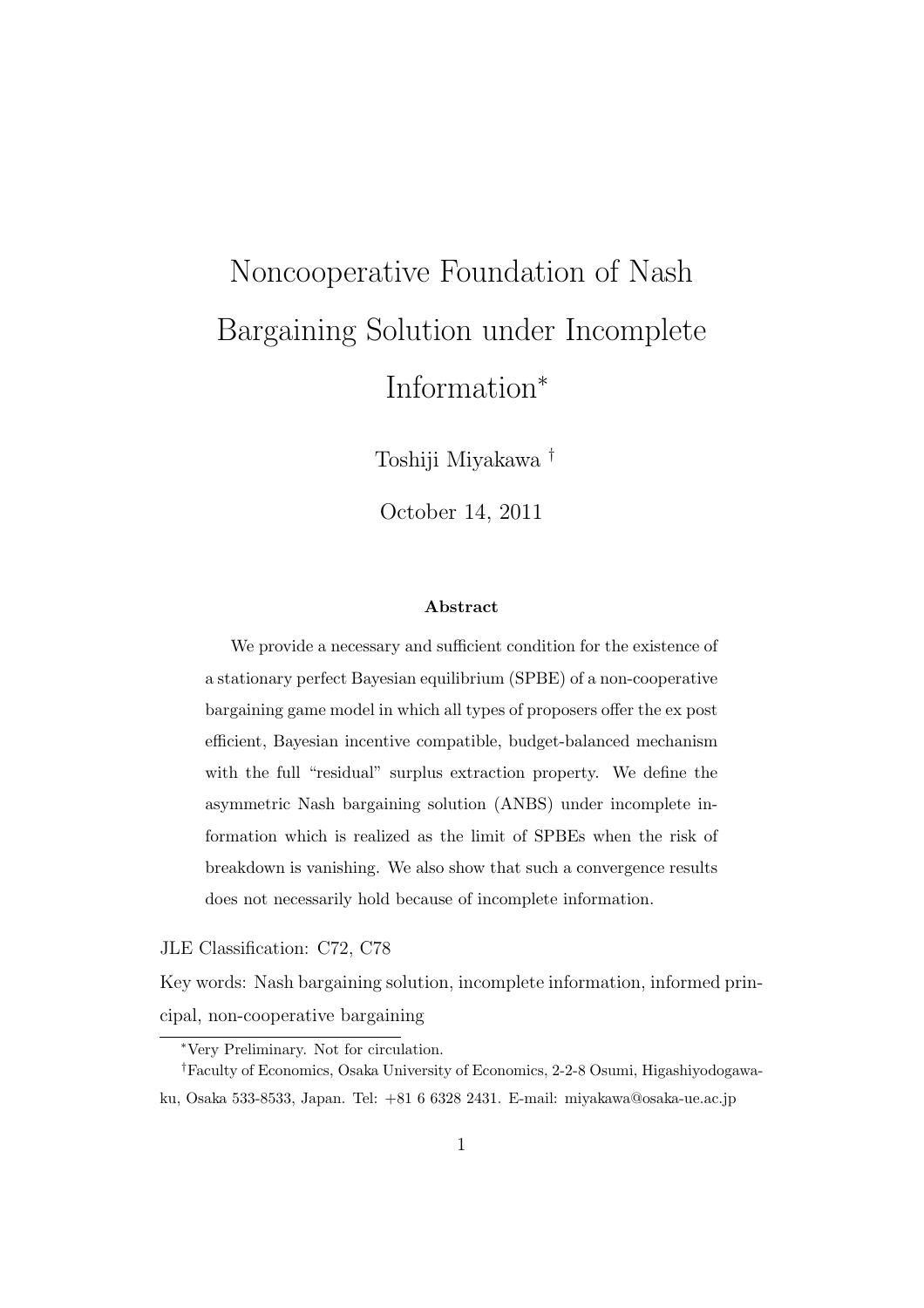# Noncooperative Foundation of Nash Bargaining Solution under Incomplete Information*<sup>∗</sup>*

Toshiji Miyakawa *†*

October 14, 2011

#### **Abstract**

We provide a necessary and sufficient condition for the existence of a stationary perfect Bayesian equilibrium (SPBE) of a non-cooperative bargaining game model in which all types of proposers offer the ex post efficient, Bayesian incentive compatible, budget-balanced mechanism with the full "residual" surplus extraction property. We define the asymmetric Nash bargaining solution (ANBS) under incomplete information which is realized as the limit of SPBEs when the risk of breakdown is vanishing. We also show that such a convergence results does not necessarily hold because of incomplete information.

JLE Classification: C72, C78

Key words: Nash bargaining solution, incomplete information, informed principal, non-cooperative bargaining

*<sup>∗</sup>*Very Preliminary. Not for circulation.

*<sup>†</sup>*Faculty of Economics, Osaka University of Economics, 2-2-8 Osumi, Higashiyodogawaku, Osaka 533-8533, Japan. Tel: +81 6 6328 2431. E-mail: miyakawa@osaka-ue.ac.jp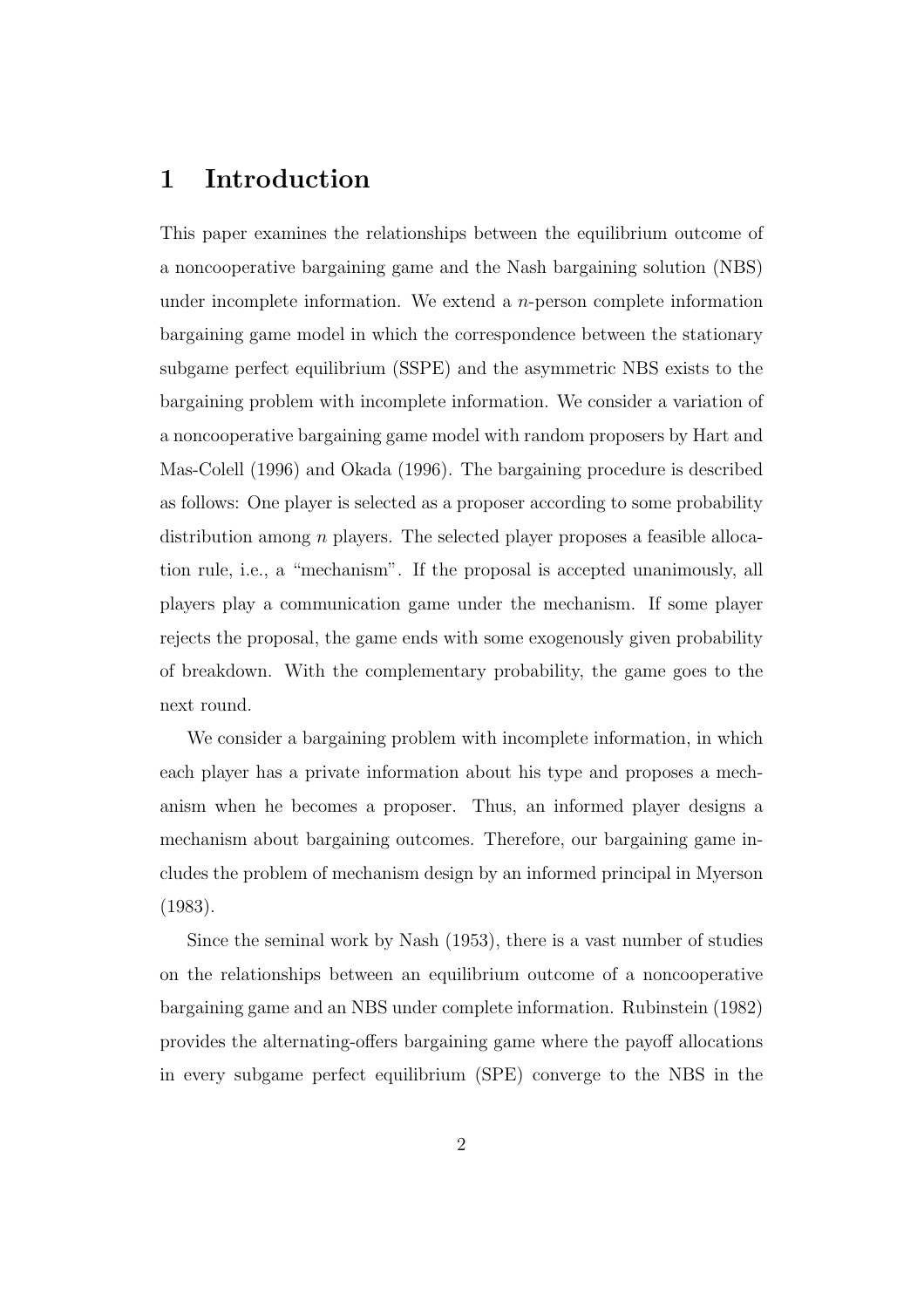# **1 Introduction**

This paper examines the relationships between the equilibrium outcome of a noncooperative bargaining game and the Nash bargaining solution (NBS) under incomplete information. We extend a *n*-person complete information bargaining game model in which the correspondence between the stationary subgame perfect equilibrium (SSPE) and the asymmetric NBS exists to the bargaining problem with incomplete information. We consider a variation of a noncooperative bargaining game model with random proposers by Hart and Mas-Colell (1996) and Okada (1996). The bargaining procedure is described as follows: One player is selected as a proposer according to some probability distribution among *n* players. The selected player proposes a feasible allocation rule, i.e., a "mechanism". If the proposal is accepted unanimously, all players play a communication game under the mechanism. If some player rejects the proposal, the game ends with some exogenously given probability of breakdown. With the complementary probability, the game goes to the next round.

We consider a bargaining problem with incomplete information, in which each player has a private information about his type and proposes a mechanism when he becomes a proposer. Thus, an informed player designs a mechanism about bargaining outcomes. Therefore, our bargaining game includes the problem of mechanism design by an informed principal in Myerson (1983).

Since the seminal work by Nash (1953), there is a vast number of studies on the relationships between an equilibrium outcome of a noncooperative bargaining game and an NBS under complete information. Rubinstein (1982) provides the alternating-offers bargaining game where the payoff allocations in every subgame perfect equilibrium (SPE) converge to the NBS in the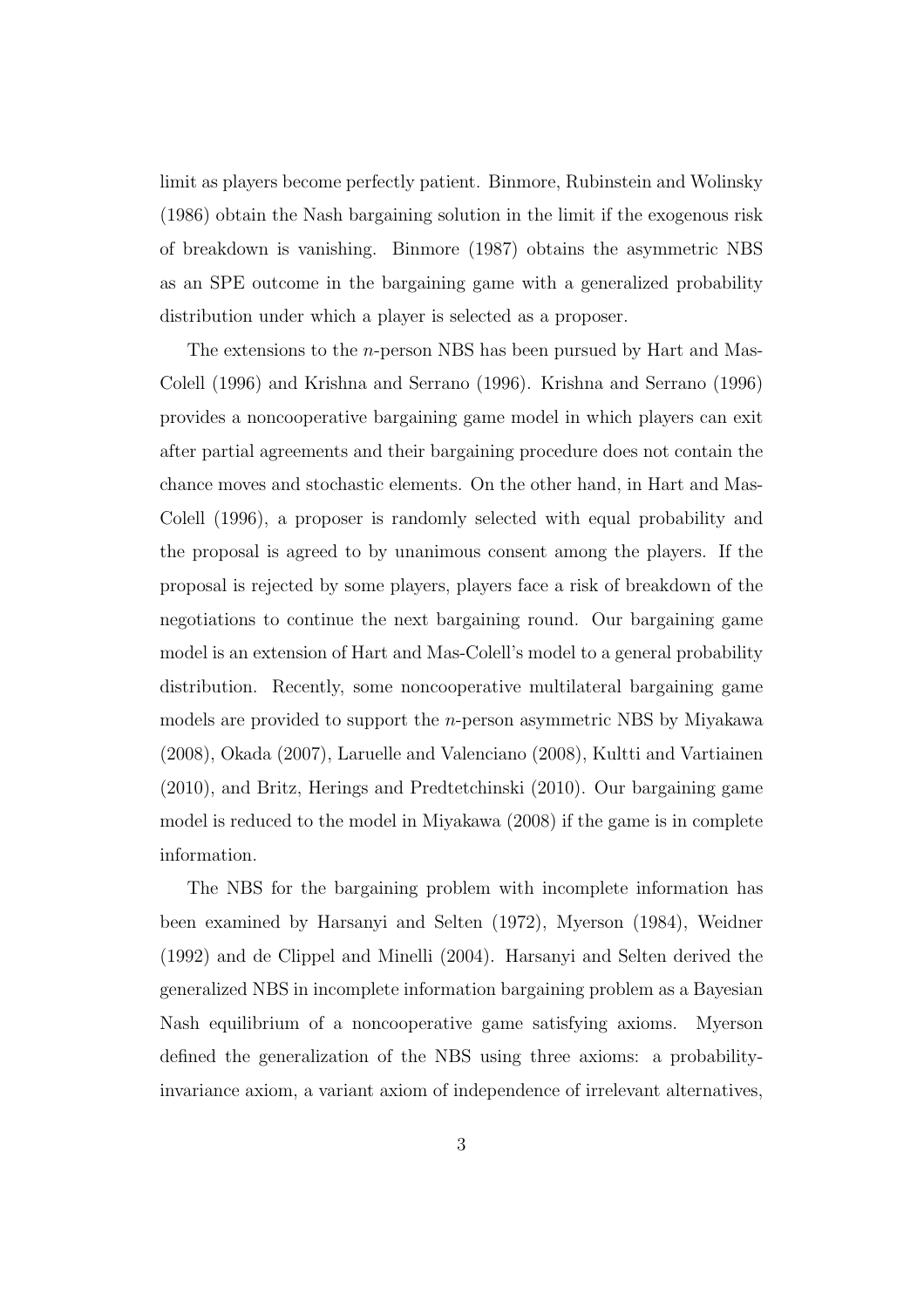limit as players become perfectly patient. Binmore, Rubinstein and Wolinsky (1986) obtain the Nash bargaining solution in the limit if the exogenous risk of breakdown is vanishing. Binmore (1987) obtains the asymmetric NBS as an SPE outcome in the bargaining game with a generalized probability distribution under which a player is selected as a proposer.

The extensions to the *n*-person NBS has been pursued by Hart and Mas-Colell (1996) and Krishna and Serrano (1996). Krishna and Serrano (1996) provides a noncooperative bargaining game model in which players can exit after partial agreements and their bargaining procedure does not contain the chance moves and stochastic elements. On the other hand, in Hart and Mas-Colell (1996), a proposer is randomly selected with equal probability and the proposal is agreed to by unanimous consent among the players. If the proposal is rejected by some players, players face a risk of breakdown of the negotiations to continue the next bargaining round. Our bargaining game model is an extension of Hart and Mas-Colell's model to a general probability distribution. Recently, some noncooperative multilateral bargaining game models are provided to support the *n*-person asymmetric NBS by Miyakawa (2008), Okada (2007), Laruelle and Valenciano (2008), Kultti and Vartiainen (2010), and Britz, Herings and Predtetchinski (2010). Our bargaining game model is reduced to the model in Miyakawa (2008) if the game is in complete information.

The NBS for the bargaining problem with incomplete information has been examined by Harsanyi and Selten (1972), Myerson (1984), Weidner (1992) and de Clippel and Minelli (2004). Harsanyi and Selten derived the generalized NBS in incomplete information bargaining problem as a Bayesian Nash equilibrium of a noncooperative game satisfying axioms. Myerson defined the generalization of the NBS using three axioms: a probabilityinvariance axiom, a variant axiom of independence of irrelevant alternatives,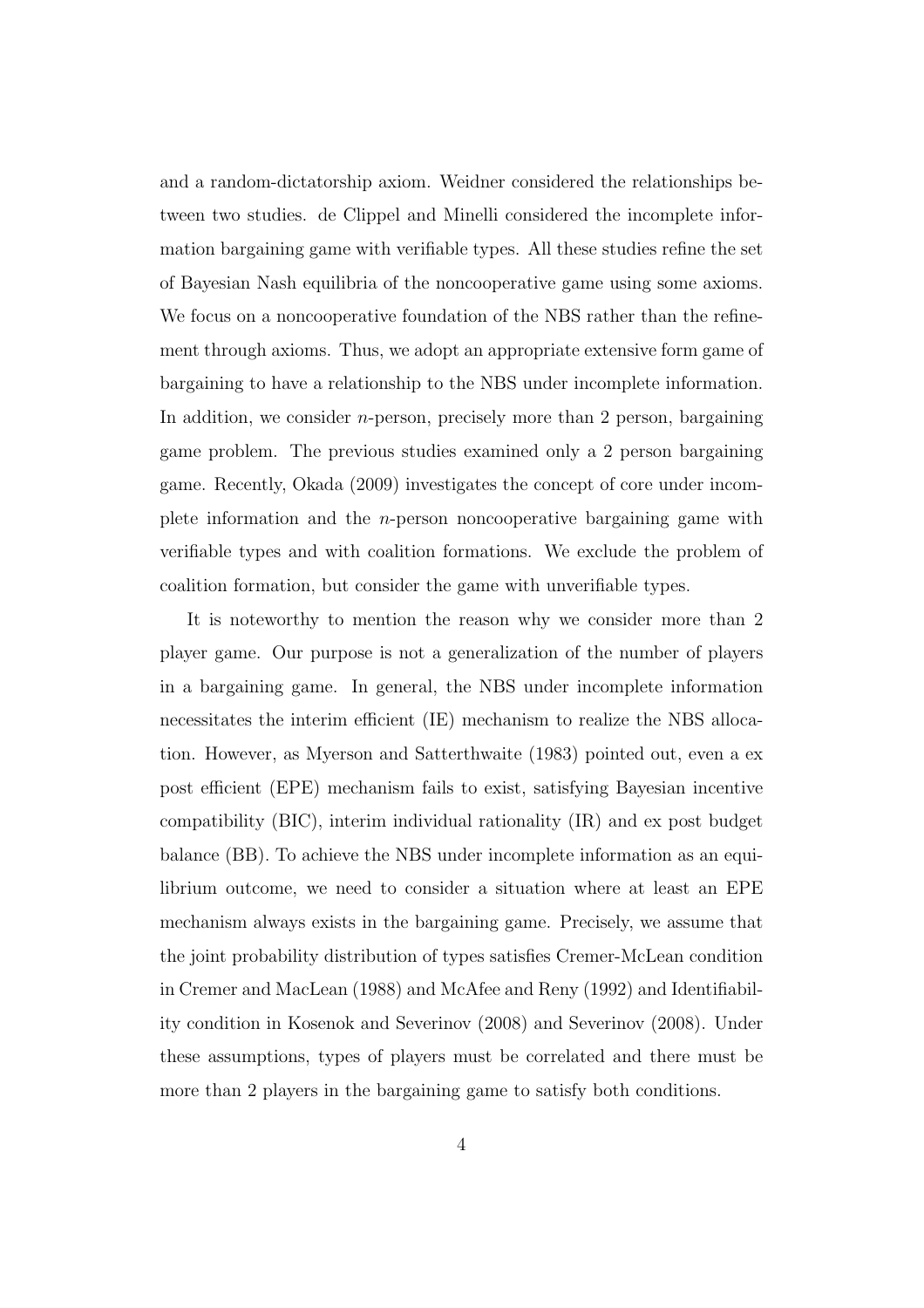and a random-dictatorship axiom. Weidner considered the relationships between two studies. de Clippel and Minelli considered the incomplete information bargaining game with verifiable types. All these studies refine the set of Bayesian Nash equilibria of the noncooperative game using some axioms. We focus on a noncooperative foundation of the NBS rather than the refinement through axioms. Thus, we adopt an appropriate extensive form game of bargaining to have a relationship to the NBS under incomplete information. In addition, we consider *n*-person, precisely more than 2 person, bargaining game problem. The previous studies examined only a 2 person bargaining game. Recently, Okada (2009) investigates the concept of core under incomplete information and the *n*-person noncooperative bargaining game with verifiable types and with coalition formations. We exclude the problem of coalition formation, but consider the game with unverifiable types.

It is noteworthy to mention the reason why we consider more than 2 player game. Our purpose is not a generalization of the number of players in a bargaining game. In general, the NBS under incomplete information necessitates the interim efficient (IE) mechanism to realize the NBS allocation. However, as Myerson and Satterthwaite (1983) pointed out, even a ex post efficient (EPE) mechanism fails to exist, satisfying Bayesian incentive compatibility (BIC), interim individual rationality (IR) and ex post budget balance (BB). To achieve the NBS under incomplete information as an equilibrium outcome, we need to consider a situation where at least an EPE mechanism always exists in the bargaining game. Precisely, we assume that the joint probability distribution of types satisfies Cremer-McLean condition in Cremer and MacLean (1988) and McAfee and Reny (1992) and Identifiability condition in Kosenok and Severinov (2008) and Severinov (2008). Under these assumptions, types of players must be correlated and there must be more than 2 players in the bargaining game to satisfy both conditions.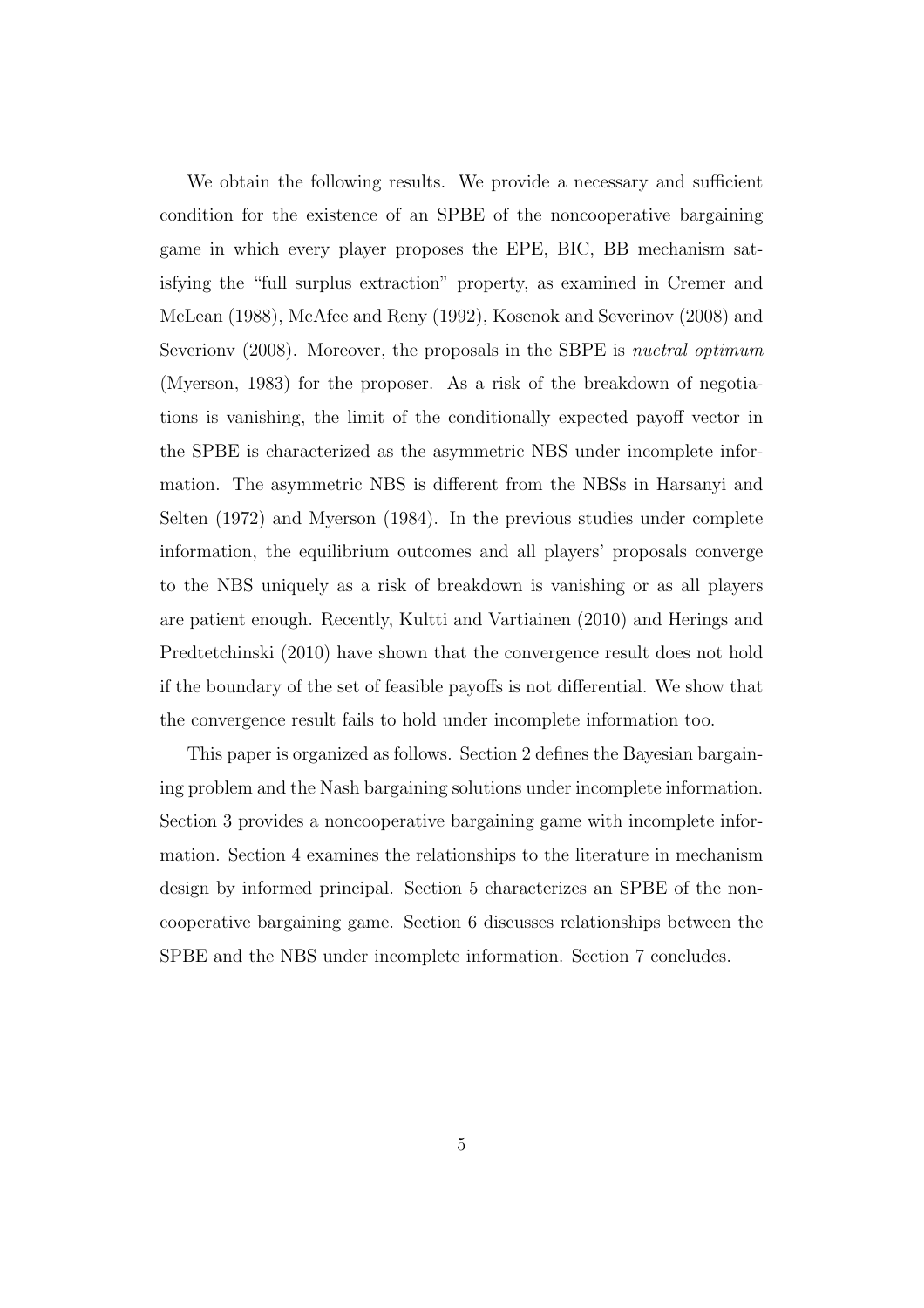We obtain the following results. We provide a necessary and sufficient condition for the existence of an SPBE of the noncooperative bargaining game in which every player proposes the EPE, BIC, BB mechanism satisfying the "full surplus extraction" property, as examined in Cremer and McLean (1988), McAfee and Reny (1992), Kosenok and Severinov (2008) and Severionv (2008). Moreover, the proposals in the SBPE is *nuetral optimum* (Myerson, 1983) for the proposer. As a risk of the breakdown of negotiations is vanishing, the limit of the conditionally expected payoff vector in the SPBE is characterized as the asymmetric NBS under incomplete information. The asymmetric NBS is different from the NBSs in Harsanyi and Selten (1972) and Myerson (1984). In the previous studies under complete information, the equilibrium outcomes and all players' proposals converge to the NBS uniquely as a risk of breakdown is vanishing or as all players are patient enough. Recently, Kultti and Vartiainen (2010) and Herings and Predtetchinski (2010) have shown that the convergence result does not hold if the boundary of the set of feasible payoffs is not differential. We show that the convergence result fails to hold under incomplete information too.

This paper is organized as follows. Section 2 defines the Bayesian bargaining problem and the Nash bargaining solutions under incomplete information. Section 3 provides a noncooperative bargaining game with incomplete information. Section 4 examines the relationships to the literature in mechanism design by informed principal. Section 5 characterizes an SPBE of the noncooperative bargaining game. Section 6 discusses relationships between the SPBE and the NBS under incomplete information. Section 7 concludes.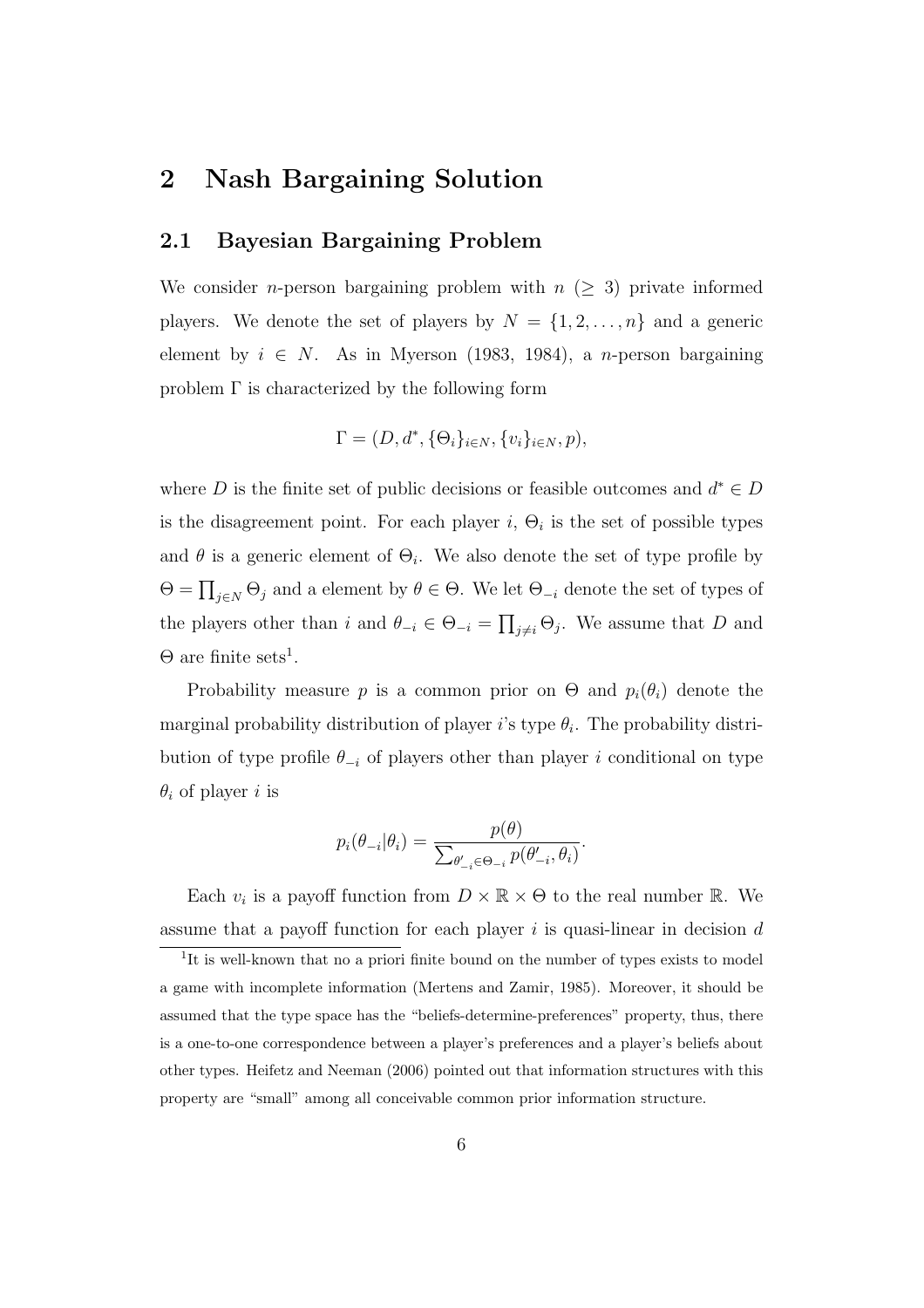# **2 Nash Bargaining Solution**

#### **2.1 Bayesian Bargaining Problem**

We consider *n*-person bargaining problem with  $n \geq 3$  private informed players. We denote the set of players by  $N = \{1, 2, ..., n\}$  and a generic element by  $i \in N$ . As in Myerson (1983, 1984), a *n*-person bargaining problem  $\Gamma$  is characterized by the following form

$$
\Gamma = (D, d^*, \{\Theta_i\}_{i \in N}, \{v_i\}_{i \in N}, p),
$$

where *D* is the finite set of public decisions or feasible outcomes and  $d^* \in D$ is the disagreement point. For each player  $i$ ,  $\Theta_i$  is the set of possible types and  $\theta$  is a generic element of  $\Theta_i$ . We also denote the set of type profile by  $Θ = ∏<sub>j∈N</sub> Θ<sub>j</sub>$  and a element by  $θ ∈ Θ$ . We let  $Θ<sub>-i</sub>$  denote the set of types of the players other than *i* and  $\theta_{-i} \in \Theta_{-i} = \prod_{j \neq i} \Theta_j$ . We assume that *D* and  $\Theta$  are finite sets<sup>1</sup>.

Probability measure *p* is a common prior on  $\Theta$  and  $p_i(\theta_i)$  denote the marginal probability distribution of player *i*'s type  $\theta_i$ . The probability distribution of type profile  $\theta_{-i}$  of players other than player *i* conditional on type *θ<sup>i</sup>* of player *i* is

$$
p_i(\theta_{-i}|\theta_i) = \frac{p(\theta)}{\sum_{\theta'_{-i}\in\Theta_{-i}} p(\theta'_{-i}, \theta_i)}.
$$

Each  $v_i$  is a payoff function from  $D \times \mathbb{R} \times \Theta$  to the real number  $\mathbb{R}$ . We assume that a payoff function for each player *i* is quasi-linear in decision *d*

<sup>&</sup>lt;sup>1</sup>It is well-known that no a priori finite bound on the number of types exists to model a game with incomplete information (Mertens and Zamir, 1985). Moreover, it should be assumed that the type space has the "beliefs-determine-preferences" property, thus, there is a one-to-one correspondence between a player's preferences and a player's beliefs about other types. Heifetz and Neeman (2006) pointed out that information structures with this property are "small" among all conceivable common prior information structure.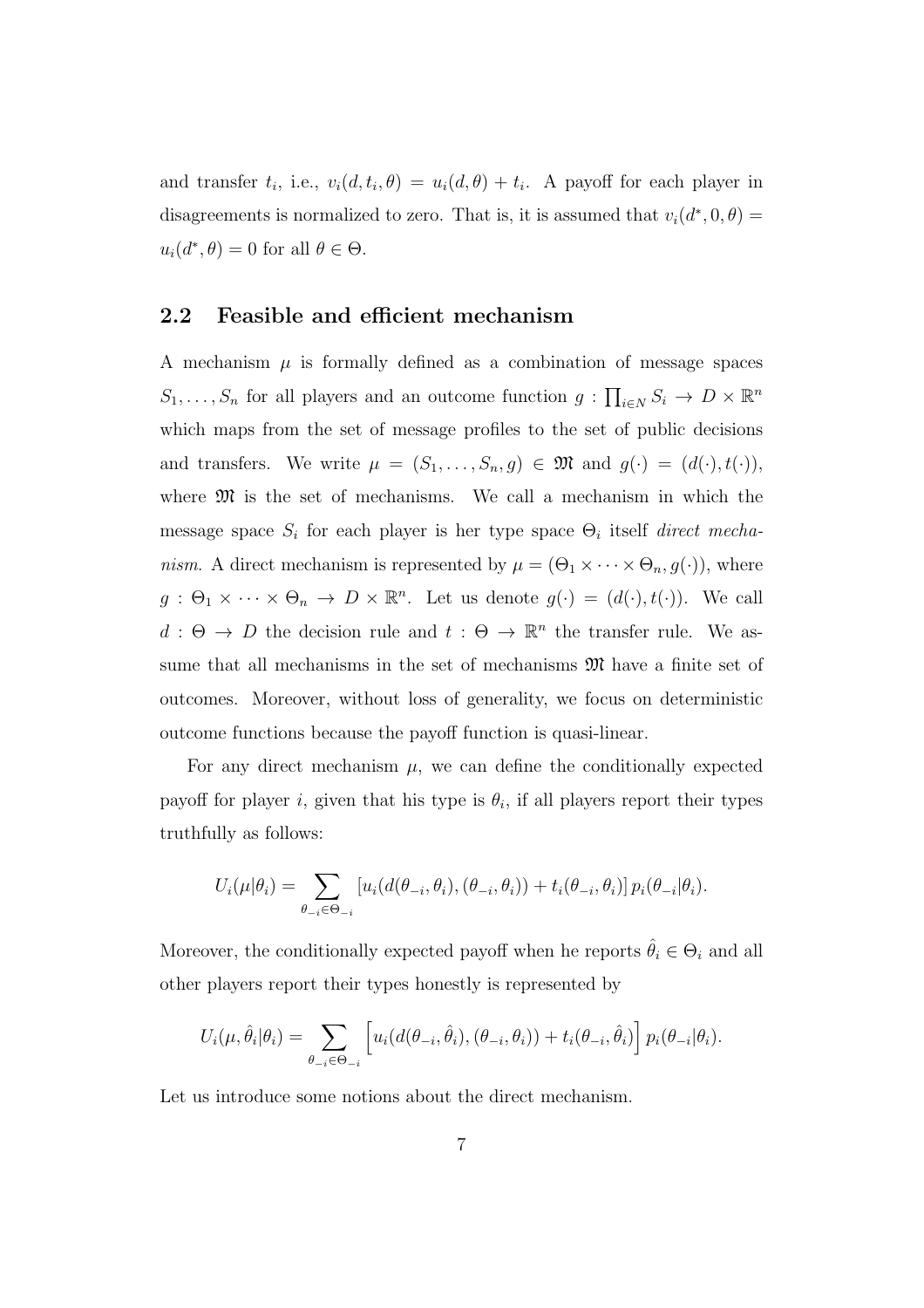and transfer  $t_i$ , i.e.,  $v_i(d, t_i, \theta) = u_i(d, \theta) + t_i$ . A payoff for each player in disagreements is normalized to zero. That is, it is assumed that  $v_i(d^*,0,\theta) =$  $u_i(d^*, \theta) = 0$  for all  $\theta \in \Theta$ .

#### **2.2 Feasible and efficient mechanism**

A mechanism  $\mu$  is formally defined as a combination of message spaces  $S_1, \ldots, S_n$  for all players and an outcome function  $g: \prod_{i \in N} S_i \to D \times \mathbb{R}^n$ which maps from the set of message profiles to the set of public decisions and transfers. We write  $\mu = (S_1, \ldots, S_n, g) \in \mathfrak{M}$  and  $g(\cdot) = (d(\cdot), t(\cdot)),$ where  $\mathfrak{M}$  is the set of mechanisms. We call a mechanism in which the message space  $S_i$  for each player is her type space  $\Theta_i$  itself *direct mechanism.* A direct mechanism is represented by  $\mu = (\Theta_1 \times \cdots \times \Theta_n, g(\cdot))$ , where  $g: \Theta_1 \times \cdots \times \Theta_n \to D \times \mathbb{R}^n$ . Let us denote  $g(\cdot) = (d(\cdot), t(\cdot))$ . We call  $d : \Theta \to D$  the decision rule and  $t : \Theta \to \mathbb{R}^n$  the transfer rule. We assume that all mechanisms in the set of mechanisms  $\mathfrak{M}$  have a finite set of outcomes. Moreover, without loss of generality, we focus on deterministic outcome functions because the payoff function is quasi-linear.

For any direct mechanism  $\mu$ , we can define the conditionally expected payoff for player *i*, given that his type is  $\theta_i$ , if all players report their types truthfully as follows:

$$
U_i(\mu|\theta_i) = \sum_{\theta_{-i} \in \Theta_{-i}} \left[ u_i(d(\theta_{-i}, \theta_i), (\theta_{-i}, \theta_i)) + t_i(\theta_{-i}, \theta_i) \right] p_i(\theta_{-i}|\theta_i).
$$

Moreover, the conditionally expected payoff when he reports  $\hat{\theta}_i \in \Theta_i$  and all other players report their types honestly is represented by

$$
U_i(\mu, \hat{\theta}_i | \theta_i) = \sum_{\theta_{-i} \in \Theta_{-i}} \left[ u_i(d(\theta_{-i}, \hat{\theta}_i), (\theta_{-i}, \theta_i)) + t_i(\theta_{-i}, \hat{\theta}_i) \right] p_i(\theta_{-i} | \theta_i).
$$

Let us introduce some notions about the direct mechanism.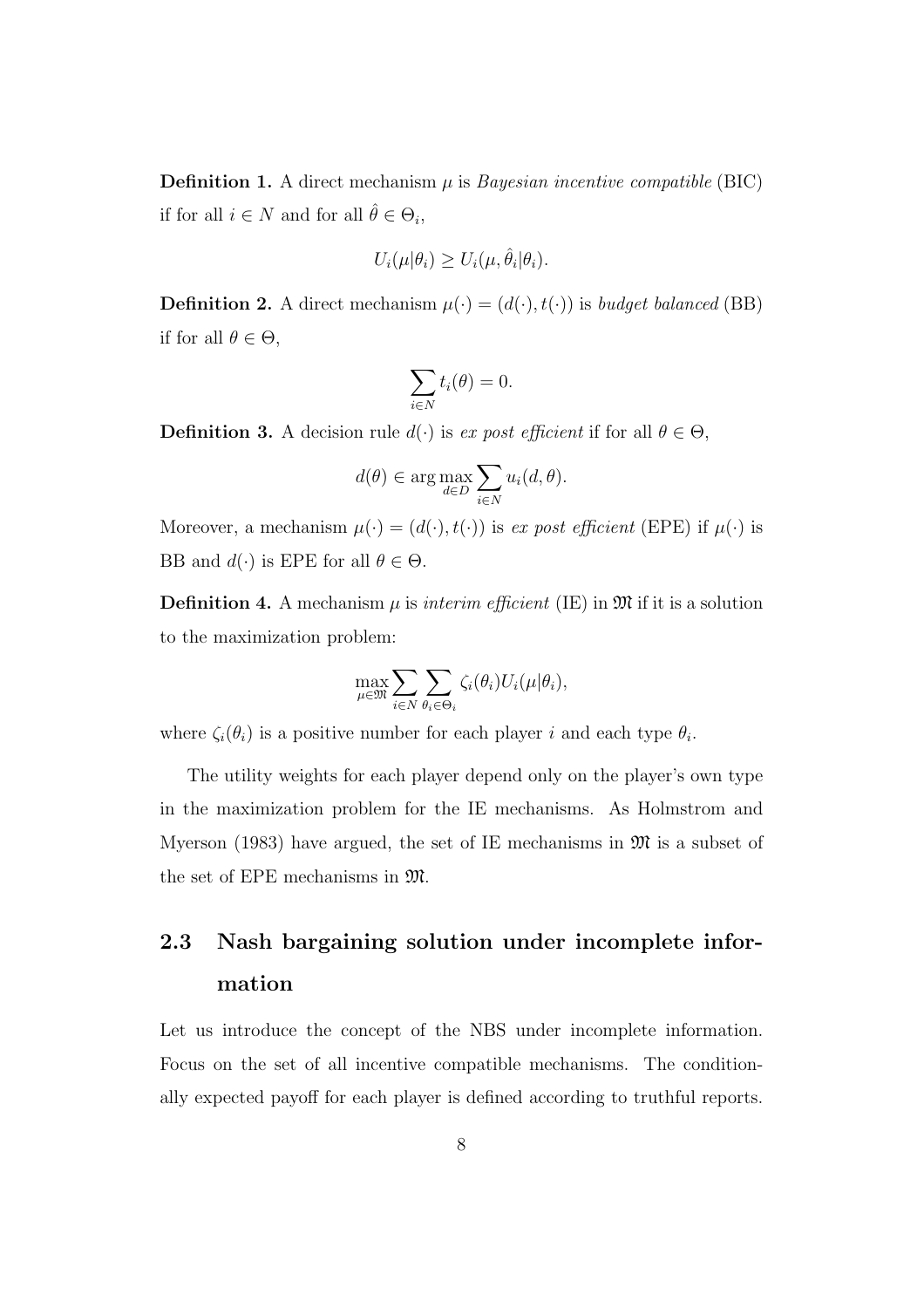**Definition 1.** A direct mechanism  $\mu$  is *Bayesian incentive compatible* (BIC) if for all  $i \in N$  and for all  $\hat{\theta} \in \Theta_i$ ,

$$
U_i(\mu|\theta_i) \ge U_i(\mu, \hat{\theta}_i|\theta_i).
$$

**Definition 2.** A direct mechanism  $\mu(\cdot) = (d(\cdot), t(\cdot))$  is *budget balanced* (BB) if for all  $\theta \in \Theta$ ,

$$
\sum_{i\in N}t_i(\theta)=0.
$$

**Definition 3.** A decision rule  $d(\cdot)$  is *ex post efficient* if for all  $\theta \in \Theta$ ,

$$
d(\theta) \in \arg\max_{d \in D} \sum_{i \in N} u_i(d, \theta).
$$

Moreover, a mechanism  $\mu(\cdot) = (d(\cdot), t(\cdot))$  is *ex post efficient* (EPE) if  $\mu(\cdot)$  is BB and  $d(\cdot)$  is EPE for all  $\theta \in \Theta$ .

**Definition 4.** A mechanism  $\mu$  is *interim efficient* (IE) in  $\mathfrak{M}$  if it is a solution to the maximization problem:

$$
\max_{\mu \in \mathfrak{M}} \sum_{i \in N} \sum_{\theta_i \in \Theta_i} \zeta_i(\theta_i) U_i(\mu | \theta_i),
$$

where  $\zeta_i(\theta_i)$  is a positive number for each player *i* and each type  $\theta_i$ .

The utility weights for each player depend only on the player's own type in the maximization problem for the IE mechanisms. As Holmstrom and Myerson (1983) have argued, the set of IE mechanisms in  $\mathfrak{M}$  is a subset of the set of EPE mechanisms in M.

# **2.3 Nash bargaining solution under incomplete information**

Let us introduce the concept of the NBS under incomplete information. Focus on the set of all incentive compatible mechanisms. The conditionally expected payoff for each player is defined according to truthful reports.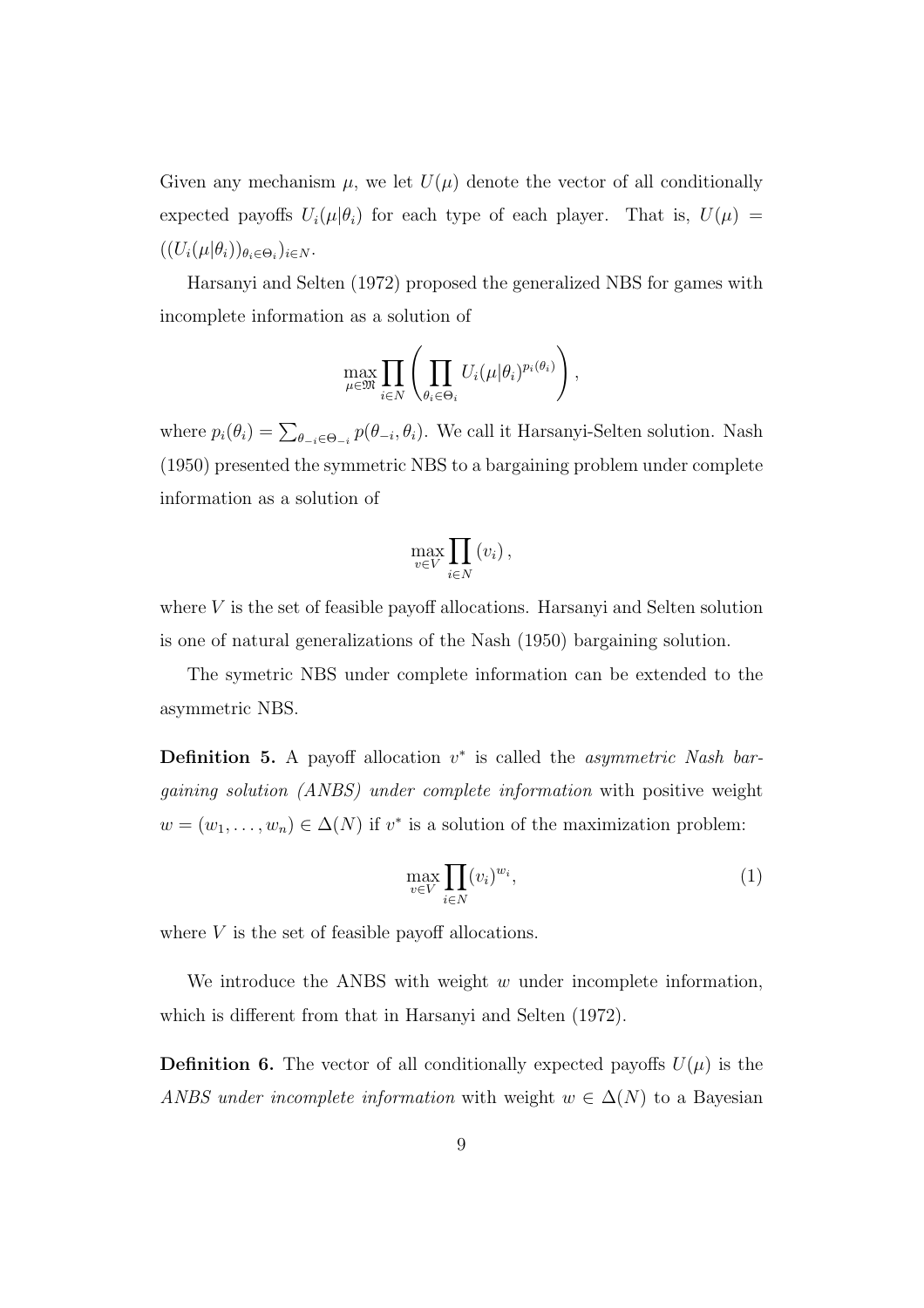Given any mechanism  $\mu$ , we let  $U(\mu)$  denote the vector of all conditionally expected payoffs  $U_i(\mu|\theta_i)$  for each type of each player. That is,  $U(\mu)$  =  $((U_i(\mu|\theta_i))_{\theta_i\in\Theta_i})_{i\in N}.$ 

Harsanyi and Selten (1972) proposed the generalized NBS for games with incomplete information as a solution of

$$
\max_{\mu \in \mathfrak{M}} \prod_{i \in N} \left( \prod_{\theta_i \in \Theta_i} U_i(\mu | \theta_i)^{p_i(\theta_i)} \right),
$$

where  $p_i(\theta_i) = \sum_{\theta_{-i} \in \Theta_{-i}} p(\theta_{-i}, \theta_i)$ . We call it Harsanyi-Selten solution. Nash (1950) presented the symmetric NBS to a bargaining problem under complete information as a solution of

$$
\max_{v \in V} \prod_{i \in N} (v_i),
$$

where *V* is the set of feasible payoff allocations. Harsanyi and Selten solution is one of natural generalizations of the Nash (1950) bargaining solution.

The symetric NBS under complete information can be extended to the asymmetric NBS.

**Definition 5.** A payoff allocation *v ∗* is called the *asymmetric Nash bargaining solution (ANBS) under complete information* with positive weight  $w = (w_1, \ldots, w_n) \in \Delta(N)$  if  $v^*$  is a solution of the maximization problem:

$$
\max_{v \in V} \prod_{i \in N} (v_i)^{w_i},\tag{1}
$$

where *V* is the set of feasible payoff allocations.

We introduce the ANBS with weight *w* under incomplete information, which is different from that in Harsanyi and Selten (1972).

**Definition 6.** The vector of all conditionally expected payoffs  $U(\mu)$  is the *ANBS under incomplete information* with weight  $w \in \Delta(N)$  to a Bayesian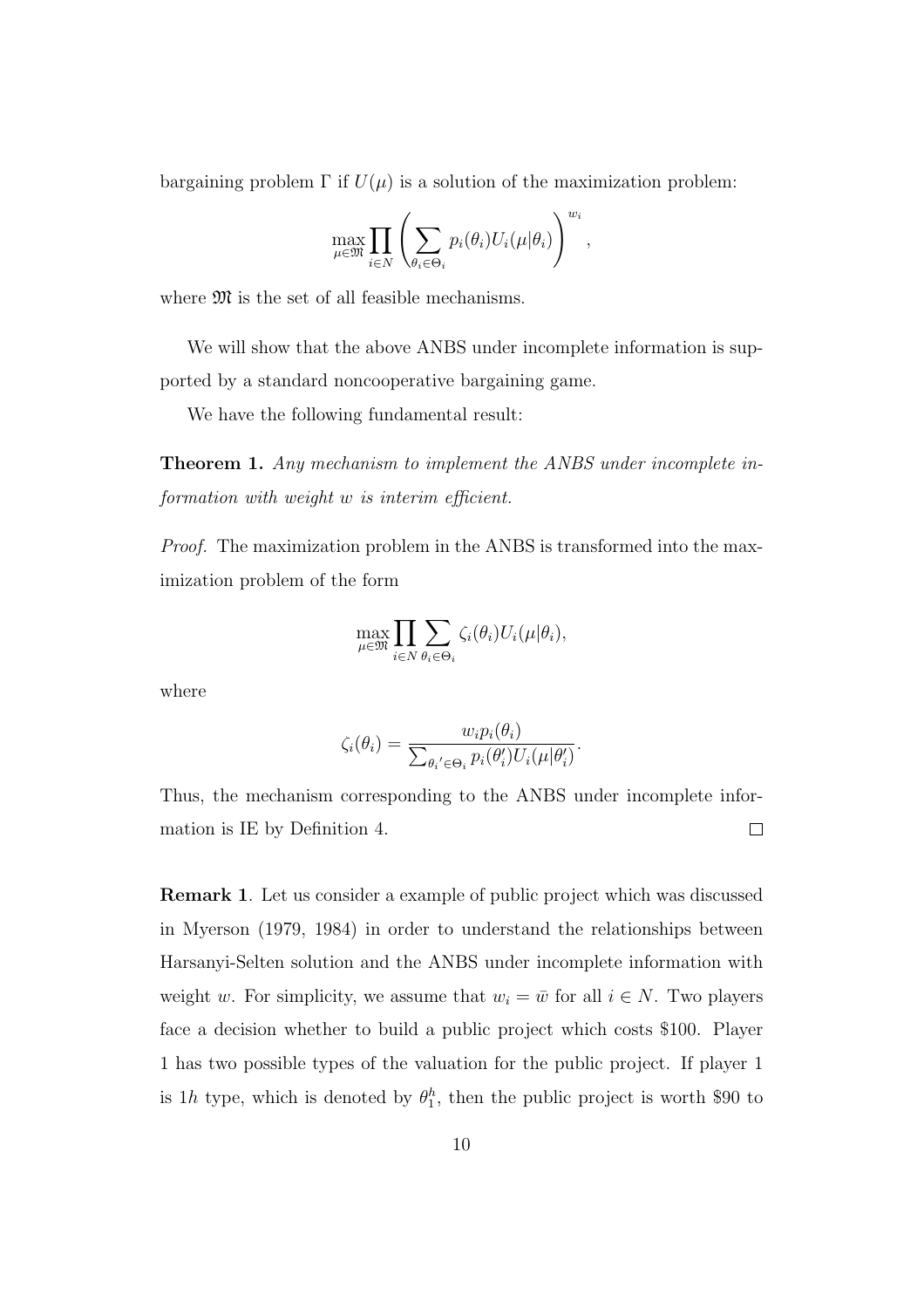bargaining problem  $\Gamma$  if  $U(\mu)$  is a solution of the maximization problem:

$$
\max_{\mu \in \mathfrak{M}} \prod_{i \in N} \left( \sum_{\theta_i \in \Theta_i} p_i(\theta_i) U_i(\mu | \theta_i) \right)^{w_i},
$$

where  $\mathfrak{M}$  is the set of all feasible mechanisms.

We will show that the above ANBS under incomplete information is supported by a standard noncooperative bargaining game.

We have the following fundamental result:

**Theorem 1.** *Any mechanism to implement the ANBS under incomplete information with weight w is interim efficient.*

*Proof.* The maximization problem in the ANBS is transformed into the maximization problem of the form

$$
\max_{\mu \in \mathfrak{M}} \prod_{i \in N} \sum_{\theta_i \in \Theta_i} \zeta_i(\theta_i) U_i(\mu | \theta_i),
$$

where

$$
\zeta_i(\theta_i) = \frac{w_i p_i(\theta_i)}{\sum_{\theta_i' \in \Theta_i} p_i(\theta_i') U_i(\mu | \theta_i')}.
$$

Thus, the mechanism corresponding to the ANBS under incomplete infor- $\Box$ mation is IE by Definition 4.

**Remark 1**. Let us consider a example of public project which was discussed in Myerson (1979, 1984) in order to understand the relationships between Harsanyi-Selten solution and the ANBS under incomplete information with weight *w*. For simplicity, we assume that  $w_i = \bar{w}$  for all  $i \in N$ . Two players face a decision whether to build a public project which costs \$100. Player 1 has two possible types of the valuation for the public project. If player 1 is 1*h* type, which is denoted by  $\theta_1^h$ , then the public project is worth \$90 to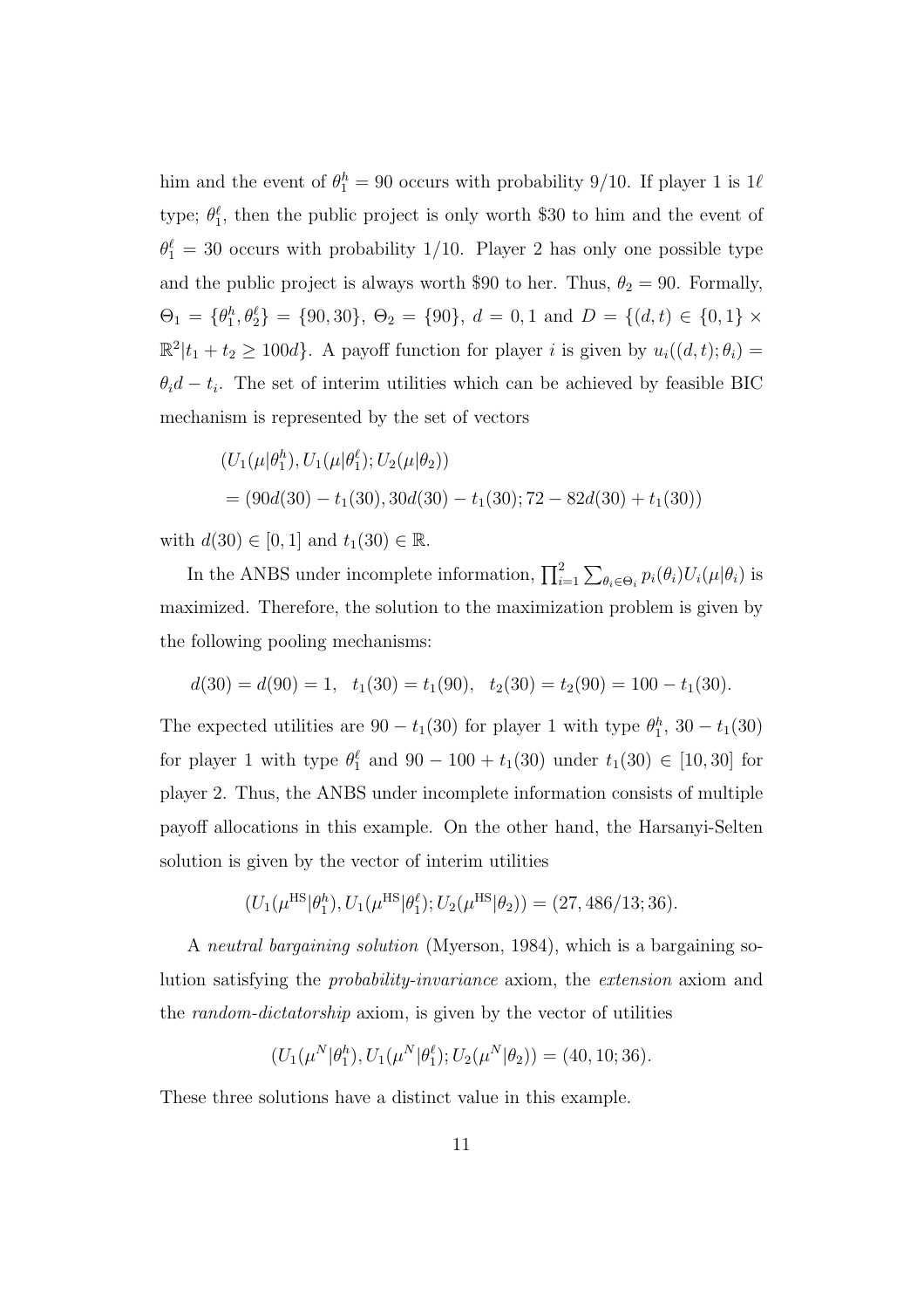him and the event of  $\theta_1^h = 90$  occurs with probability 9/10. If player 1 is  $1\ell$ type;  $\theta_1^{\ell}$ , then the public project is only worth \$30 to him and the event of  $\theta_1^{\ell} = 30$  occurs with probability 1/10. Player 2 has only one possible type and the public project is always worth \$90 to her. Thus,  $\theta_2 = 90$ . Formally,  $\Theta_1 = \{\theta_1^h, \theta_2^l\} = \{90, 30\}, \ \Theta_2 = \{90\}, \ d = 0, 1 \text{ and } D = \{(d, t) \in \{0, 1\} \times$  $\mathbb{R}^2 | t_1 + t_2 \geq 100d$ . A payoff function for player *i* is given by  $u_i((d, t); \theta_i) =$  $\theta_i d - t_i$ . The set of interim utilities which can be achieved by feasible BIC mechanism is represented by the set of vectors

$$
(U_1(\mu|\theta_1^h), U_1(\mu|\theta_1^{\ell}); U_2(\mu|\theta_2))
$$
  
= (90d(30) – t<sub>1</sub>(30), 30d(30) – t<sub>1</sub>(30); 72 – 82d(30) + t<sub>1</sub>(30))

with  $d(30) \in [0, 1]$  and  $t_1(30) \in \mathbb{R}$ .

In the ANBS under incomplete information,  $\prod_{i=1}^{2} \sum_{\theta_i \in \Theta_i} p_i(\theta_i) U_i(\mu|\theta_i)$  is maximized. Therefore, the solution to the maximization problem is given by the following pooling mechanisms:

$$
d(30) = d(90) = 1, t1(30) = t1(90), t2(30) = t2(90) = 100 - t1(30).
$$

The expected utilities are  $90 - t_1(30)$  for player 1 with type  $\theta_1^h$ ,  $30 - t_1(30)$ for player 1 with type  $\theta_1^{\ell}$  and  $90 - 100 + t_1(30)$  under  $t_1(30) \in [10, 30]$  for player 2. Thus, the ANBS under incomplete information consists of multiple payoff allocations in this example. On the other hand, the Harsanyi-Selten solution is given by the vector of interim utilities

$$
(U_1(\mu^{\text{HS}}|\theta_1^h), U_1(\mu^{\text{HS}}|\theta_1^{\ell}); U_2(\mu^{\text{HS}}|\theta_2)) = (27, 486/13; 36).
$$

A *neutral bargaining solution* (Myerson, 1984), which is a bargaining solution satisfying the *probability-invariance* axiom, the *extension* axiom and the *random-dictatorship* axiom, is given by the vector of utilities

$$
(U_1(\mu^N|\theta_1^h), U_1(\mu^N|\theta_1^{\ell}); U_2(\mu^N|\theta_2)) = (40, 10; 36).
$$

These three solutions have a distinct value in this example.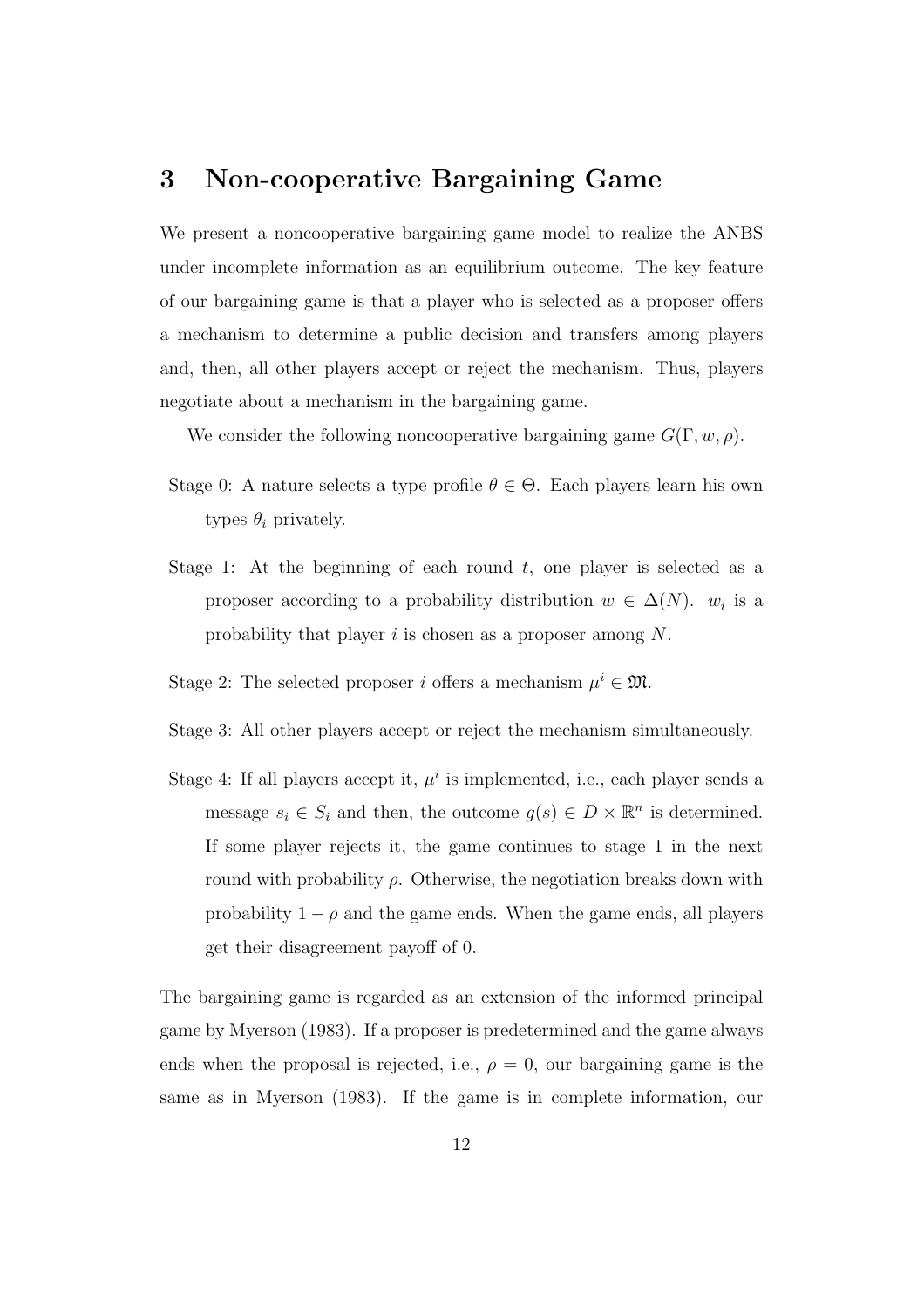## **3 Non-cooperative Bargaining Game**

We present a noncooperative bargaining game model to realize the ANBS under incomplete information as an equilibrium outcome. The key feature of our bargaining game is that a player who is selected as a proposer offers a mechanism to determine a public decision and transfers among players and, then, all other players accept or reject the mechanism. Thus, players negotiate about a mechanism in the bargaining game.

We consider the following noncooperative bargaining game *G*(Γ*, w, ρ*).

- Stage 0: A nature selects a type profile  $\theta \in \Theta$ . Each players learn his own types  $\theta_i$  privately.
- Stage 1: At the beginning of each round *t*, one player is selected as a proposer according to a probability distribution  $w \in \Delta(N)$ . *w<sub>i</sub>* is a probability that player *i* is chosen as a proposer among *N*.
- Stage 2: The selected proposer *i* offers a mechanism  $\mu^i \in \mathfrak{M}$ .
- Stage 3: All other players accept or reject the mechanism simultaneously.
- Stage 4: If all players accept it,  $\mu^i$  is implemented, i.e., each player sends a message  $s_i \in S_i$  and then, the outcome  $g(s) \in D \times \mathbb{R}^n$  is determined. If some player rejects it, the game continues to stage 1 in the next round with probability *ρ*. Otherwise, the negotiation breaks down with probability  $1 - \rho$  and the game ends. When the game ends, all players get their disagreement payoff of 0.

The bargaining game is regarded as an extension of the informed principal game by Myerson (1983). If a proposer is predetermined and the game always ends when the proposal is rejected, i.e.,  $\rho = 0$ , our bargaining game is the same as in Myerson (1983). If the game is in complete information, our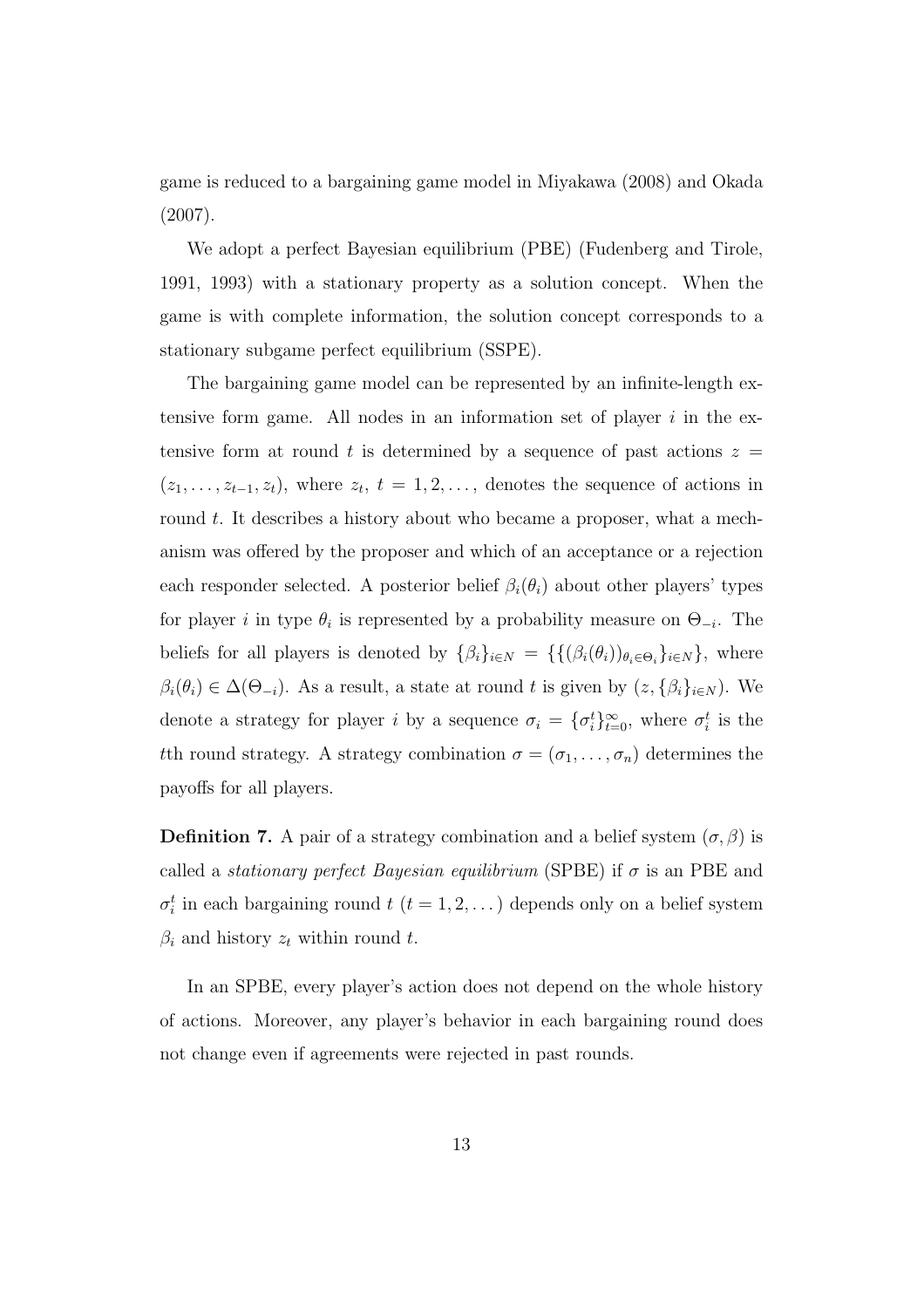game is reduced to a bargaining game model in Miyakawa (2008) and Okada (2007).

We adopt a perfect Bayesian equilibrium (PBE) (Fudenberg and Tirole, 1991, 1993) with a stationary property as a solution concept. When the game is with complete information, the solution concept corresponds to a stationary subgame perfect equilibrium (SSPE).

The bargaining game model can be represented by an infinite-length extensive form game. All nodes in an information set of player *i* in the extensive form at round *t* is determined by a sequence of past actions  $z =$  $(z_1, \ldots, z_{t-1}, z_t)$ , where  $z_t$ ,  $t = 1, 2, \ldots$ , denotes the sequence of actions in round *t*. It describes a history about who became a proposer, what a mechanism was offered by the proposer and which of an acceptance or a rejection each responder selected. A posterior belief  $\beta_i(\theta_i)$  about other players' types for player *i* in type  $\theta_i$  is represented by a probability measure on  $\Theta_{-i}$ . The beliefs for all players is denoted by  $\{\beta_i\}_{i \in N} = \{\{(\beta_i(\theta_i))_{\theta_i \in \Theta_i}\}_{i \in N}\}$ , where  $\beta_i(\theta_i) \in \Delta(\Theta_{-i})$ . As a result, a state at round *t* is given by  $(z, \{\beta_i\}_{i \in N})$ . We denote a strategy for player *i* by a sequence  $\sigma_i = {\{\sigma_i^t\}}_{t=0}^{\infty}$ , where  $\sigma_i^t$  is the *t*th round strategy. A strategy combination  $\sigma = (\sigma_1, \ldots, \sigma_n)$  determines the payoffs for all players.

**Definition 7.** A pair of a strategy combination and a belief system  $(\sigma, \beta)$  is called a *stationary perfect Bayesian equilibrium* (SPBE) if  $\sigma$  is an PBE and  $\sigma_i^t$  in each bargaining round *t* (*t* = 1*,* 2*, . . .*) depends only on a belief system  $\beta_i$  and history  $z_t$  within round  $t$ .

In an SPBE, every player's action does not depend on the whole history of actions. Moreover, any player's behavior in each bargaining round does not change even if agreements were rejected in past rounds.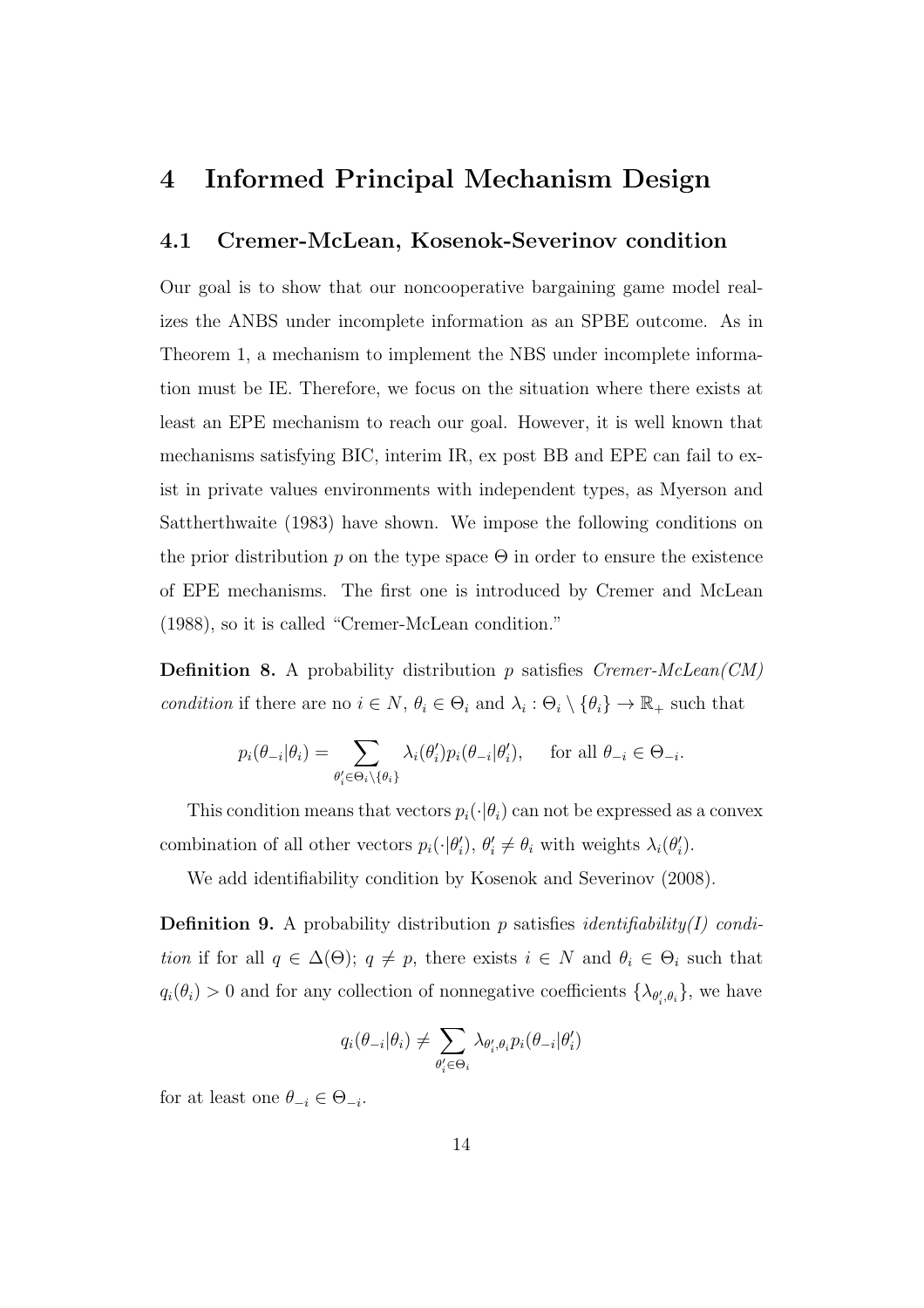# **4 Informed Principal Mechanism Design**

#### **4.1 Cremer-McLean, Kosenok-Severinov condition**

Our goal is to show that our noncooperative bargaining game model realizes the ANBS under incomplete information as an SPBE outcome. As in Theorem 1, a mechanism to implement the NBS under incomplete information must be IE. Therefore, we focus on the situation where there exists at least an EPE mechanism to reach our goal. However, it is well known that mechanisms satisfying BIC, interim IR, ex post BB and EPE can fail to exist in private values environments with independent types, as Myerson and Sattherthwaite (1983) have shown. We impose the following conditions on the prior distribution  $p$  on the type space  $\Theta$  in order to ensure the existence of EPE mechanisms. The first one is introduced by Cremer and McLean (1988), so it is called "Cremer-McLean condition."

**Definition 8.** A probability distribution *p* satisfies *Cremer-McLean(CM) condition* if there are no  $i \in N$ ,  $\theta_i \in \Theta_i$  and  $\lambda_i : \Theta_i \setminus \{\theta_i\} \to \mathbb{R}_+$  such that

$$
p_i(\theta_{-i}|\theta_i) = \sum_{\theta'_i \in \Theta_i \setminus \{\theta_i\}} \lambda_i(\theta'_i) p_i(\theta_{-i}|\theta'_i), \quad \text{ for all } \theta_{-i} \in \Theta_{-i}.
$$

This condition means that vectors  $p_i(\cdot|\theta_i)$  can not be expressed as a convex combination of all other vectors  $p_i(\cdot|\theta'_i), \theta'_i \neq \theta_i$  with weights  $\lambda_i(\theta'_i)$ .

We add identifiability condition by Kosenok and Severinov (2008).

**Definition 9.** A probability distribution *p* satisfies *identifiability(I) condition* if for all  $q \in \Delta(\Theta)$ ;  $q \neq p$ , there exists  $i \in N$  and  $\theta_i \in \Theta_i$  such that  $q_i(\theta_i) > 0$  and for any collection of nonnegative coefficients  $\{\lambda_{\theta'_i, \theta_i}\}$ , we have

$$
q_i(\theta_{-i}|\theta_i) \neq \sum_{\theta'_i \in \Theta_i} \lambda_{\theta'_i, \theta_i} p_i(\theta_{-i}|\theta'_i)
$$

for at least one  $\theta_{-i} \in \Theta_{-i}$ .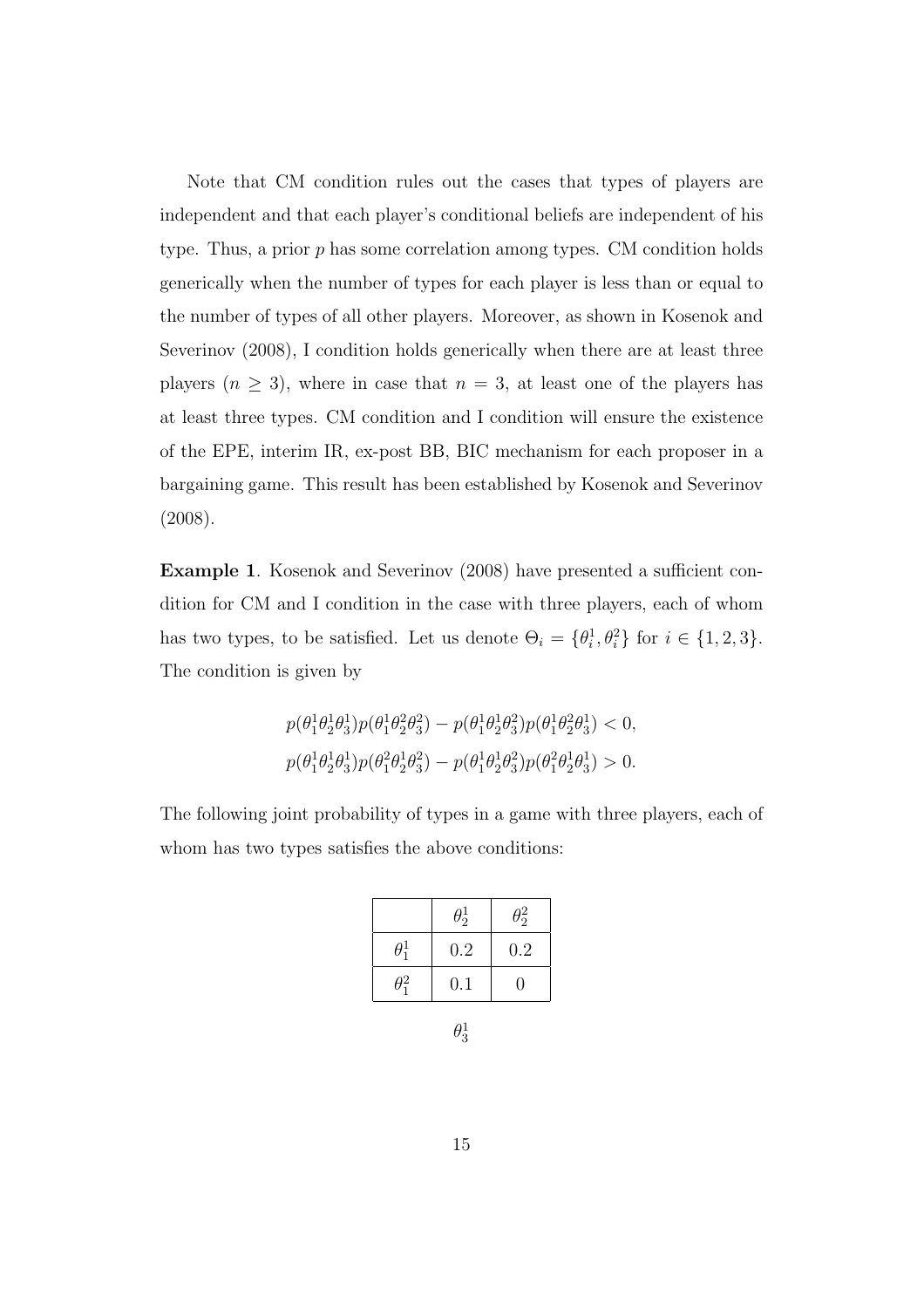Note that CM condition rules out the cases that types of players are independent and that each player's conditional beliefs are independent of his type. Thus, a prior *p* has some correlation among types. CM condition holds generically when the number of types for each player is less than or equal to the number of types of all other players. Moreover, as shown in Kosenok and Severinov (2008), I condition holds generically when there are at least three players  $(n \geq 3)$ , where in case that  $n = 3$ , at least one of the players has at least three types. CM condition and I condition will ensure the existence of the EPE, interim IR, ex-post BB, BIC mechanism for each proposer in a bargaining game. This result has been established by Kosenok and Severinov (2008).

**Example 1.** Kosenok and Severinov (2008) have presented a sufficient condition for CM and I condition in the case with three players, each of whom has two types, to be satisfied. Let us denote  $\Theta_i = {\theta_i^1, \theta_i^2}$  for  $i \in \{1, 2, 3\}$ . The condition is given by

$$
p(\theta_1^1 \theta_2^1 \theta_3^1) p(\theta_1^1 \theta_2^2 \theta_3^2) - p(\theta_1^1 \theta_2^1 \theta_3^2) p(\theta_1^1 \theta_2^2 \theta_3^1) < 0,
$$
\n
$$
p(\theta_1^1 \theta_2^1 \theta_3^1) p(\theta_1^2 \theta_2^1 \theta_3^2) - p(\theta_1^1 \theta_2^1 \theta_3^2) p(\theta_1^2 \theta_2^1 \theta_3^1) > 0.
$$

The following joint probability of types in a game with three players, each of whom has two types satisfies the above conditions:

|                  | $\theta_2^1$ | $\theta_2^2$ |
|------------------|--------------|--------------|
| $\theta_1^1$     | 0.2          | 0.2          |
| $\theta_{1}^{2}$ | 0.1          | 0            |

 $\theta_3^1$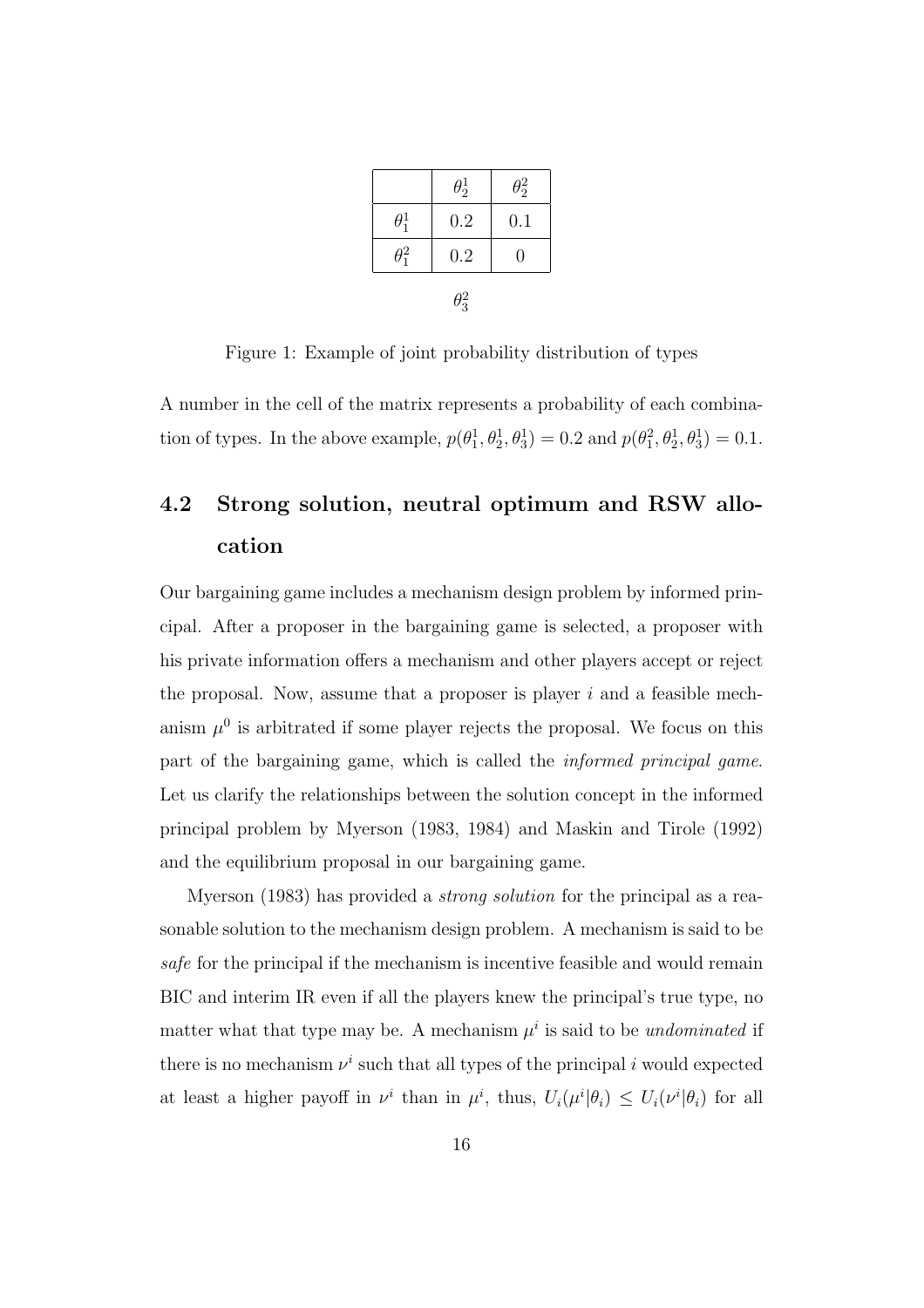|              | $\theta_2^1$ | $\theta_2^2$ |  |
|--------------|--------------|--------------|--|
| $\theta_1^1$ | 0.2          | 0.1          |  |
| $\theta_1^2$ | 0.2          | 0            |  |
| $\theta_3^2$ |              |              |  |

Figure 1: Example of joint probability distribution of types

A number in the cell of the matrix represents a probability of each combination of types. In the above example,  $p(\theta_1^1, \theta_2^1, \theta_3^1) = 0.2$  and  $p(\theta_1^2, \theta_2^1, \theta_3^1) = 0.1$ .

# **4.2 Strong solution, neutral optimum and RSW allocation**

Our bargaining game includes a mechanism design problem by informed principal. After a proposer in the bargaining game is selected, a proposer with his private information offers a mechanism and other players accept or reject the proposal. Now, assume that a proposer is player *i* and a feasible mechanism  $\mu^0$  is arbitrated if some player rejects the proposal. We focus on this part of the bargaining game, which is called the *informed principal game*. Let us clarify the relationships between the solution concept in the informed principal problem by Myerson (1983, 1984) and Maskin and Tirole (1992) and the equilibrium proposal in our bargaining game.

Myerson (1983) has provided a *strong solution* for the principal as a reasonable solution to the mechanism design problem. A mechanism is said to be *safe* for the principal if the mechanism is incentive feasible and would remain BIC and interim IR even if all the players knew the principal's true type, no matter what that type may be. A mechanism  $\mu^i$  is said to be *undominated* if there is no mechanism  $\nu^i$  such that all types of the principal *i* would expected at least a higher payoff in  $\nu^i$  than in  $\mu^i$ , thus,  $U_i(\mu^i|\theta_i) \leq U_i(\nu^i|\theta_i)$  for all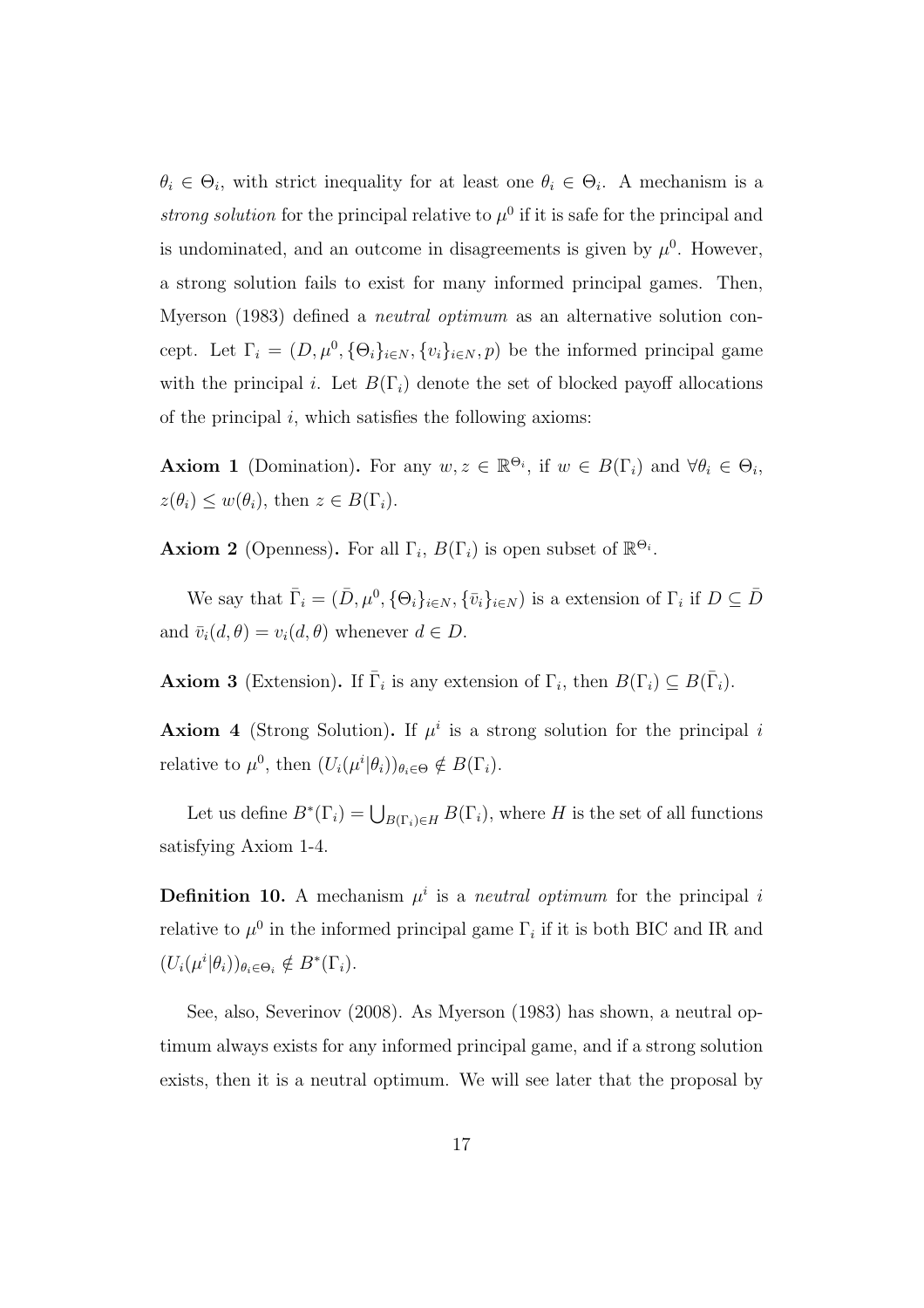$\theta_i \in \Theta_i$ , with strict inequality for at least one  $\theta_i \in \Theta_i$ . A mechanism is a *strong solution* for the principal relative to  $\mu^0$  if it is safe for the principal and is undominated, and an outcome in disagreements is given by  $\mu^0$ . However, a strong solution fails to exist for many informed principal games. Then, Myerson (1983) defined a *neutral optimum* as an alternative solution concept. Let  $\Gamma_i = (D, \mu^0, {\Theta_i}_{i \in N}, \{v_i\}_{i \in N}, p)$  be the informed principal game with the principal *i*. Let  $B(\Gamma_i)$  denote the set of blocked payoff allocations of the principal *i*, which satisfies the following axioms:

**Axiom 1** (Domination). For any  $w, z \in \mathbb{R}^{\Theta_i}$ , if  $w \in B(\Gamma_i)$  and  $\forall \theta_i \in \Theta_i$ ,  $z(\theta_i) \leq w(\theta_i)$ , then  $z \in B(\Gamma_i)$ .

**Axiom 2** (Openness). For all  $\Gamma_i$ ,  $B(\Gamma_i)$  is open subset of  $\mathbb{R}^{\Theta_i}$ .

We say that  $\bar{\Gamma}_i = (\bar{D}, \mu^0, {\{\Theta_i\}}_{i \in N}, {\{\bar{v}_i\}}_{i \in N})$  is a extension of  $\Gamma_i$  if  $D \subseteq \bar{D}$ and  $\bar{v}_i(d, \theta) = v_i(d, \theta)$  whenever  $d \in D$ .

**Axiom 3** (Extension). If  $\overline{\Gamma}_i$  is any extension of  $\Gamma_i$ , then  $B(\Gamma_i) \subseteq B(\overline{\Gamma}_i)$ .

**Axiom 4** (Strong Solution). If  $\mu^i$  is a strong solution for the principal *i* relative to  $\mu^0$ , then  $(U_i(\mu^i|\theta_i))_{\theta_i \in \Theta} \notin B(\Gamma_i)$ .

Let us define  $B^*(\Gamma_i) = \bigcup_{B(\Gamma_i) \in H} B(\Gamma_i)$ , where *H* is the set of all functions satisfying Axiom 1-4.

**Definition 10.** A mechanism  $\mu^i$  is a *neutral optimum* for the principal *i* relative to  $\mu^0$  in the informed principal game  $\Gamma_i$  if it is both BIC and IR and  $(U_i(\mu^i|\theta_i))_{\theta_i\in\Theta_i} \notin B^*(\Gamma_i).$ 

See, also, Severinov (2008). As Myerson (1983) has shown, a neutral optimum always exists for any informed principal game, and if a strong solution exists, then it is a neutral optimum. We will see later that the proposal by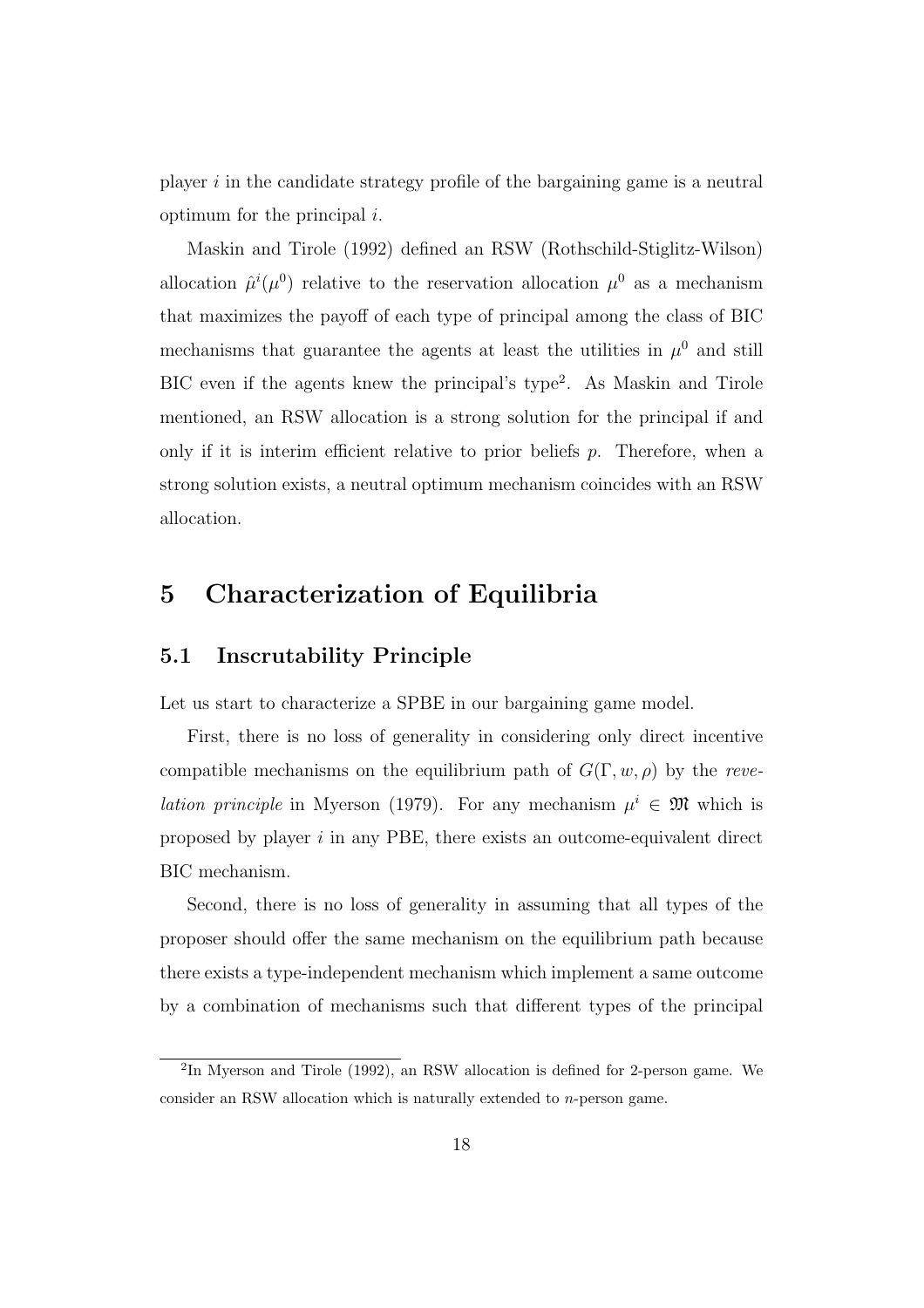player *i* in the candidate strategy profile of the bargaining game is a neutral optimum for the principal *i*.

Maskin and Tirole (1992) defined an RSW (Rothschild-Stiglitz-Wilson) allocation  $\hat{\mu}^i(\mu^0)$  relative to the reservation allocation  $\mu^0$  as a mechanism that maximizes the payoff of each type of principal among the class of BIC mechanisms that guarantee the agents at least the utilities in  $\mu^0$  and still BIC even if the agents knew the principal's type<sup>2</sup> . As Maskin and Tirole mentioned, an RSW allocation is a strong solution for the principal if and only if it is interim efficient relative to prior beliefs *p*. Therefore, when a strong solution exists, a neutral optimum mechanism coincides with an RSW allocation.

# **5 Characterization of Equilibria**

#### **5.1 Inscrutability Principle**

Let us start to characterize a SPBE in our bargaining game model.

First, there is no loss of generality in considering only direct incentive compatible mechanisms on the equilibrium path of  $G(\Gamma, w, \rho)$  by the *revelation principle* in Myerson (1979). For any mechanism  $\mu^i \in \mathfrak{M}$  which is proposed by player *i* in any PBE, there exists an outcome-equivalent direct BIC mechanism.

Second, there is no loss of generality in assuming that all types of the proposer should offer the same mechanism on the equilibrium path because there exists a type-independent mechanism which implement a same outcome by a combination of mechanisms such that different types of the principal

<sup>2</sup> In Myerson and Tirole (1992), an RSW allocation is defined for 2-person game. We consider an RSW allocation which is naturally extended to *n*-person game.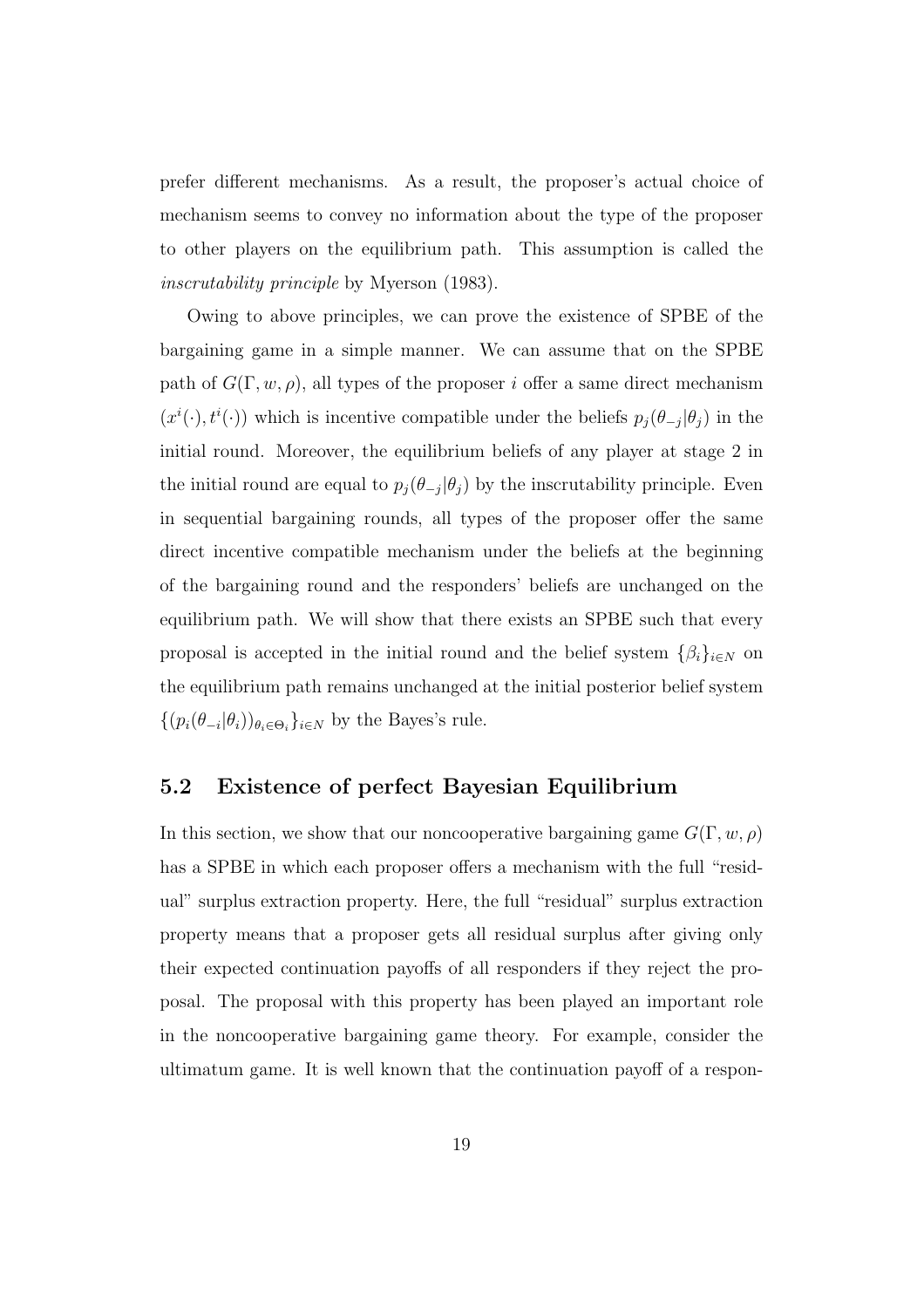prefer different mechanisms. As a result, the proposer's actual choice of mechanism seems to convey no information about the type of the proposer to other players on the equilibrium path. This assumption is called the *inscrutability principle* by Myerson (1983).

Owing to above principles, we can prove the existence of SPBE of the bargaining game in a simple manner. We can assume that on the SPBE path of  $G(\Gamma, w, \rho)$ , all types of the proposer *i* offer a same direct mechanism  $(x^{i}(\cdot), t^{i}(\cdot))$  which is incentive compatible under the beliefs  $p_j(\theta_{-j}|\theta_j)$  in the initial round. Moreover, the equilibrium beliefs of any player at stage 2 in the initial round are equal to  $p_j(\theta_{-j}|\theta_j)$  by the inscrutability principle. Even in sequential bargaining rounds, all types of the proposer offer the same direct incentive compatible mechanism under the beliefs at the beginning of the bargaining round and the responders' beliefs are unchanged on the equilibrium path. We will show that there exists an SPBE such that every proposal is accepted in the initial round and the belief system  $\{\beta_i\}_{i \in N}$  on the equilibrium path remains unchanged at the initial posterior belief system  $\{(p_i(\theta_{-i}|\theta_i))_{\theta_i \in \Theta_i}\}_{i \in \mathbb{N}}$  by the Bayes's rule.

### **5.2 Existence of perfect Bayesian Equilibrium**

In this section, we show that our noncooperative bargaining game  $G(\Gamma, w, \rho)$ has a SPBE in which each proposer offers a mechanism with the full "residual" surplus extraction property. Here, the full "residual" surplus extraction property means that a proposer gets all residual surplus after giving only their expected continuation payoffs of all responders if they reject the proposal. The proposal with this property has been played an important role in the noncooperative bargaining game theory. For example, consider the ultimatum game. It is well known that the continuation payoff of a respon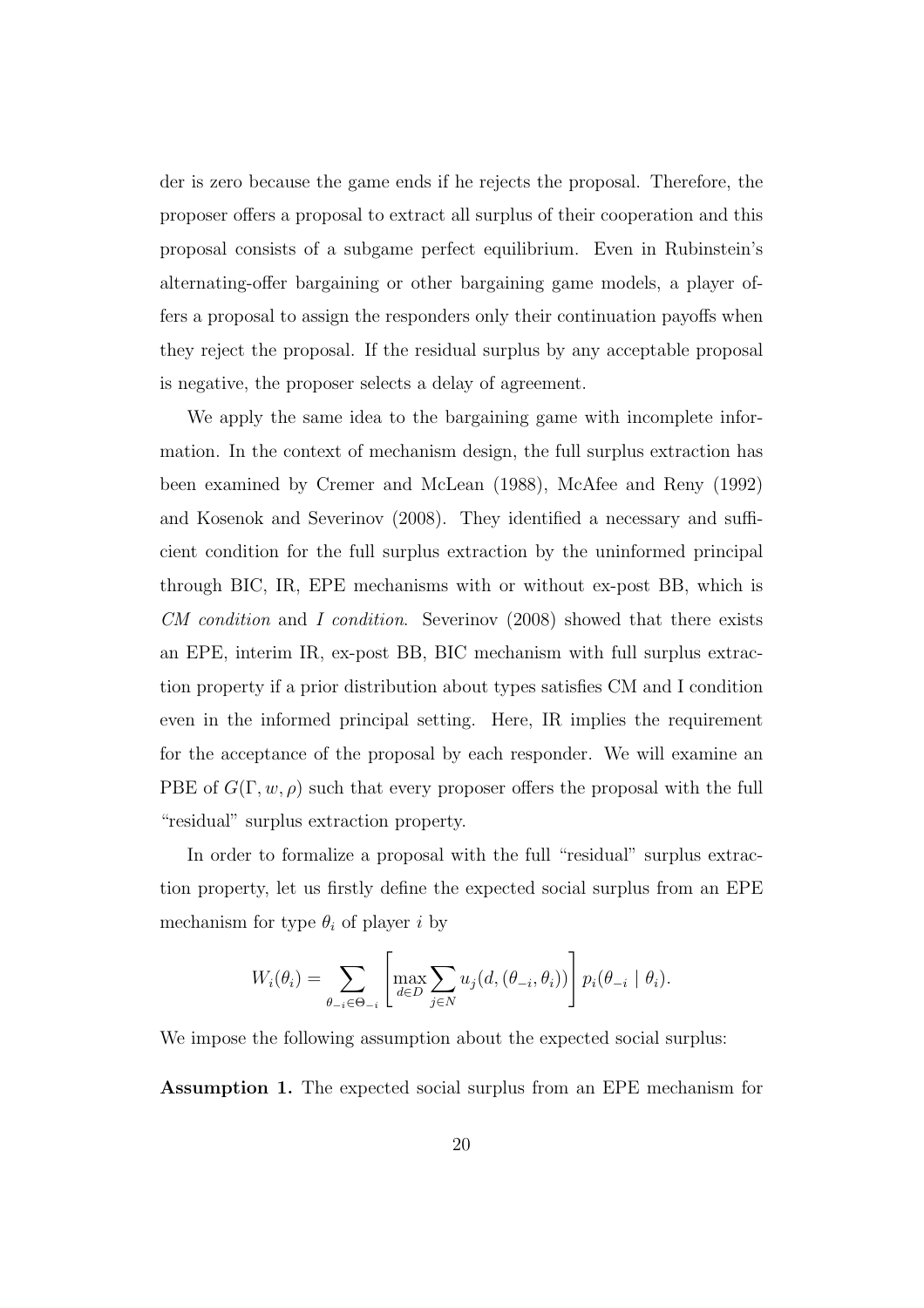der is zero because the game ends if he rejects the proposal. Therefore, the proposer offers a proposal to extract all surplus of their cooperation and this proposal consists of a subgame perfect equilibrium. Even in Rubinstein's alternating-offer bargaining or other bargaining game models, a player offers a proposal to assign the responders only their continuation payoffs when they reject the proposal. If the residual surplus by any acceptable proposal is negative, the proposer selects a delay of agreement.

We apply the same idea to the bargaining game with incomplete information. In the context of mechanism design, the full surplus extraction has been examined by Cremer and McLean (1988), McAfee and Reny (1992) and Kosenok and Severinov (2008). They identified a necessary and sufficient condition for the full surplus extraction by the uninformed principal through BIC, IR, EPE mechanisms with or without ex-post BB, which is *CM condition* and *I condition*. Severinov (2008) showed that there exists an EPE, interim IR, ex-post BB, BIC mechanism with full surplus extraction property if a prior distribution about types satisfies CM and I condition even in the informed principal setting. Here, IR implies the requirement for the acceptance of the proposal by each responder. We will examine an PBE of  $G(\Gamma, w, \rho)$  such that every proposer offers the proposal with the full "residual" surplus extraction property.

In order to formalize a proposal with the full "residual" surplus extraction property, let us firstly define the expected social surplus from an EPE mechanism for type  $\theta_i$  of player *i* by

$$
W_i(\theta_i) = \sum_{\theta_{-i} \in \Theta_{-i}} \left[ \max_{d \in D} \sum_{j \in N} u_j(d, (\theta_{-i}, \theta_i)) \right] p_i(\theta_{-i} | \theta_i).
$$

We impose the following assumption about the expected social surplus:

**Assumption 1.** The expected social surplus from an EPE mechanism for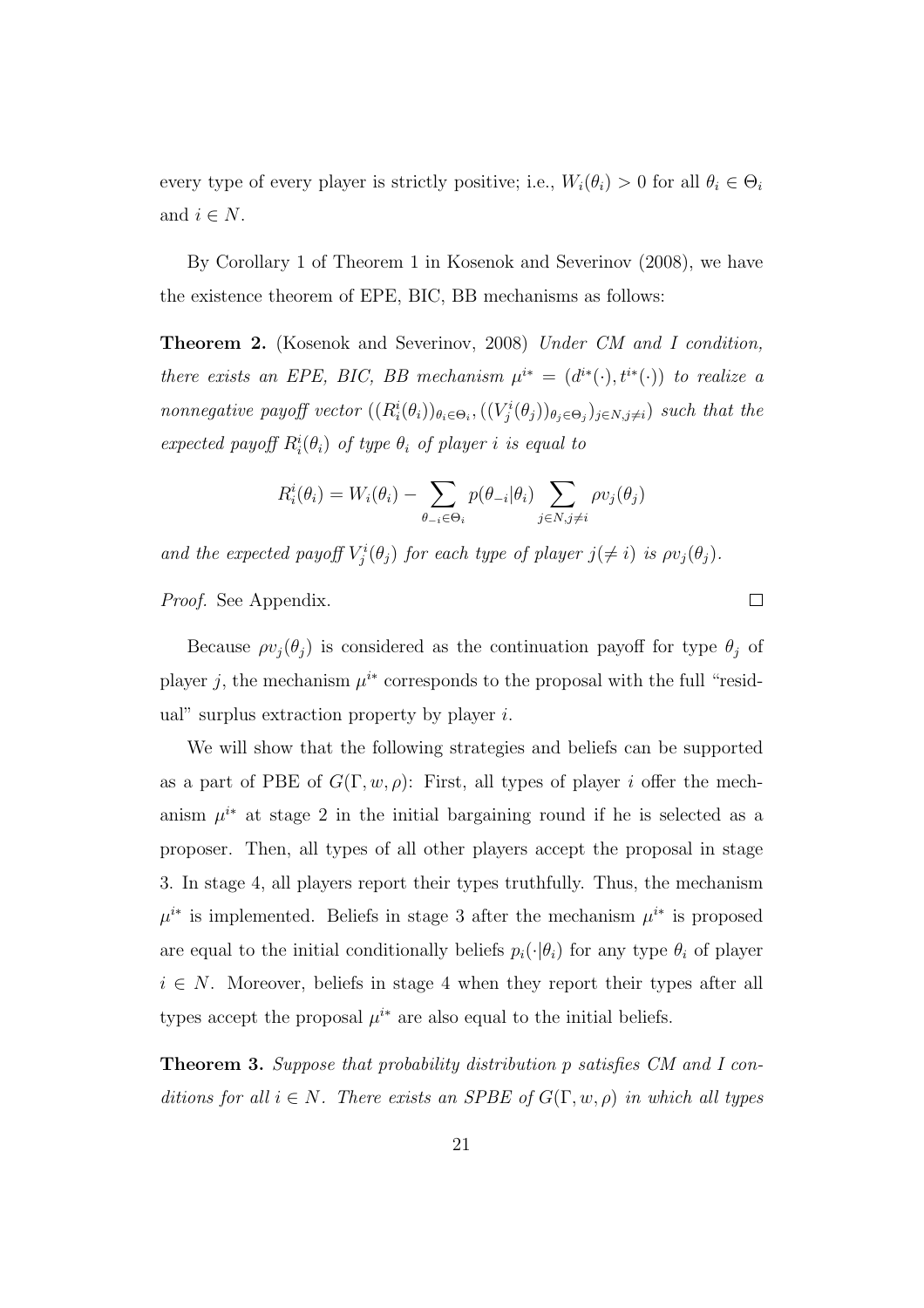every type of every player is strictly positive; i.e.,  $W_i(\theta_i) > 0$  for all  $\theta_i \in \Theta_i$ and  $i \in N$ .

By Corollary 1 of Theorem 1 in Kosenok and Severinov (2008), we have the existence theorem of EPE, BIC, BB mechanisms as follows:

**Theorem 2.** (Kosenok and Severinov, 2008) *Under CM and I condition, there exists an EPE, BIC, BB mechanism*  $\mu^{i*} = (d^{i*}(\cdot), t^{i*}(\cdot))$  *to realize a* nonnegative payoff vector  $((R_i^i(\theta_i))_{\theta_i \in \Theta_i}, ((V_j^i(\theta_j))_{\theta_j \in \Theta_j})_{j \in N, j \neq i})$  such that the *expected payoff*  $R_i^i(\theta_i)$  *of type*  $\theta_i$  *of player i is equal to* 

$$
R_i^i(\theta_i) = W_i(\theta_i) - \sum_{\theta_{-i} \in \Theta_i} p(\theta_{-i}|\theta_i) \sum_{j \in N, j \neq i} \rho v_j(\theta_j)
$$

*and the expected payoff*  $V_j^i(\theta_j)$  *for each type of player*  $j(\neq i)$  *is*  $\rho v_j(\theta_j)$ *.* 

*Proof.* See Appendix.

Because  $\rho v_j(\theta_j)$  is considered as the continuation payoff for type  $\theta_j$  of player *j*, the mechanism  $\mu^{i*}$  corresponds to the proposal with the full "residual" surplus extraction property by player *i*.

 $\Box$ 

We will show that the following strategies and beliefs can be supported as a part of PBE of  $G(\Gamma, w, \rho)$ : First, all types of player *i* offer the mechanism  $\mu^{i*}$  at stage 2 in the initial bargaining round if he is selected as a proposer. Then, all types of all other players accept the proposal in stage 3. In stage 4, all players report their types truthfully. Thus, the mechanism  $\mu^{i*}$  is implemented. Beliefs in stage 3 after the mechanism  $\mu^{i*}$  is proposed are equal to the initial conditionally beliefs  $p_i(\cdot|\theta_i)$  for any type  $\theta_i$  of player  $i \in N$ . Moreover, beliefs in stage 4 when they report their types after all types accept the proposal  $\mu^{i*}$  are also equal to the initial beliefs.

**Theorem 3.** *Suppose that probability distribution p satisfies CM and I conditions for all*  $i \in N$ *. There exists an SPBE of*  $G(\Gamma, w, \rho)$  *in which all types*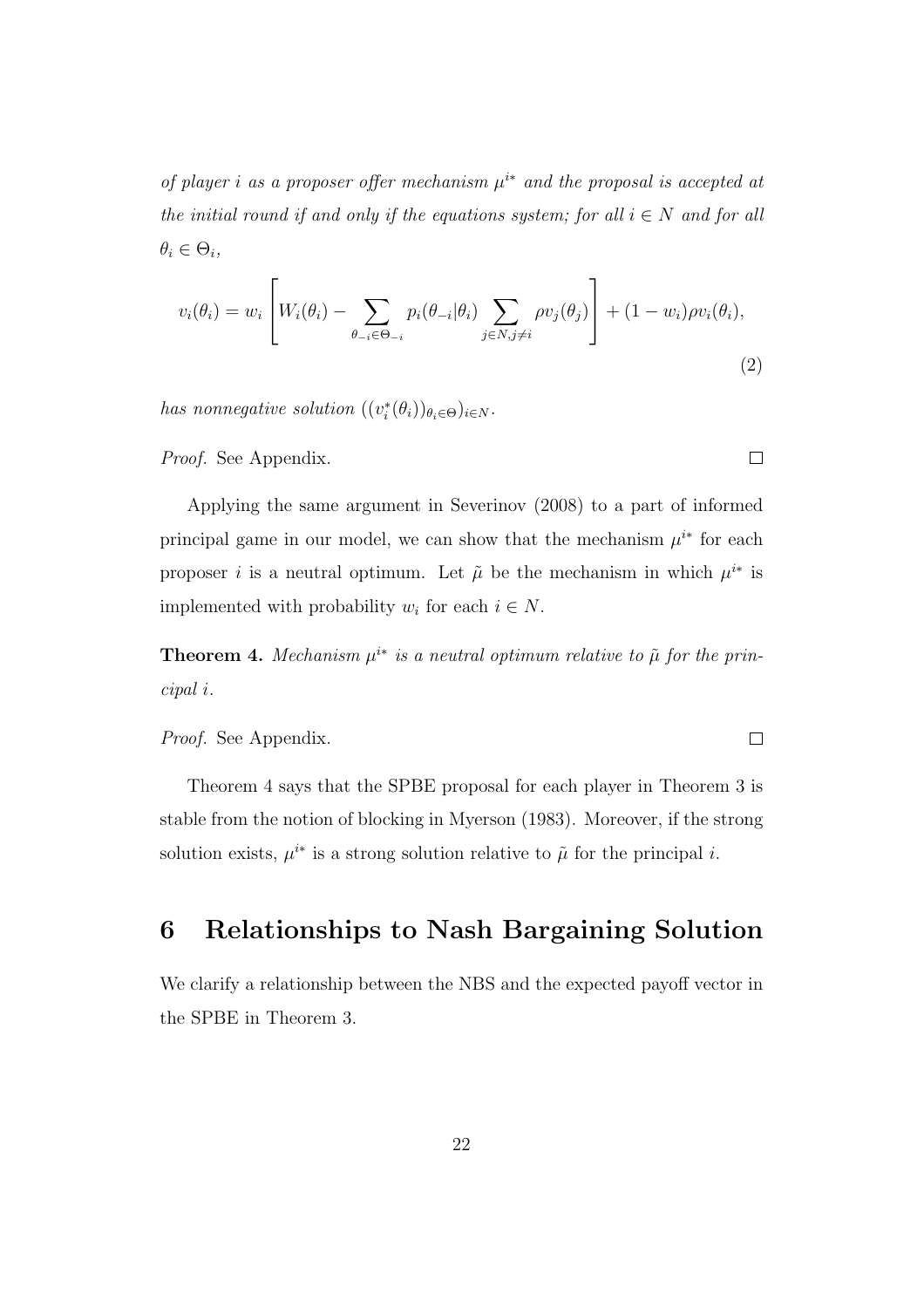*of player i as a proposer offer mechanism µ <sup>i</sup><sup>∗</sup> and the proposal is accepted at the initial round if and only if the equations system; for all*  $i \in N$  *and for all*  $\theta_i \in \Theta_i$ 

$$
v_i(\theta_i) = w_i \left[ W_i(\theta_i) - \sum_{\theta_{-i} \in \Theta_{-i}} p_i(\theta_{-i} | \theta_i) \sum_{j \in N, j \neq i} \rho v_j(\theta_j) \right] + (1 - w_i) \rho v_i(\theta_i),
$$
\n(2)

 $\Box$ 

 $\Box$ 

*has nonnegative solution*  $((v_i^*(\theta_i))_{\theta_i \in \Theta})_{i \in N}$ .

*Proof.* See Appendix.

Applying the same argument in Severinov (2008) to a part of informed principal game in our model, we can show that the mechanism  $\mu^{i*}$  for each proposer *i* is a neutral optimum. Let  $\tilde{\mu}$  be the mechanism in which  $\mu^{i*}$  is implemented with probability  $w_i$  for each  $i \in N$ .

**Theorem 4.** Mechanism  $\mu^{i*}$  is a neutral optimum relative to  $\tilde{\mu}$  for the prin*cipal i.*

*Proof.* See Appendix.

Theorem 4 says that the SPBE proposal for each player in Theorem 3 is stable from the notion of blocking in Myerson (1983). Moreover, if the strong solution exists,  $\mu^{i*}$  is a strong solution relative to  $\tilde{\mu}$  for the principal *i*.

# **6 Relationships to Nash Bargaining Solution**

We clarify a relationship between the NBS and the expected payoff vector in the SPBE in Theorem 3.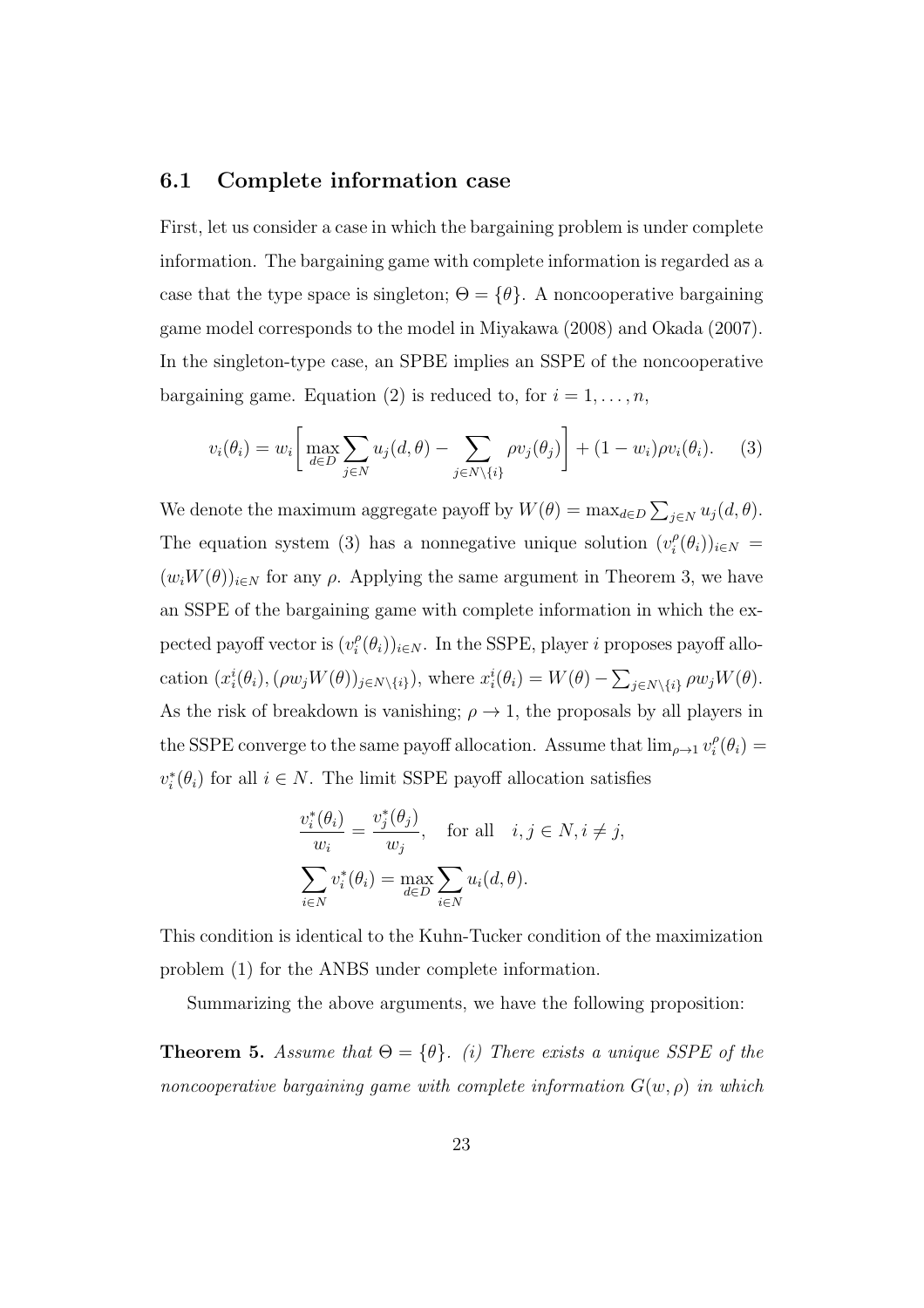#### **6.1 Complete information case**

First, let us consider a case in which the bargaining problem is under complete information. The bargaining game with complete information is regarded as a case that the type space is singleton;  $\Theta = {\theta}$ . A noncooperative bargaining game model corresponds to the model in Miyakawa (2008) and Okada (2007). In the singleton-type case, an SPBE implies an SSPE of the noncooperative bargaining game. Equation (2) is reduced to, for  $i = 1, \ldots, n$ ,

$$
v_i(\theta_i) = w_i \left[ \max_{d \in D} \sum_{j \in N} u_j(d, \theta) - \sum_{j \in N \setminus \{i\}} \rho v_j(\theta_j) \right] + (1 - w_i) \rho v_i(\theta_i). \tag{3}
$$

We denote the maximum aggregate payoff by  $W(\theta) = \max_{d \in D} \sum_{j \in N} u_j(d, \theta)$ . The equation system (3) has a nonnegative unique solution  $(v_i^{\rho})$  $i^{\rho}(\theta_i))_{i \in N} =$  $(w_iW(\theta))_{i\in\mathbb{N}}$  for any  $\rho$ . Applying the same argument in Theorem 3, we have an SSPE of the bargaining game with complete information in which the expected payoff vector is  $(v_i^{\rho})$  $\binom{P}{i}(\theta_i)_{i\in N}$ . In the SSPE, player *i* proposes payoff allocation  $(x_i^i(\theta_i), (\rho w_j W(\theta))_{j \in N \setminus \{i\}})$ , where  $x_i^i(\theta_i) = W(\theta) - \sum_{j \in N \setminus \{i\}} \rho w_j W(\theta)$ . As the risk of breakdown is vanishing;  $\rho \rightarrow 1$ , the proposals by all players in the SSPE converge to the same payoff allocation. Assume that  $\lim_{\rho \to 1} v_i^{\rho}$  $\frac{\rho}{i}(\theta_i) =$  $v_i^*(\theta_i)$  for all  $i \in N$ . The limit SSPE payoff allocation satisfies

$$
\frac{v_i^*(\theta_i)}{w_i} = \frac{v_j^*(\theta_j)}{w_j}, \quad \text{for all} \quad i, j \in N, i \neq j,
$$

$$
\sum_{i \in N} v_i^*(\theta_i) = \max_{d \in D} \sum_{i \in N} u_i(d, \theta).
$$

This condition is identical to the Kuhn-Tucker condition of the maximization problem (1) for the ANBS under complete information.

Summarizing the above arguments, we have the following proposition:

**Theorem 5.** *Assume that*  $\Theta = {\theta}$ *. (i) There exists a unique SSPE of the noncooperative bargaining game with complete information*  $G(w, \rho)$  *in which*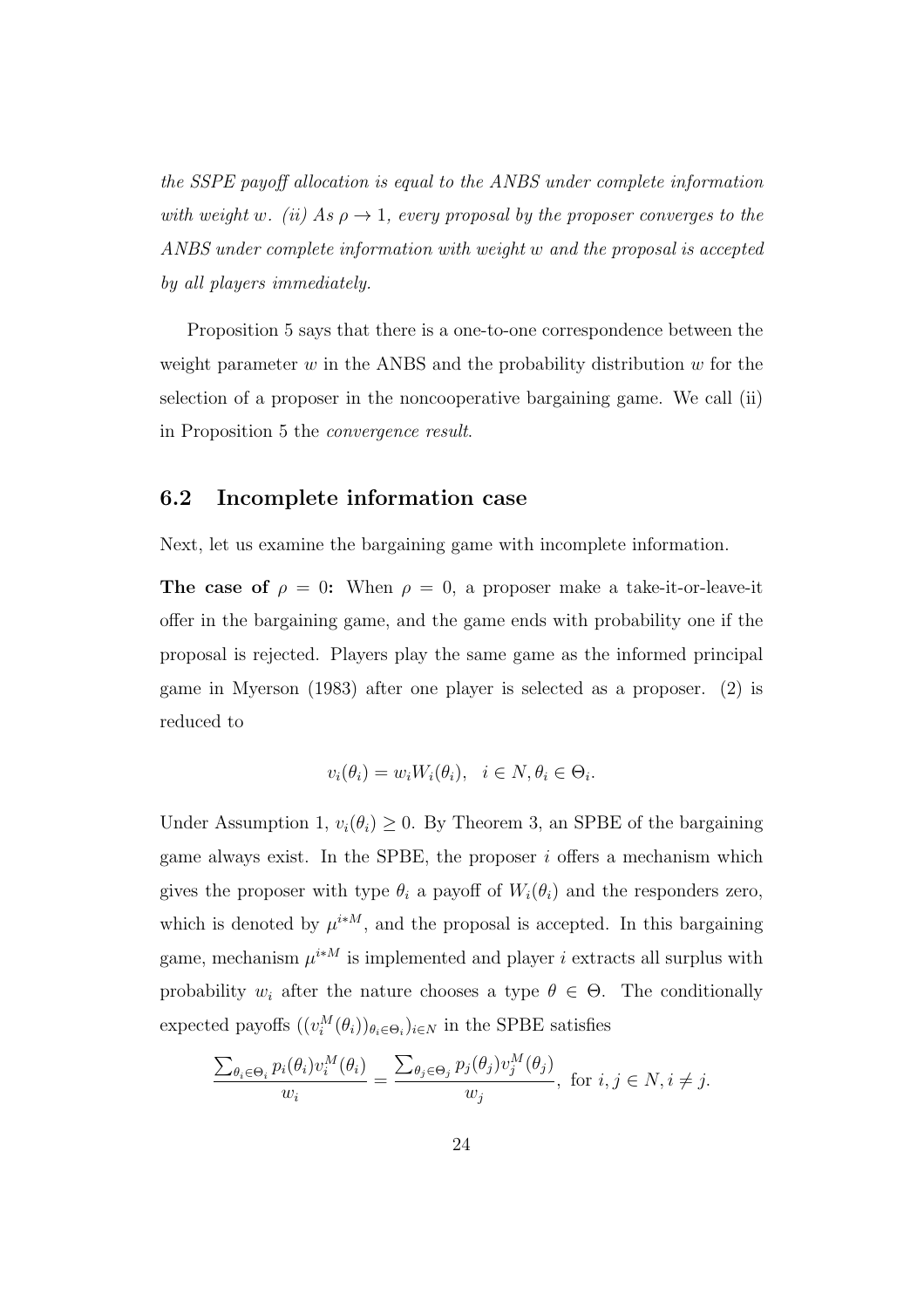*the SSPE payoff allocation is equal to the ANBS under complete information with weight w. (ii)* As  $\rho \rightarrow 1$ *, every proposal by the proposer converges to the ANBS under complete information with weight w and the proposal is accepted by all players immediately.*

Proposition 5 says that there is a one-to-one correspondence between the weight parameter *w* in the ANBS and the probability distribution *w* for the selection of a proposer in the noncooperative bargaining game. We call (ii) in Proposition 5 the *convergence result*.

#### **6.2 Incomplete information case**

Next, let us examine the bargaining game with incomplete information.

**The case of**  $\rho = 0$ : When  $\rho = 0$ , a proposer make a take-it-or-leave-it offer in the bargaining game, and the game ends with probability one if the proposal is rejected. Players play the same game as the informed principal game in Myerson (1983) after one player is selected as a proposer. (2) is reduced to

$$
v_i(\theta_i) = w_i W_i(\theta_i), \quad i \in N, \theta_i \in \Theta_i.
$$

Under Assumption 1,  $v_i(\theta_i) \geq 0$ . By Theorem 3, an SPBE of the bargaining game always exist. In the SPBE, the proposer *i* offers a mechanism which gives the proposer with type  $\theta_i$  a payoff of  $W_i(\theta_i)$  and the responders zero, which is denoted by  $\mu^{i * M}$ , and the proposal is accepted. In this bargaining game, mechanism  $\mu^{i * M}$  is implemented and player *i* extracts all surplus with probability  $w_i$  after the nature chooses a type  $\theta \in \Theta$ . The conditionally expected payoffs  $((v_i^M(\theta_i))_{\theta_i \in \Theta_i})_{i \in N}$  in the SPBE satisfies

$$
\frac{\sum_{\theta_i \in \Theta_i} p_i(\theta_i) v_i^M(\theta_i)}{w_i} = \frac{\sum_{\theta_j \in \Theta_j} p_j(\theta_j) v_j^M(\theta_j)}{w_j}, \text{ for } i, j \in N, i \neq j.
$$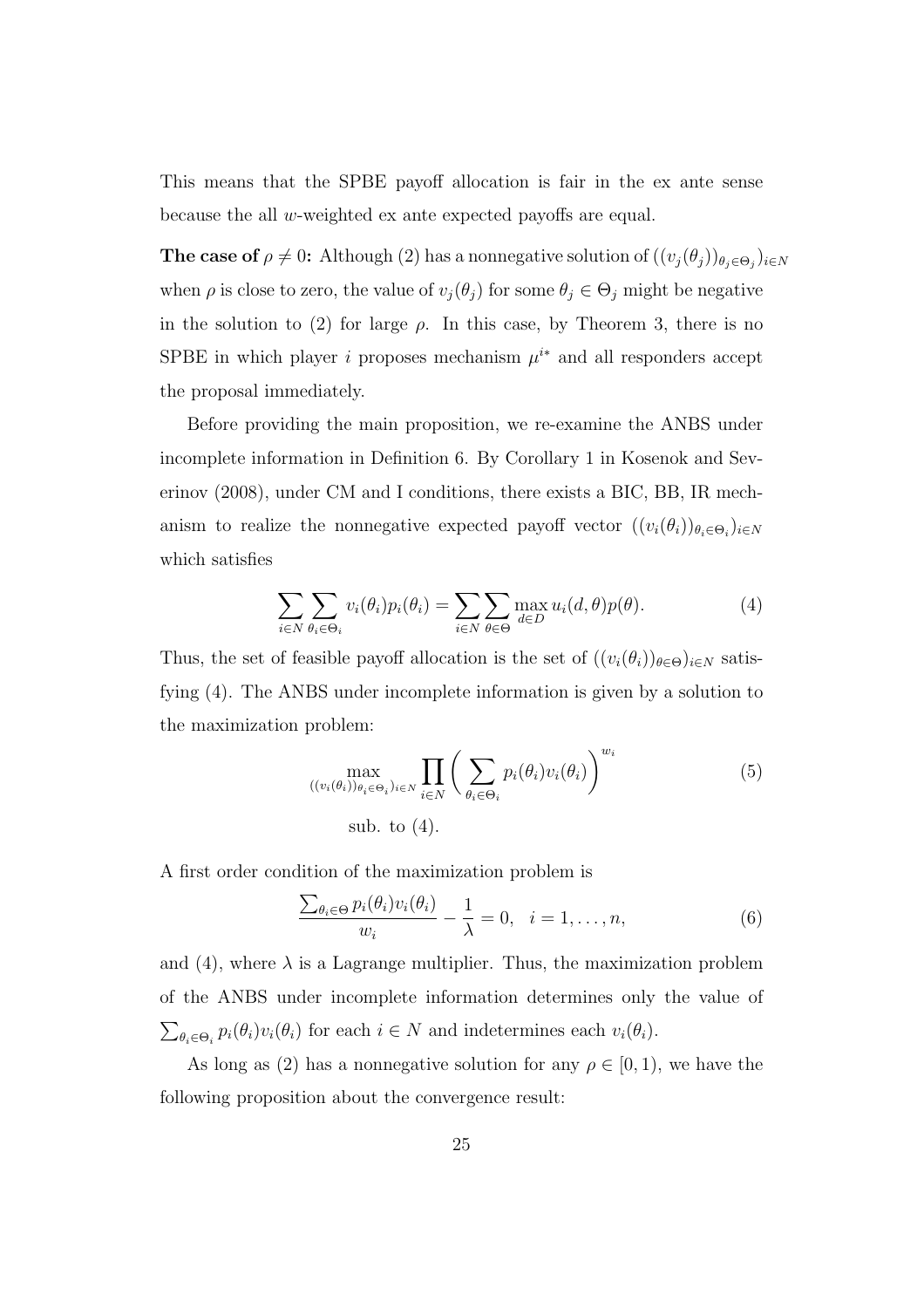This means that the SPBE payoff allocation is fair in the ex ante sense because the all *w*-weighted ex ante expected payoffs are equal.

**The case of**  $\rho \neq 0$ : Although (2) has a nonnegative solution of  $((v_j(\theta_j))_{\theta_j \in \Theta_j})_{i \in N}$ when  $\rho$  is close to zero, the value of  $v_j(\theta_j)$  for some  $\theta_j \in \Theta_j$  might be negative in the solution to (2) for large  $\rho$ . In this case, by Theorem 3, there is no SPBE in which player *i* proposes mechanism  $\mu^{i*}$  and all responders accept the proposal immediately.

Before providing the main proposition, we re-examine the ANBS under incomplete information in Definition 6. By Corollary 1 in Kosenok and Severinov (2008), under CM and I conditions, there exists a BIC, BB, IR mechanism to realize the nonnegative expected payoff vector  $((v_i(\theta_i))_{\theta_i \in \Theta_i})_{i \in N}$ which satisfies

$$
\sum_{i \in N} \sum_{\theta_i \in \Theta_i} v_i(\theta_i) p_i(\theta_i) = \sum_{i \in N} \sum_{\theta \in \Theta} \max_{d \in D} u_i(d, \theta) p(\theta).
$$
 (4)

Thus, the set of feasible payoff allocation is the set of  $((v_i(\theta_i))_{\theta \in \Theta})_{i \in N}$  satisfying (4). The ANBS under incomplete information is given by a solution to the maximization problem:

$$
\max_{((v_i(\theta_i))_{\theta_i \in \Theta_i})_{i \in N}} \prod_{i \in N} \left( \sum_{\theta_i \in \Theta_i} p_i(\theta_i) v_i(\theta_i) \right)^{w_i}
$$
\nsub. to (4).

A first order condition of the maximization problem is

$$
\frac{\sum_{\theta_i \in \Theta} p_i(\theta_i) v_i(\theta_i)}{w_i} - \frac{1}{\lambda} = 0, \quad i = 1, \dots, n,
$$
\n(6)

and (4), where  $\lambda$  is a Lagrange multiplier. Thus, the maximization problem of the ANBS under incomplete information determines only the value of  $\sum_{\theta_i \in \Theta_i} p_i(\theta_i) v_i(\theta_i)$  for each  $i \in N$  and indetermines each  $v_i(\theta_i)$ .

As long as (2) has a nonnegative solution for any  $\rho \in [0, 1)$ , we have the following proposition about the convergence result: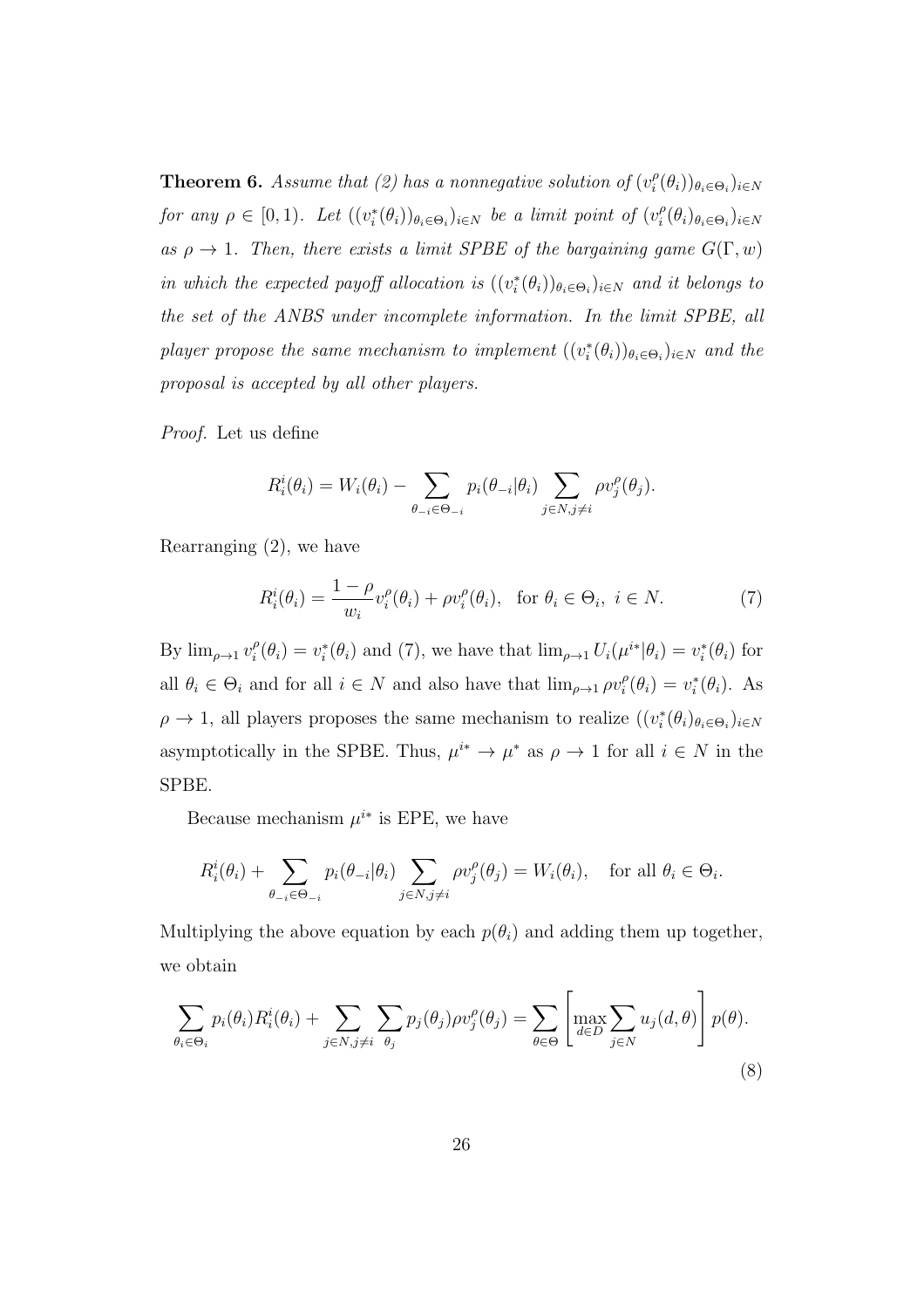**Theorem 6.** Assume that (2) has a nonnegative solution of  $(v_i^{\rho})$  $\binom{P}{i}(\theta_i)$ ) $\theta_i \in \Theta_i$ ) $i \in N$ *for any*  $\rho \in [0, 1)$ *. Let*  $((v_i^*(\theta_i))_{\theta_i \in \Theta_i})_{i \in N}$  *be a limit point of*  $(v_i^{\rho})$  $\frac{\rho}{i}(\theta_i)_{\theta_i \in \Theta_i}$ )<sub>*i*∈*N*</sub> *as*  $\rho \rightarrow 1$ *. Then, there exists a limit SPBE of the bargaining game*  $G(\Gamma, w)$ *in which the expected payoff allocation is*  $((v_i^*(\theta_i))_{\theta_i \in \Theta_i})_{i \in N}$  *and it belongs to the set of the ANBS under incomplete information. In the limit SPBE, all player propose the same mechanism to implement*  $((v_i^*(\theta_i))_{\theta_i \in \Theta_i})_{i \in N}$  and the *proposal is accepted by all other players.*

*Proof.* Let us define

$$
R_i^i(\theta_i) = W_i(\theta_i) - \sum_{\theta_{-i} \in \Theta_{-i}} p_i(\theta_{-i}|\theta_i) \sum_{j \in N, j \neq i} \rho v_j^{\rho}(\theta_j).
$$

Rearranging (2), we have

$$
R_i^i(\theta_i) = \frac{1 - \rho}{w_i} v_i^{\rho}(\theta_i) + \rho v_i^{\rho}(\theta_i), \text{ for } \theta_i \in \Theta_i, i \in N.
$$
 (7)

By  $\lim_{\rho \to 1} v_i^{\rho}$  $u_i^{\rho}(\theta_i) = v_i^*(\theta_i)$  and (7), we have that  $\lim_{\rho \to 1} U_i(\mu^{i*}|\theta_i) = v_i^*(\theta_i)$  for all  $\theta_i \in \Theta_i$  and for all  $i \in N$  and also have that  $\lim_{\rho \to 1} \rho v_i^{\rho}$  $v_i^{\rho}(\theta_i) = v_i^*(\theta_i)$ . As  $\rho \to 1$ , all players proposes the same mechanism to realize  $((v_i^*(\theta_i)_{\theta_i \in \Theta_i})_{i \in N}$ asymptotically in the SPBE. Thus,  $\mu^{i*} \to \mu^{*}$  as  $\rho \to 1$  for all  $i \in N$  in the SPBE.

Because mechanism  $\mu^{i*}$  is EPE, we have

$$
R_i^i(\theta_i) + \sum_{\theta_{-i} \in \Theta_{-i}} p_i(\theta_{-i}|\theta_i) \sum_{j \in N, j \neq i} \rho v_j^{\rho}(\theta_j) = W_i(\theta_i), \text{ for all } \theta_i \in \Theta_i.
$$

Multiplying the above equation by each  $p(\theta_i)$  and adding them up together, we obtain

$$
\sum_{\theta_i \in \Theta_i} p_i(\theta_i) R_i^i(\theta_i) + \sum_{j \in N, j \neq i} \sum_{\theta_j} p_j(\theta_j) \rho v_j^{\rho}(\theta_j) = \sum_{\theta \in \Theta} \left[ \max_{d \in D} \sum_{j \in N} u_j(d, \theta) \right] p(\theta).
$$
\n(8)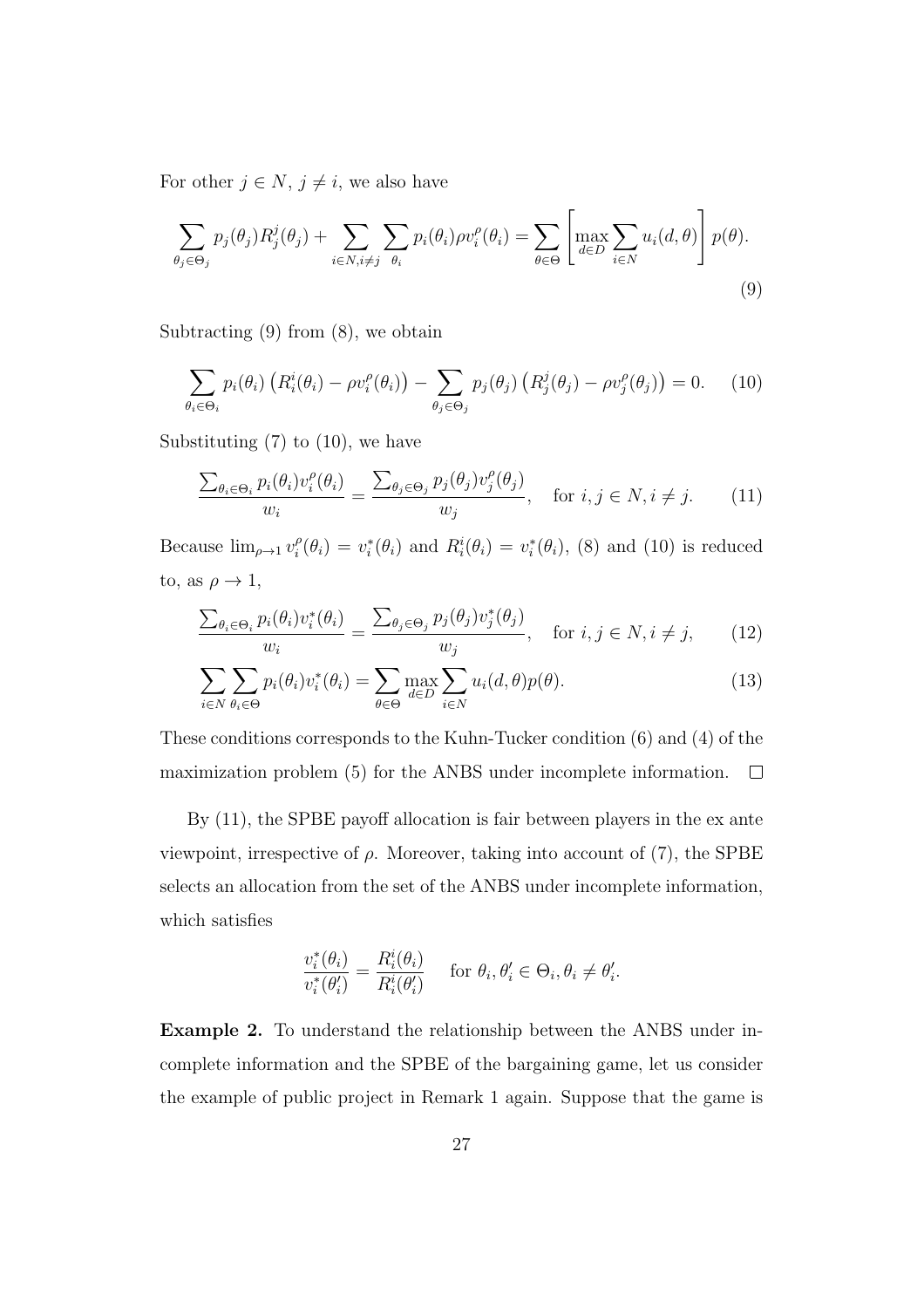For other  $j \in N$ ,  $j \neq i$ , we also have

$$
\sum_{\theta_j \in \Theta_j} p_j(\theta_j) R_j^j(\theta_j) + \sum_{i \in N, i \neq j} \sum_{\theta_i} p_i(\theta_i) \rho v_i^{\rho}(\theta_i) = \sum_{\theta \in \Theta} \left[ \max_{d \in D} \sum_{i \in N} u_i(d, \theta) \right] p(\theta).
$$
\n(9)

Subtracting  $(9)$  from  $(8)$ , we obtain

$$
\sum_{\theta_i \in \Theta_i} p_i(\theta_i) \left( R_i^i(\theta_i) - \rho v_i^{\rho}(\theta_i) \right) - \sum_{\theta_j \in \Theta_j} p_j(\theta_j) \left( R_j^j(\theta_j) - \rho v_j^{\rho}(\theta_j) \right) = 0. \tag{10}
$$

Substituting  $(7)$  to  $(10)$ , we have

$$
\frac{\sum_{\theta_i \in \Theta_i} p_i(\theta_i) v_i^{\rho}(\theta_i)}{w_i} = \frac{\sum_{\theta_j \in \Theta_j} p_j(\theta_j) v_j^{\rho}(\theta_j)}{w_j}, \quad \text{for } i, j \in N, i \neq j. \tag{11}
$$

Because  $\lim_{\rho \to 1} v_i^{\rho}$  $f_i^{\rho}(\theta_i) = v_i^*(\theta_i)$  and  $R_i^i(\theta_i) = v_i^*(\theta_i)$ , (8) and (10) is reduced to, as  $\rho \to 1$ ,

$$
\frac{\sum_{\theta_i \in \Theta_i} p_i(\theta_i) v_i^*(\theta_i)}{w_i} = \frac{\sum_{\theta_j \in \Theta_j} p_j(\theta_j) v_j^*(\theta_j)}{w_j}, \quad \text{for } i, j \in N, i \neq j,
$$
 (12)

$$
\sum_{i \in N} \sum_{\theta_i \in \Theta} p_i(\theta_i) v_i^*(\theta_i) = \sum_{\theta \in \Theta} \max_{d \in D} \sum_{i \in N} u_i(d, \theta) p(\theta).
$$
 (13)

These conditions corresponds to the Kuhn-Tucker condition (6) and (4) of the maximization problem (5) for the ANBS under incomplete information.  $\Box$ 

By (11), the SPBE payoff allocation is fair between players in the ex ante viewpoint, irrespective of  $\rho$ . Moreover, taking into account of (7), the SPBE selects an allocation from the set of the ANBS under incomplete information, which satisfies

$$
\frac{v_i^*(\theta_i)}{v_i^*(\theta'_i)} = \frac{R_i^i(\theta_i)}{R_i^i(\theta'_i)} \quad \text{ for } \theta_i, \theta'_i \in \Theta_i, \theta_i \neq \theta'_i.
$$

**Example 2.** To understand the relationship between the ANBS under incomplete information and the SPBE of the bargaining game, let us consider the example of public project in Remark 1 again. Suppose that the game is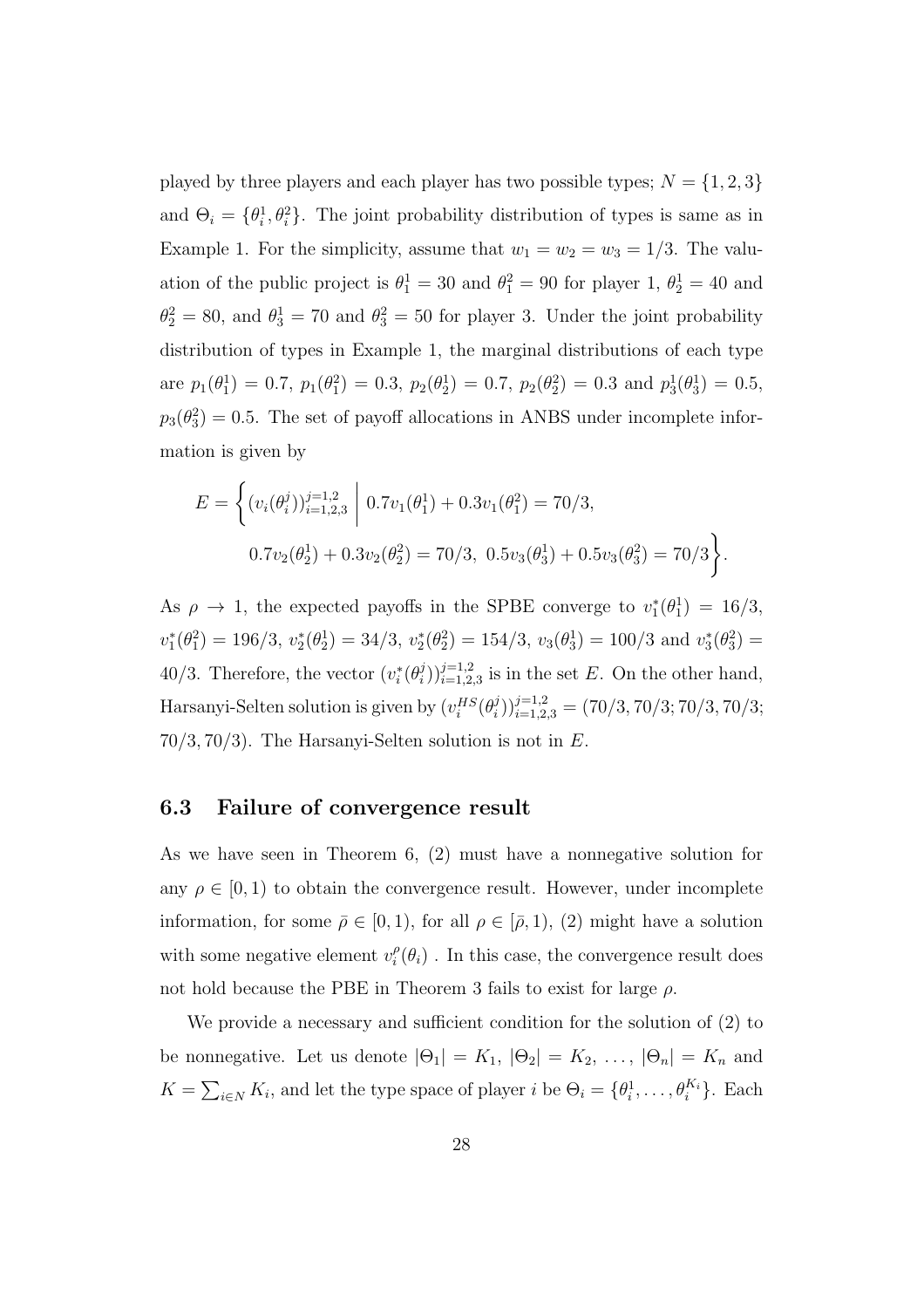played by three players and each player has two possible types;  $N = \{1, 2, 3\}$ and  $\Theta_i = {\theta_i^1, \theta_i^2}$ . The joint probability distribution of types is same as in Example 1. For the simplicity, assume that  $w_1 = w_2 = w_3 = 1/3$ . The valuation of the public project is  $\theta_1^1 = 30$  and  $\theta_1^2 = 90$  for player 1,  $\theta_2^1 = 40$  and  $\theta_2^2 = 80$ , and  $\theta_3^1 = 70$  and  $\theta_3^2 = 50$  for player 3. Under the joint probability distribution of types in Example 1, the marginal distributions of each type are  $p_1(\theta_1^1) = 0.7$ ,  $p_1(\theta_1^2) = 0.3$ ,  $p_2(\theta_2^1) = 0.7$ ,  $p_2(\theta_2^2) = 0.3$  and  $p_3^1(\theta_3^1) = 0.5$ ,  $p_3(\theta_3^2) = 0.5$ . The set of payoff allocations in ANBS under incomplete information is given by

$$
E = \left\{ (v_i(\theta_i^j))_{i=1,2,3}^{j=1,2} \middle| 0.7v_1(\theta_1^1) + 0.3v_1(\theta_1^2) = 70/3, 0.7v_2(\theta_2^1) + 0.3v_2(\theta_2^2) = 70/3, 0.5v_3(\theta_3^1) + 0.5v_3(\theta_3^2) = 70/3 \right\}.
$$

As  $\rho \to 1$ , the expected payoffs in the SPBE converge to  $v_1^*(\theta_1^1) = 16/3$ ,  $v_1^*(\theta_1^2) = 196/3, v_2^*(\theta_2^1) = 34/3, v_2^*(\theta_2^2) = 154/3, v_3(\theta_3^1) = 100/3$  and  $v_3^*(\theta_3^2) =$ 40/3. Therefore, the vector  $(v_i^*(\theta_i^j))$  $(i)$ <sup> $(j)$ </sup> $i=1,2,3$  is in the set *E*. On the other hand, Harsanyi-Selten solution is given by  $(v_i^{HS}(\theta_i^j))$  $(i)$ <sub>i</sub> $(i)$ <sub>i</sub> $(i)$ <sub>i</sub> $(i)$ <sub>1,2</sub><sub>*,3*</sub> = (70/3*,* 70/3*;* 70/3*;* 70/3*;* 70*/*3*,* 70*/*3). The Harsanyi-Selten solution is not in *E*.

#### **6.3 Failure of convergence result**

As we have seen in Theorem 6, (2) must have a nonnegative solution for any  $\rho \in [0, 1)$  to obtain the convergence result. However, under incomplete information, for some  $\bar{\rho} \in [0, 1)$ , for all  $\rho \in [\bar{\rho}, 1)$ , (2) might have a solution with some negative element  $v_i^{\rho}$  $\hat{f}_i^{\rho}(\theta_i)$ . In this case, the convergence result does not hold because the PBE in Theorem 3 fails to exist for large *ρ*.

We provide a necessary and sufficient condition for the solution of (2) to be nonnegative. Let us denote  $|\Theta_1| = K_1$ ,  $|\Theta_2| = K_2$ , ...,  $|\Theta_n| = K_n$  and  $K = \sum_{i \in N} K_i$ , and let the type space of player *i* be  $\Theta_i = \{\theta_i^1, \dots, \theta_i^{K_i}\}$ . Each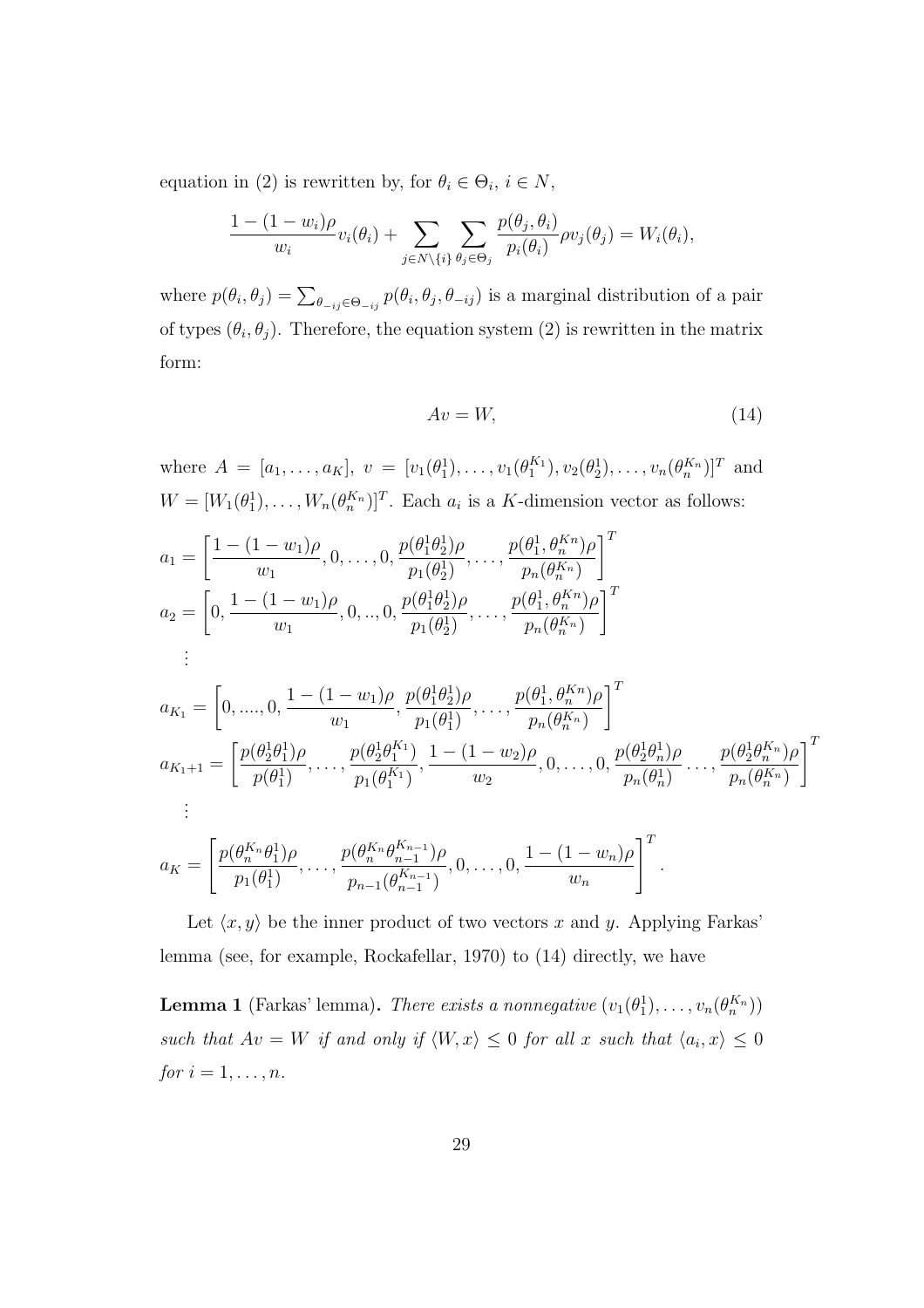equation in (2) is rewritten by, for  $\theta_i \in \Theta_i$ ,  $i \in N$ ,

$$
\frac{1-(1-w_i)\rho}{w_i}v_i(\theta_i)+\sum_{j\in N\setminus\{i\}}\sum_{\theta_j\in\Theta_j}\frac{p(\theta_j,\theta_i)}{p_i(\theta_i)}\rho v_j(\theta_j)=W_i(\theta_i),
$$

where  $p(\theta_i, \theta_j) = \sum_{\theta_{-ij} \in \Theta_{-ij}} p(\theta_i, \theta_j, \theta_{-ij})$  is a marginal distribution of a pair of types  $(\theta_i, \theta_j)$ . Therefore, the equation system (2) is rewritten in the matrix form:

$$
Av = W,\t\t(14)
$$

*.*

where  $A = [a_1, \ldots, a_K], v = [v_1(\theta_1^1), \ldots, v_1(\theta_1^{K_1}), v_2(\theta_2^1), \ldots, v_n(\theta_n^{K_n})]^T$  and  $W = [W_1(\theta_1^1), \dots, W_n(\theta_n^{K_n})]^T$ . Each  $a_i$  is a *K*-dimension vector as follows:

$$
a_1 = \left[\frac{1 - (1 - w_1)\rho}{w_1}, 0, \dots, 0, \frac{p(\theta_1^1 \theta_2^1)\rho}{p_1(\theta_2^1)}, \dots, \frac{p(\theta_1^1, \theta_n^{Kn})\rho}{p_n(\theta_n^{Kn})}\right]^T
$$
  
\n
$$
a_2 = \left[0, \frac{1 - (1 - w_1)\rho}{w_1}, 0, \dots, 0, \frac{p(\theta_1^1 \theta_2^1)\rho}{p_1(\theta_2^1)}, \dots, \frac{p(\theta_1^1, \theta_n^{Kn})\rho}{p_n(\theta_n^{Kn})}\right]^T
$$
  
\n
$$
\vdots
$$
  
\n
$$
a_{K_1} = \left[0, \dots, 0, \frac{1 - (1 - w_1)\rho}{w_1}, \frac{p(\theta_1^1 \theta_2^1)\rho}{p_1(\theta_1^1)}, \dots, \frac{p(\theta_1^1, \theta_n^{Kn})\rho}{p_n(\theta_n^{Kn})}\right]^T
$$
  
\n
$$
a_{K_1+1} = \left[\frac{p(\theta_2^1 \theta_1^1)\rho}{p(\theta_1^1)}, \dots, \frac{p(\theta_2^1 \theta_1^{Kn})}{p_1(\theta_1^{Kn})}, \frac{1 - (1 - w_2)\rho}{w_2}, 0, \dots, 0, \frac{p(\theta_2^1 \theta_n^1)\rho}{p_n(\theta_n^1)}, \dots, \frac{p(\theta_2^1 \theta_n^{Kn})\rho}{p_n(\theta_n^{Kn})}\right]^T
$$
  
\n
$$
\vdots
$$
  
\n
$$
\left[\frac{p(\theta_1^{Kn}\theta_1^1)\rho}{p(\theta_1^{Kn})}, \dots, \frac{p(\theta_n^{Kn}\theta_n^{Kn})}{p(\theta_n^{Kn})}, \frac{1 - (1 - w_1)\rho}{p(\theta_1^{Kn})}\right]^T
$$

$$
a_K = \left[ \frac{p(\theta_n^{K_n}\theta_1^1)\rho}{p_1(\theta_1^1)}, \dots, \frac{p(\theta_n^{K_n}\theta_{n-1}^{K_{n-1}})\rho}{p_{n-1}(\theta_{n-1}^{K_{n-1}})}, 0, \dots, 0, \frac{1-(1-w_n)\rho}{w_n} \right]^T
$$

Let  $\langle x, y \rangle$  be the inner product of two vectors x and y. Applying Farkas' lemma (see, for example, Rockafellar, 1970) to (14) directly, we have

**Lemma 1** (Farkas' lemma). *There exists a nonnegative*  $(v_1(\theta_1^1), \ldots, v_n(\theta_n^{K_n}))$ *such that*  $Av = W$  *if and only if*  $\langle W, x \rangle \leq 0$  *for all x such that*  $\langle a_i, x \rangle \leq 0$ *for*  $i = 1, ..., n$ *.*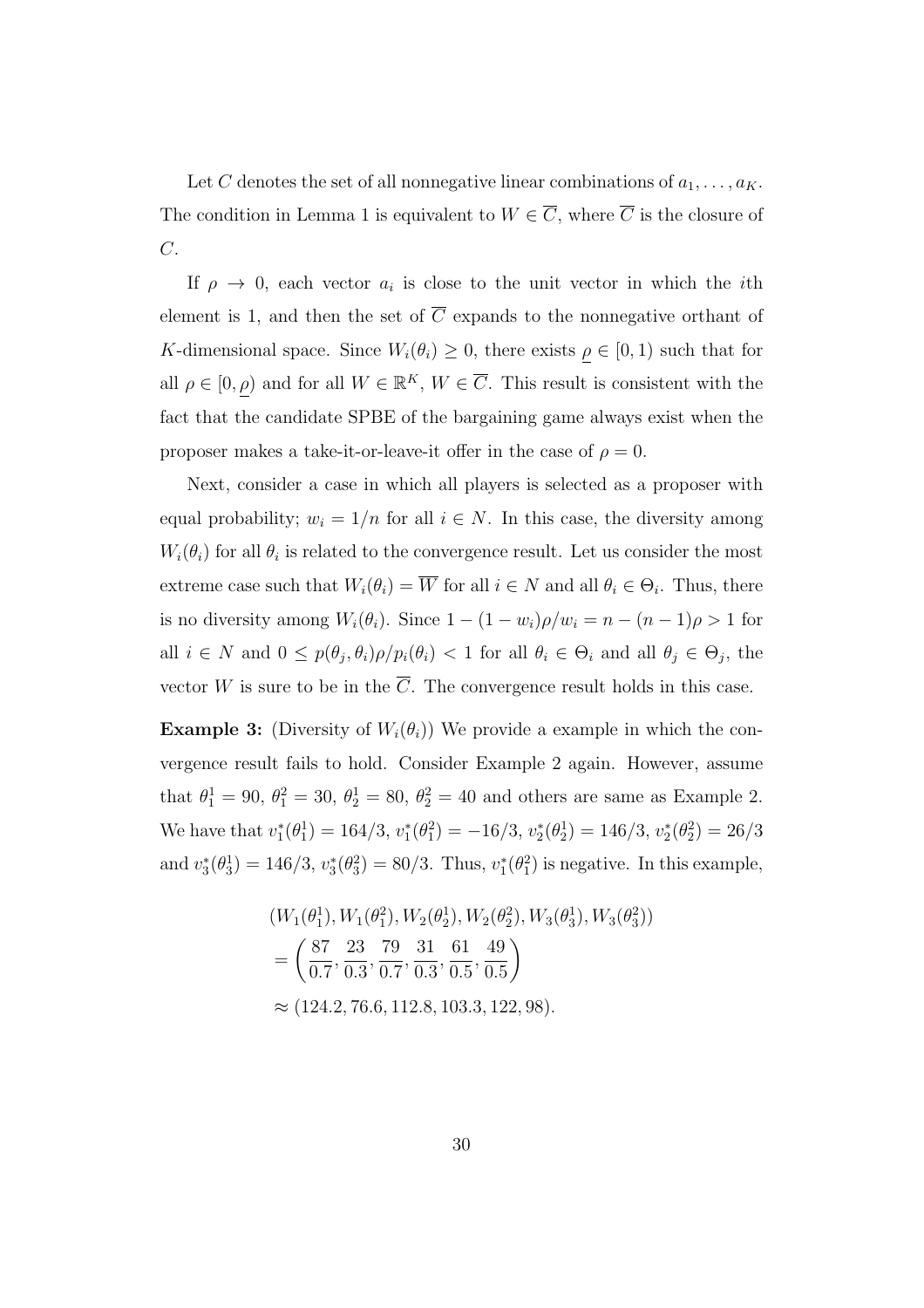Let *C* denotes the set of all nonnegative linear combinations of  $a_1, \ldots, a_K$ . The condition in Lemma 1 is equivalent to  $W \in \overline{C}$ , where  $\overline{C}$  is the closure of *C*.

If  $\rho \rightarrow 0$ , each vector  $a_i$  is close to the unit vector in which the *i*th element is 1, and then the set of  $\overline{C}$  expands to the nonnegative orthant of *K*-dimensional space. Since  $W_i(\theta_i) \geq 0$ , there exists  $\rho \in [0, 1)$  such that for all  $\rho \in [0, \rho)$  and for all  $W \in \mathbb{R}^K$ ,  $W \in \overline{C}$ . This result is consistent with the fact that the candidate SPBE of the bargaining game always exist when the proposer makes a take-it-or-leave-it offer in the case of  $\rho = 0$ .

Next, consider a case in which all players is selected as a proposer with equal probability;  $w_i = 1/n$  for all  $i \in N$ . In this case, the diversity among  $W_i(\theta_i)$  for all  $\theta_i$  is related to the convergence result. Let us consider the most extreme case such that  $W_i(\theta_i) = \overline{W}$  for all  $i \in N$  and all  $\theta_i \in \Theta_i$ . Thus, there is no diversity among  $W_i(\theta_i)$ . Since  $1 - (1 - w_i)\rho/w_i = n - (n - 1)\rho > 1$  for all  $i \in N$  and  $0 \leq p(\theta_j, \theta_i) \rho / p_i(\theta_i) < 1$  for all  $\theta_i \in \Theta_i$  and all  $\theta_j \in \Theta_j$ , the vector *W* is sure to be in the  $\overline{C}$ . The convergence result holds in this case.

**Example 3:** (Diversity of  $W_i(\theta_i)$ ) We provide a example in which the convergence result fails to hold. Consider Example 2 again. However, assume that  $\theta_1^1 = 90, \ \theta_1^2 = 30, \ \theta_2^1 = 80, \ \theta_2^2 = 40$  and others are same as Example 2. We have that  $v_1^*(\theta_1^1) = 164/3$ ,  $v_1^*(\theta_1^2) = -16/3$ ,  $v_2^*(\theta_2^1) = 146/3$ ,  $v_2^*(\theta_2^2) = 26/3$ and  $v_3^*(\theta_3^1) = 146/3, v_3^*(\theta_3^2) = 80/3$ . Thus,  $v_1^*(\theta_1^2)$  is negative. In this example,

$$
(W_1(\theta_1^1), W_1(\theta_1^2), W_2(\theta_2^1), W_2(\theta_2^2), W_3(\theta_3^1), W_3(\theta_3^2))
$$
  
=  $\left(\frac{87}{0.7}, \frac{23}{0.3}, \frac{79}{0.7}, \frac{31}{0.3}, \frac{61}{0.5}, \frac{49}{0.5}\right)$   
 $\approx$  (124.2, 76.6, 112.8, 103.3, 122, 98).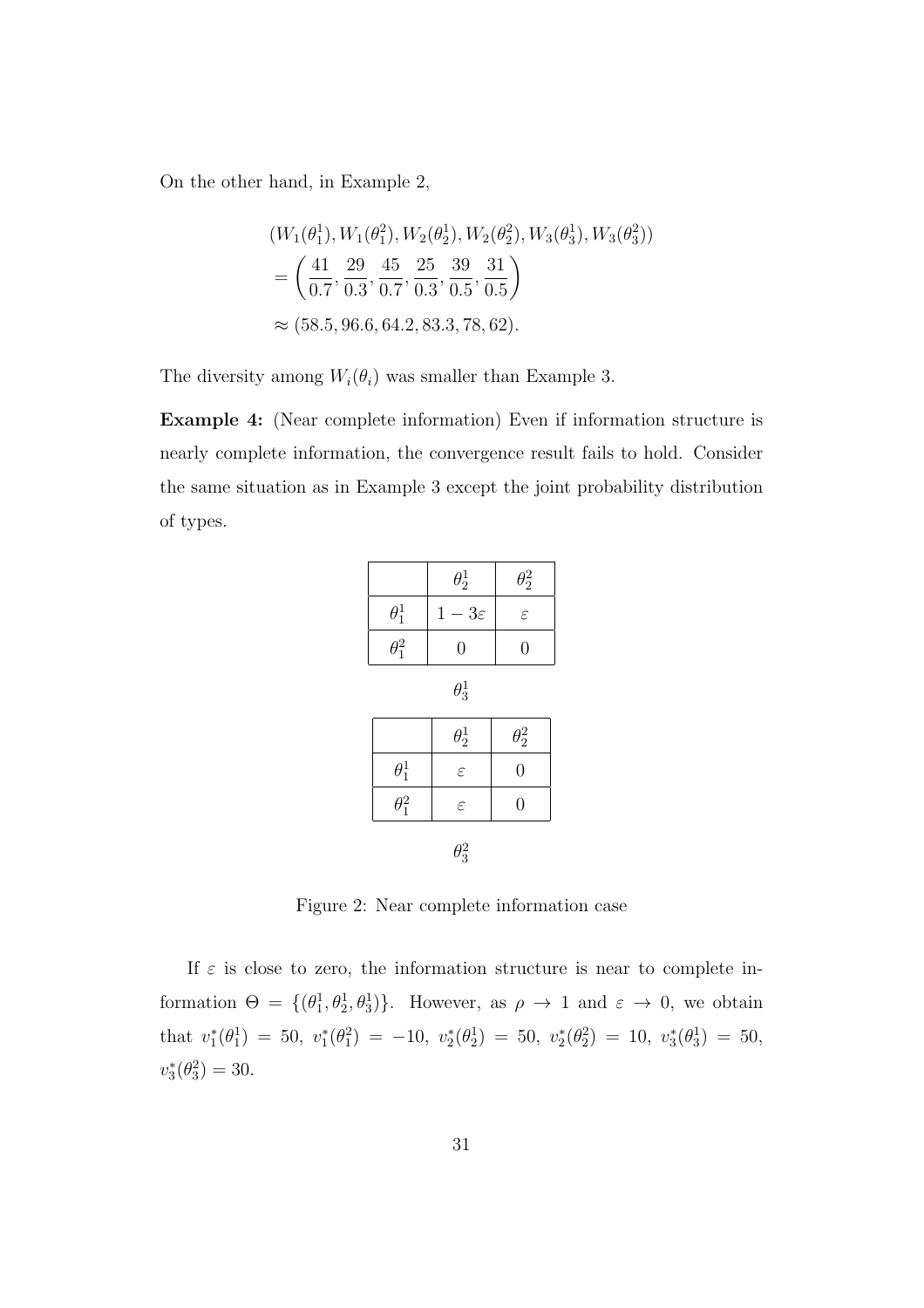On the other hand, in Example 2,

$$
(W_1(\theta_1^1), W_1(\theta_1^2), W_2(\theta_2^1), W_2(\theta_2^2), W_3(\theta_3^1), W_3(\theta_3^2))
$$
  
=  $\left(\frac{41}{0.7}, \frac{29}{0.3}, \frac{45}{0.7}, \frac{25}{0.3}, \frac{39}{0.5}, \frac{31}{0.5}\right)$   
  $\approx$  (58.5, 96.6, 64.2, 83.3, 78, 62).

The diversity among  $W_i(\theta_i)$  was smaller than Example 3.

**Example 4:** (Near complete information) Even if information structure is nearly complete information, the convergence result fails to hold. Consider the same situation as in Example 3 except the joint probability distribution of types.

|              | $\theta_2^1$     | $\theta_2^2$   |  |
|--------------|------------------|----------------|--|
| $\theta_1^1$ | $1-3\varepsilon$ | $\varepsilon$  |  |
| $\theta_1^2$ | $\overline{0}$   | $\overline{0}$ |  |
| $\theta_3^1$ |                  |                |  |
|              | $\theta_2^1$     | $\theta_2^2$   |  |
| $\theta_1^1$ | $\varepsilon$    | $\overline{0}$ |  |
| $\theta_1^2$ | $\varepsilon$    | $\overline{0}$ |  |
| $\theta_3^2$ |                  |                |  |

Figure 2: Near complete information case

If  $\varepsilon$  is close to zero, the information structure is near to complete information  $\Theta = \{(\theta_1^1, \theta_2^1, \theta_3^1)\}\$ . However, as  $\rho \to 1$  and  $\varepsilon \to 0$ , we obtain  $\text{that } v_1^*(\theta_1^1) = 50, v_1^*(\theta_1^2) = -10, v_2^*(\theta_2^1) = 50, v_2^*(\theta_2^2) = 10, v_3^*(\theta_3^1) = 50,$  $v_3^*(\theta_3^2) = 30.$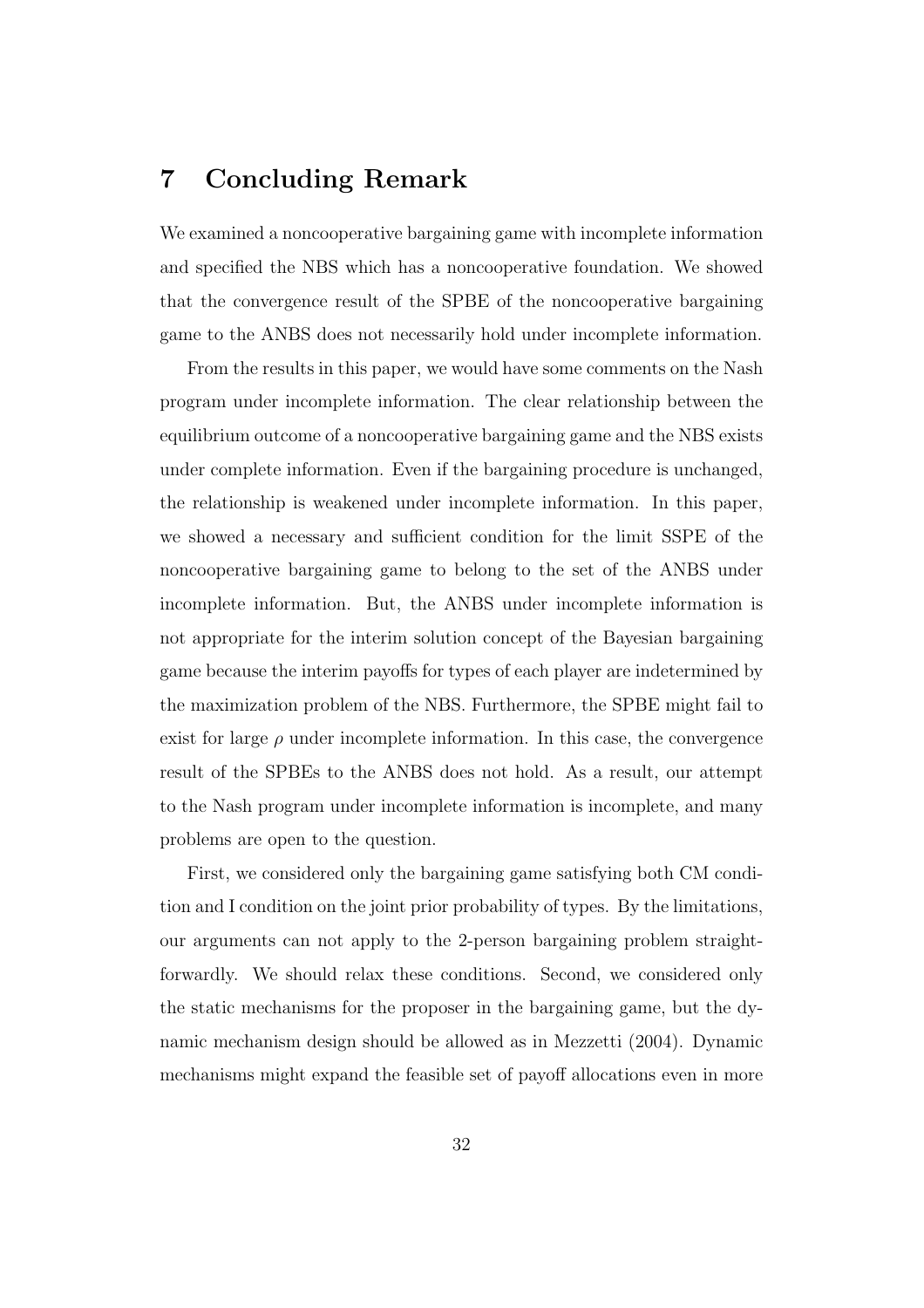# **7 Concluding Remark**

We examined a noncooperative bargaining game with incomplete information and specified the NBS which has a noncooperative foundation. We showed that the convergence result of the SPBE of the noncooperative bargaining game to the ANBS does not necessarily hold under incomplete information.

From the results in this paper, we would have some comments on the Nash program under incomplete information. The clear relationship between the equilibrium outcome of a noncooperative bargaining game and the NBS exists under complete information. Even if the bargaining procedure is unchanged, the relationship is weakened under incomplete information. In this paper, we showed a necessary and sufficient condition for the limit SSPE of the noncooperative bargaining game to belong to the set of the ANBS under incomplete information. But, the ANBS under incomplete information is not appropriate for the interim solution concept of the Bayesian bargaining game because the interim payoffs for types of each player are indetermined by the maximization problem of the NBS. Furthermore, the SPBE might fail to exist for large  $\rho$  under incomplete information. In this case, the convergence result of the SPBEs to the ANBS does not hold. As a result, our attempt to the Nash program under incomplete information is incomplete, and many problems are open to the question.

First, we considered only the bargaining game satisfying both CM condition and I condition on the joint prior probability of types. By the limitations, our arguments can not apply to the 2-person bargaining problem straightforwardly. We should relax these conditions. Second, we considered only the static mechanisms for the proposer in the bargaining game, but the dynamic mechanism design should be allowed as in Mezzetti (2004). Dynamic mechanisms might expand the feasible set of payoff allocations even in more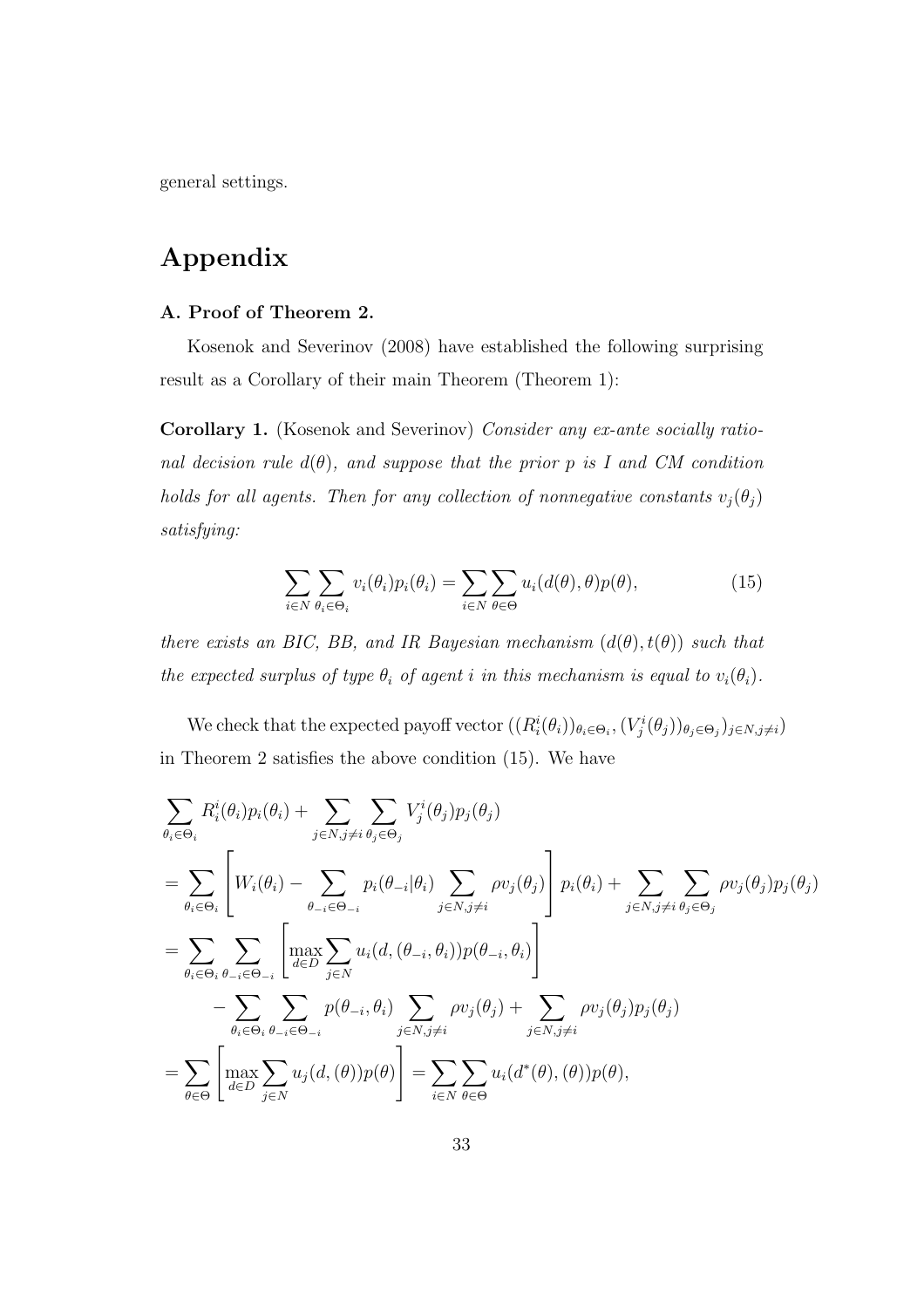general settings.

# **Appendix**

#### **A. Proof of Theorem 2.**

Kosenok and Severinov (2008) have established the following surprising result as a Corollary of their main Theorem (Theorem 1):

**Corollary 1.** (Kosenok and Severinov) *Consider any ex-ante socially rational decision rule*  $d(\theta)$ *, and suppose that the prior p is I* and *CM* condition *holds for all agents. Then for any collection of nonnegative constants*  $v_j(\theta_j)$ *satisfying:*

$$
\sum_{i \in N} \sum_{\theta_i \in \Theta_i} v_i(\theta_i) p_i(\theta_i) = \sum_{i \in N} \sum_{\theta \in \Theta} u_i(d(\theta), \theta) p(\theta), \qquad (15)
$$

*there exists an BIC, BB, and IR Bayesian mechanism*  $(d(\theta), t(\theta))$  *such that the expected surplus of type*  $\theta_i$  *of agent i in this mechanism is equal to*  $v_i(\theta_i)$ *.* 

We check that the expected payoff vector  $((R_i^i(\theta_i))_{\theta_i \in \Theta_i}, (V_j^i(\theta_j))_{\theta_j \in \Theta_j})_{j \in N, j \neq i})$ in Theorem 2 satisfies the above condition (15). We have

$$
\sum_{\theta_i \in \Theta_i} R_i^i(\theta_i) p_i(\theta_i) + \sum_{j \in N, j \neq i} \sum_{\theta_j \in \Theta_j} V_j^i(\theta_j) p_j(\theta_j)
$$
\n
$$
= \sum_{\theta_i \in \Theta_i} \left[ W_i(\theta_i) - \sum_{\theta_{-i} \in \Theta_{-i}} p_i(\theta_{-i}|\theta_i) \sum_{j \in N, j \neq i} \rho v_j(\theta_j) \right] p_i(\theta_i) + \sum_{j \in N, j \neq i} \sum_{\theta_j \in \Theta_j} \rho v_j(\theta_j) p_j(\theta_j)
$$
\n
$$
= \sum_{\theta_i \in \Theta_i} \sum_{\theta_{-i} \in \Theta_{-i}} \left[ \max_{d \in D} \sum_{j \in N} u_i(d, (\theta_{-i}, \theta_i)) p(\theta_{-i}, \theta_i) \right]
$$
\n
$$
- \sum_{\theta_i \in \Theta_i} \sum_{\theta_{-i} \in \Theta_{-i}} p(\theta_{-i}, \theta_i) \sum_{j \in N, j \neq i} \rho v_j(\theta_j) + \sum_{j \in N, j \neq i} \rho v_j(\theta_j) p_j(\theta_j)
$$
\n
$$
= \sum_{\theta \in \Theta} \left[ \max_{d \in D} \sum_{j \in N} u_j(d, (\theta)) p(\theta) \right] = \sum_{i \in N} \sum_{\theta \in \Theta} u_i(d^*(\theta), (\theta)) p(\theta),
$$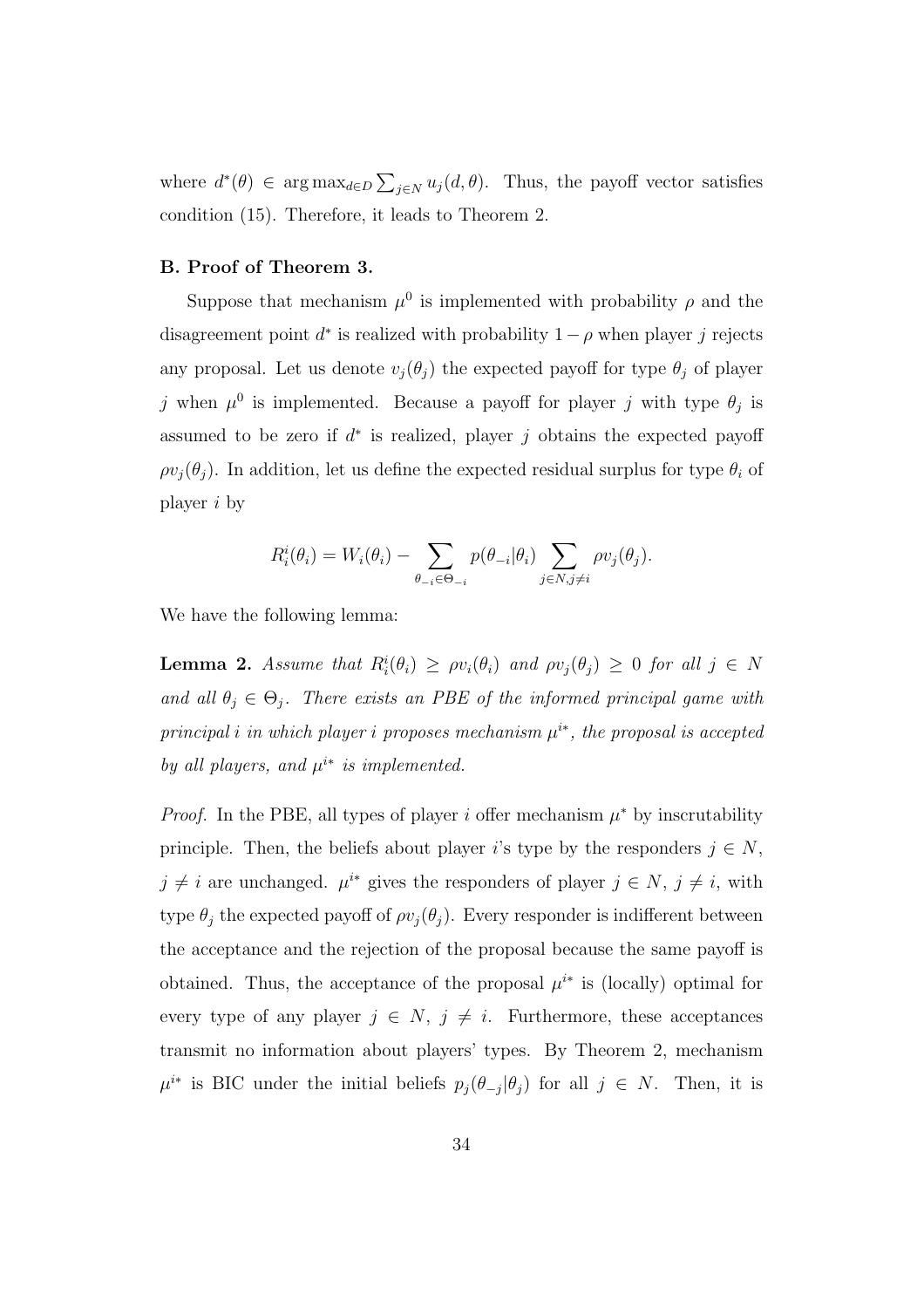where  $d^*(\theta) \in \arg \max_{d \in D} \sum_{j \in N} u_j(d, \theta)$ . Thus, the payoff vector satisfies condition (15). Therefore, it leads to Theorem 2.

#### **B. Proof of Theorem 3.**

Suppose that mechanism  $\mu^0$  is implemented with probability  $\rho$  and the disagreement point  $d^*$  is realized with probability  $1 - \rho$  when player *j* rejects any proposal. Let us denote  $v_j(\theta_j)$  the expected payoff for type  $\theta_j$  of player *j* when  $\mu^0$  is implemented. Because a payoff for player *j* with type  $\theta_j$  is assumed to be zero if *d ∗* is realized, player *j* obtains the expected payoff  $\rho v_i(\theta_i)$ . In addition, let us define the expected residual surplus for type  $\theta_i$  of player *i* by

$$
R_i^i(\theta_i) = W_i(\theta_i) - \sum_{\theta_{-i} \in \Theta_{-i}} p(\theta_{-i}|\theta_i) \sum_{j \in N, j \neq i} \rho v_j(\theta_j).
$$

We have the following lemma:

**Lemma 2.** Assume that  $R_i^i(\theta_i) \geq \rho v_i(\theta_i)$  and  $\rho v_j(\theta_j) \geq 0$  for all  $j \in N$ *and all*  $\theta_j \in \Theta_j$ . There exists an PBE of the informed principal game with *principal i in which player i proposes mechanism*  $\mu^{i*}$ , *the proposal is accepted by all players, and*  $\mu^{i*}$  *is implemented.* 

*Proof.* In the PBE, all types of player *i* offer mechanism  $\mu^*$  by inscrutability principle. Then, the beliefs about player *i*'s type by the responders  $j \in N$ ,  $j \neq i$  are unchanged.  $\mu^{i*}$  gives the responders of player  $j \in N$ ,  $j \neq i$ , with type  $\theta_j$  the expected payoff of  $\rho v_j(\theta_j)$ . Every responder is indifferent between the acceptance and the rejection of the proposal because the same payoff is obtained. Thus, the acceptance of the proposal  $\mu^{i*}$  is (locally) optimal for every type of any player  $j \in N$ ,  $j \neq i$ . Furthermore, these acceptances transmit no information about players' types. By Theorem 2, mechanism  $\mu^{i*}$  is BIC under the initial beliefs  $p_j(\theta_{-j}|\theta_j)$  for all  $j \in N$ . Then, it is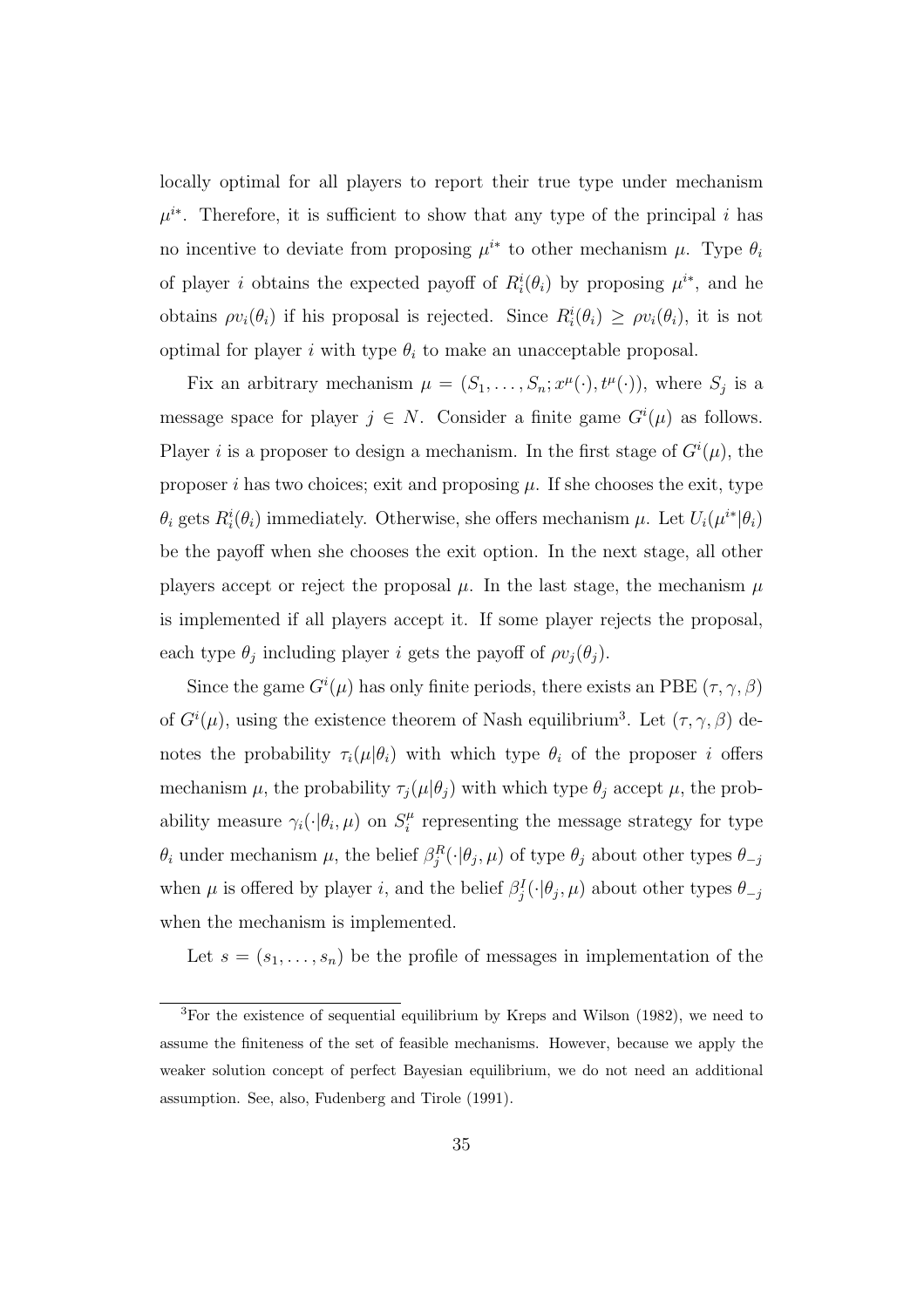locally optimal for all players to report their true type under mechanism  $\mu^{i*}$ . Therefore, it is sufficient to show that any type of the principal *i* has no incentive to deviate from proposing  $\mu^{i*}$  to other mechanism  $\mu$ . Type  $\theta_i$ of player *i* obtains the expected payoff of  $R_i^i(\theta_i)$  by proposing  $\mu^{i*}$ , and he obtains  $\rho v_i(\theta_i)$  if his proposal is rejected. Since  $R_i^i(\theta_i) \geq \rho v_i(\theta_i)$ , it is not optimal for player  $i$  with type  $\theta_i$  to make an unacceptable proposal.

Fix an arbitrary mechanism  $\mu = (S_1, \ldots, S_n; x^{\mu}(\cdot), t^{\mu}(\cdot)),$  where  $S_j$  is a message space for player  $j \in N$ . Consider a finite game  $G^{i}(\mu)$  as follows. Player *i* is a proposer to design a mechanism. In the first stage of  $G^{i}(\mu)$ , the proposer *i* has two choices; exit and proposing  $\mu$ . If she chooses the exit, type  $\theta_i$  gets  $R_i^i(\theta_i)$  immediately. Otherwise, she offers mechanism  $\mu$ . Let  $U_i(\mu^{i*}|\theta_i)$ be the payoff when she chooses the exit option. In the next stage, all other players accept or reject the proposal  $\mu$ . In the last stage, the mechanism  $\mu$ is implemented if all players accept it. If some player rejects the proposal, each type  $\theta_j$  including player *i* gets the payoff of  $\rho v_j(\theta_j)$ .

Since the game  $G^{i}(\mu)$  has only finite periods, there exists an PBE  $(\tau, \gamma, \beta)$ of  $G^{i}(\mu)$ , using the existence theorem of Nash equilibrium<sup>3</sup>. Let  $(\tau, \gamma, \beta)$  denotes the probability  $\tau_i(\mu|\theta_i)$  with which type  $\theta_i$  of the proposer *i* offers mechanism  $\mu$ , the probability  $\tau_j(\mu|\theta_j)$  with which type  $\theta_j$  accept  $\mu$ , the probability measure  $\gamma_i(\cdot|\theta_i,\mu)$  on  $S_i^{\mu}$  $\mu$ <sup> $\mu$ </sup> representing the message strategy for type  $\theta_i$  under mechanism  $\mu$ , the belief  $\beta_j^R(\cdot|\theta_j, \mu)$  of type  $\theta_j$  about other types  $\theta_{-j}$ when  $\mu$  is offered by player *i*, and the belief  $\beta_j^I(\cdot|\theta_j, \mu)$  about other types  $\theta_{-j}$ when the mechanism is implemented.

Let  $s = (s_1, \ldots, s_n)$  be the profile of messages in implementation of the

<sup>3</sup>For the existence of sequential equilibrium by Kreps and Wilson (1982), we need to assume the finiteness of the set of feasible mechanisms. However, because we apply the weaker solution concept of perfect Bayesian equilibrium, we do not need an additional assumption. See, also, Fudenberg and Tirole (1991).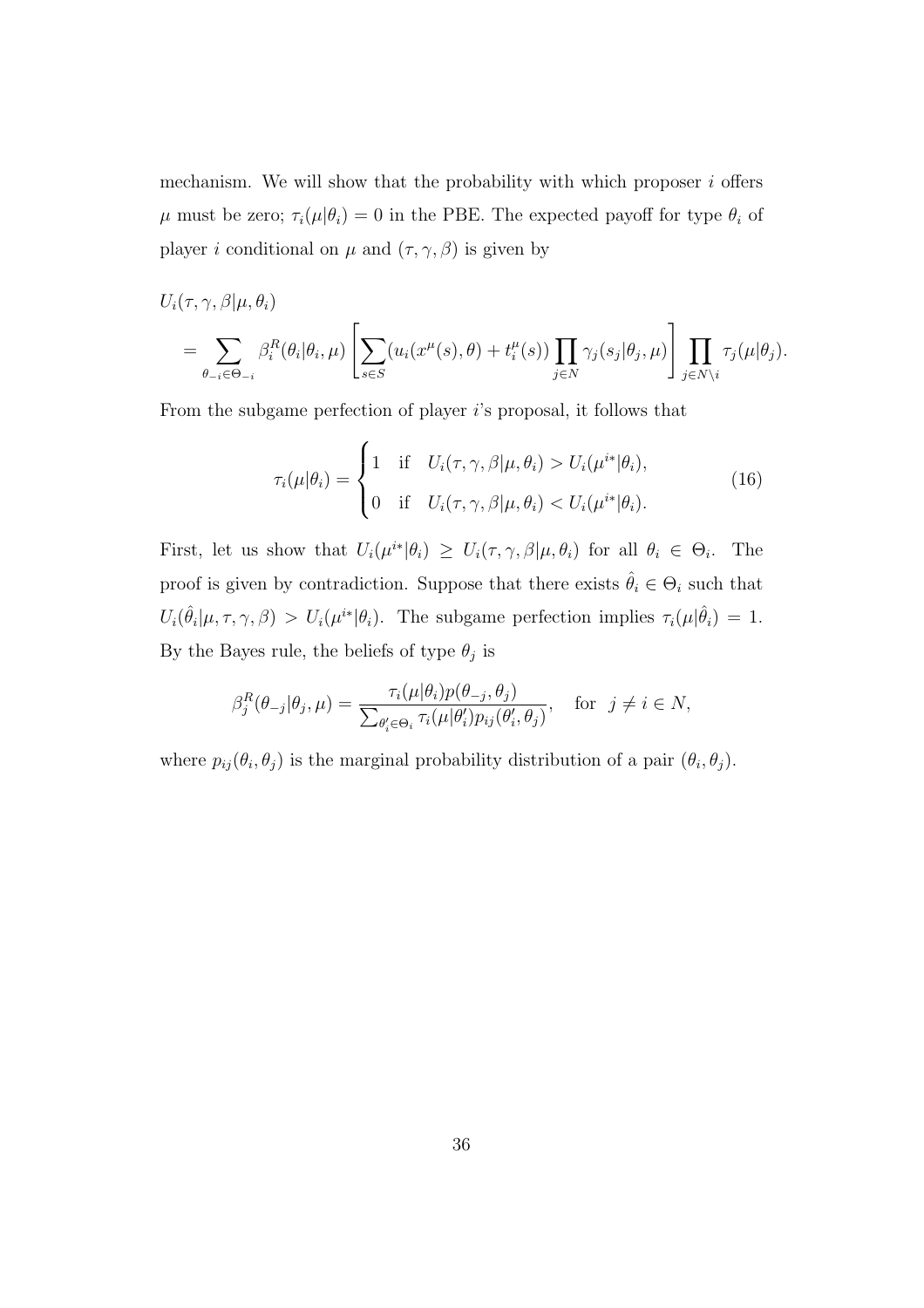mechanism. We will show that the probability with which proposer *i* offers *µ* must be zero;  $\tau_i(\mu|\theta_i) = 0$  in the PBE. The expected payoff for type  $\theta_i$  of player *i* conditional on  $\mu$  and  $(\tau, \gamma, \beta)$  is given by

$$
U_i(\tau, \gamma, \beta | \mu, \theta_i)
$$
  
= 
$$
\sum_{\theta_{-i} \in \Theta_{-i}} \beta_i^R(\theta_i | \theta_i, \mu) \left[ \sum_{s \in S} (u_i(x^{\mu}(s), \theta) + t_i^{\mu}(s)) \prod_{j \in N} \gamma_j(s_j | \theta_j, \mu) \right] \prod_{j \in N \setminus i} \tau_j(\mu | \theta_j).
$$

From the subgame perfection of player *i*'s proposal, it follows that

$$
\tau_i(\mu|\theta_i) = \begin{cases}\n1 & \text{if } U_i(\tau, \gamma, \beta | \mu, \theta_i) > U_i(\mu^{i*}|\theta_i), \\
0 & \text{if } U_i(\tau, \gamma, \beta | \mu, \theta_i) < U_i(\mu^{i*}|\theta_i).\n\end{cases}
$$
\n(16)

First, let us show that  $U_i(\mu^{i*}|\theta_i) \geq U_i(\tau, \gamma, \beta|\mu, \theta_i)$  for all  $\theta_i \in \Theta_i$ . The proof is given by contradiction. Suppose that there exists  $\hat{\theta}_i \in \Theta_i$  such that  $U_i(\hat{\theta}_i | \mu, \tau, \gamma, \beta) > U_i(\mu^{i*} | \theta_i)$ . The subgame perfection implies  $\tau_i(\mu | \hat{\theta}_i) = 1$ . By the Bayes rule, the beliefs of type  $\theta_j$  is

$$
\beta_j^R(\theta_{-j}|\theta_j,\mu) = \frac{\tau_i(\mu|\theta_i)p(\theta_{-j},\theta_j)}{\sum_{\theta'_i \in \Theta_i} \tau_i(\mu|\theta'_i)p_{ij}(\theta'_i,\theta_j)}, \text{ for } j \neq i \in N,
$$

where  $p_{ij}(\theta_i, \theta_j)$  is the marginal probability distribution of a pair  $(\theta_i, \theta_j)$ .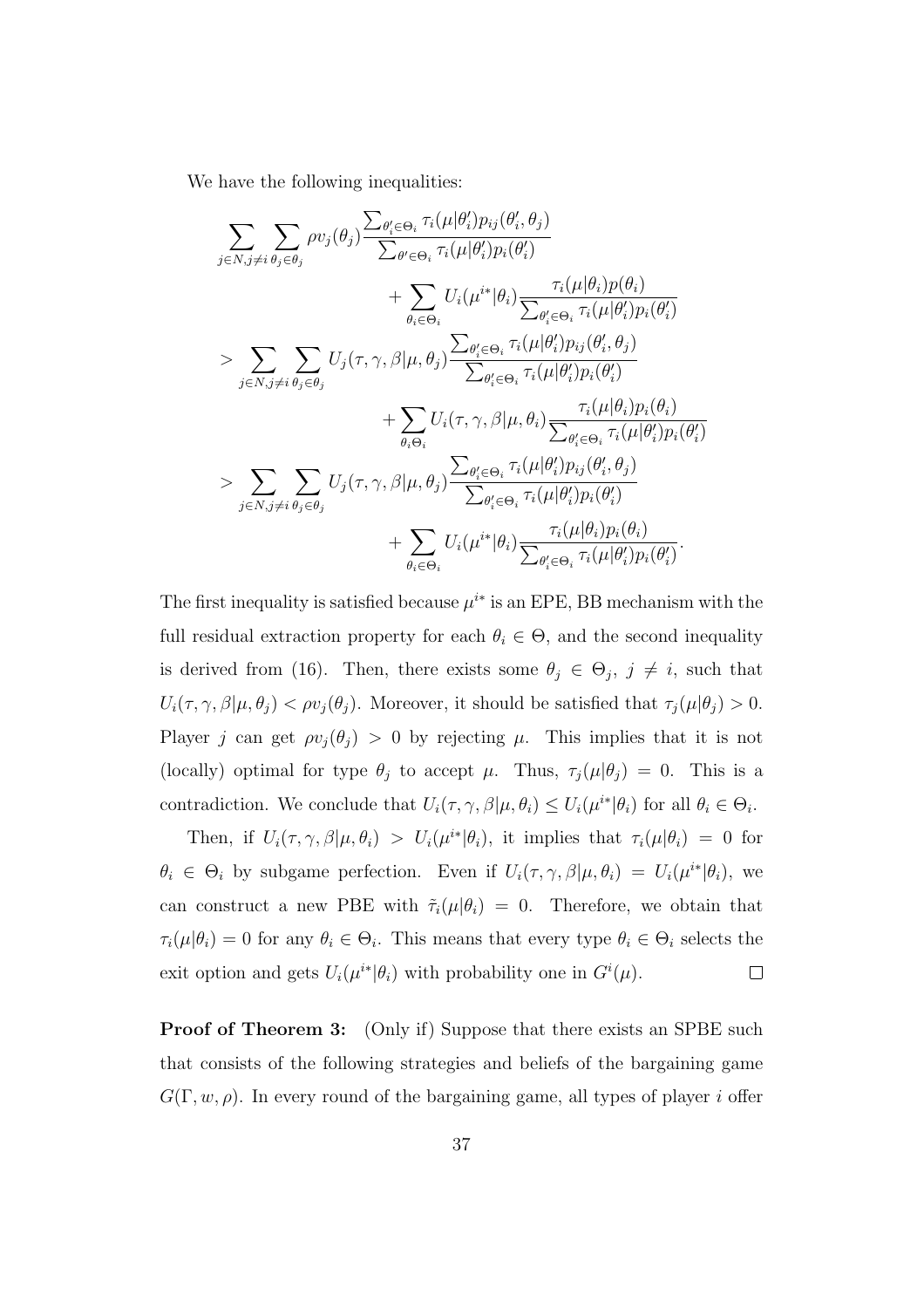We have the following inequalities:

$$
\sum_{j \in N, j \neq i} \sum_{\theta_j \in \theta_j} \rho v_j(\theta_j) \frac{\sum_{\theta'_i \in \Theta_i} \tau_i(\mu|\theta'_i) p_{ij}(\theta'_i, \theta_j)}{\sum_{\theta' \in \Theta_i} \tau_i(\mu|\theta'_i) p_i(\theta'_i)} + \sum_{\theta_i \in \Theta_i} U_i(\mu^{i*}|\theta_i) \frac{\tau_i(\mu|\theta_i) p(\theta_i)}{\sum_{\theta'_i \in \Theta_i} \tau_i(\mu|\theta'_i) p_i(\theta'_i)} \\
> \sum_{j \in N, j \neq i} \sum_{\theta_j \in \theta_j} U_j(\tau, \gamma, \beta|\mu, \theta_j) \frac{\sum_{\theta'_i \in \Theta_i} \tau_i(\mu|\theta'_i) p_{ij}(\theta'_i, \theta_j)}{\sum_{\theta'_i \in \Theta_i} \tau_i(\mu|\theta'_i) p_i(\theta'_i)} \\
+ \sum_{\theta_i \Theta_i} U_i(\tau, \gamma, \beta|\mu, \theta_i) \frac{\tau_i(\mu|\theta_i) p_i(\theta_i)}{\sum_{\theta'_i \in \Theta_i} \tau_i(\mu|\theta'_i) p_i(\theta'_i)} \\
> \sum_{j \in N, j \neq i} \sum_{\theta_j \in \theta_j} U_j(\tau, \gamma, \beta|\mu, \theta_j) \frac{\sum_{\theta'_i \in \Theta_i} \tau_i(\mu|\theta'_i) p_{ij}(\theta'_i, \theta_j)}{\sum_{\theta'_i \in \Theta_i} \tau_i(\mu|\theta'_i) p_i(\theta'_i)} \\
+ \sum_{\theta_i \in \Theta_i} U_i(\mu^{i*}|\theta_i) \frac{\tau_i(\mu|\theta_i) p_i(\theta_i)}{\sum_{\theta'_i \in \Theta_i} \tau_i(\mu|\theta'_i) p_i(\theta'_i)}.
$$

The first inequality is satisfied because  $\mu^{i*}$  is an EPE, BB mechanism with the full residual extraction property for each  $\theta_i \in \Theta$ , and the second inequality is derived from (16). Then, there exists some  $\theta_j \in \Theta_j$ ,  $j \neq i$ , such that  $U_i(\tau, \gamma, \beta | \mu, \theta_j) < \rho v_j(\theta_j)$ . Moreover, it should be satisfied that  $\tau_j(\mu | \theta_j) > 0$ . Player *j* can get  $\rho v_j(\theta_j) > 0$  by rejecting  $\mu$ . This implies that it is not (locally) optimal for type  $\theta_j$  to accept  $\mu$ . Thus,  $\tau_j(\mu|\theta_j) = 0$ . This is a contradiction. We conclude that  $U_i(\tau, \gamma, \beta | \mu, \theta_i) \leq U_i(\mu^{i*} | \theta_i)$  for all  $\theta_i \in \Theta_i$ .

Then, if  $U_i(\tau, \gamma, \beta | \mu, \theta_i) > U_i(\mu^{i*} | \theta_i)$ , it implies that  $\tau_i(\mu | \theta_i) = 0$  for  $\theta_i \in \Theta_i$  by subgame perfection. Even if  $U_i(\tau, \gamma, \beta | \mu, \theta_i) = U_i(\mu^{i*} | \theta_i)$ , we can construct a new PBE with  $\tilde{\tau}_i(\mu|\theta_i) = 0$ . Therefore, we obtain that  $\tau_i(\mu|\theta_i) = 0$  for any  $\theta_i \in \Theta_i$ . This means that every type  $\theta_i \in \Theta_i$  selects the exit option and gets  $U_i(\mu^{i*}|\theta_i)$  with probability one in  $G^i(\mu)$ .  $\Box$ 

**Proof of Theorem 3:** (Only if) Suppose that there exists an SPBE such that consists of the following strategies and beliefs of the bargaining game  $G(\Gamma, w, \rho)$ . In every round of the bargaining game, all types of player *i* offer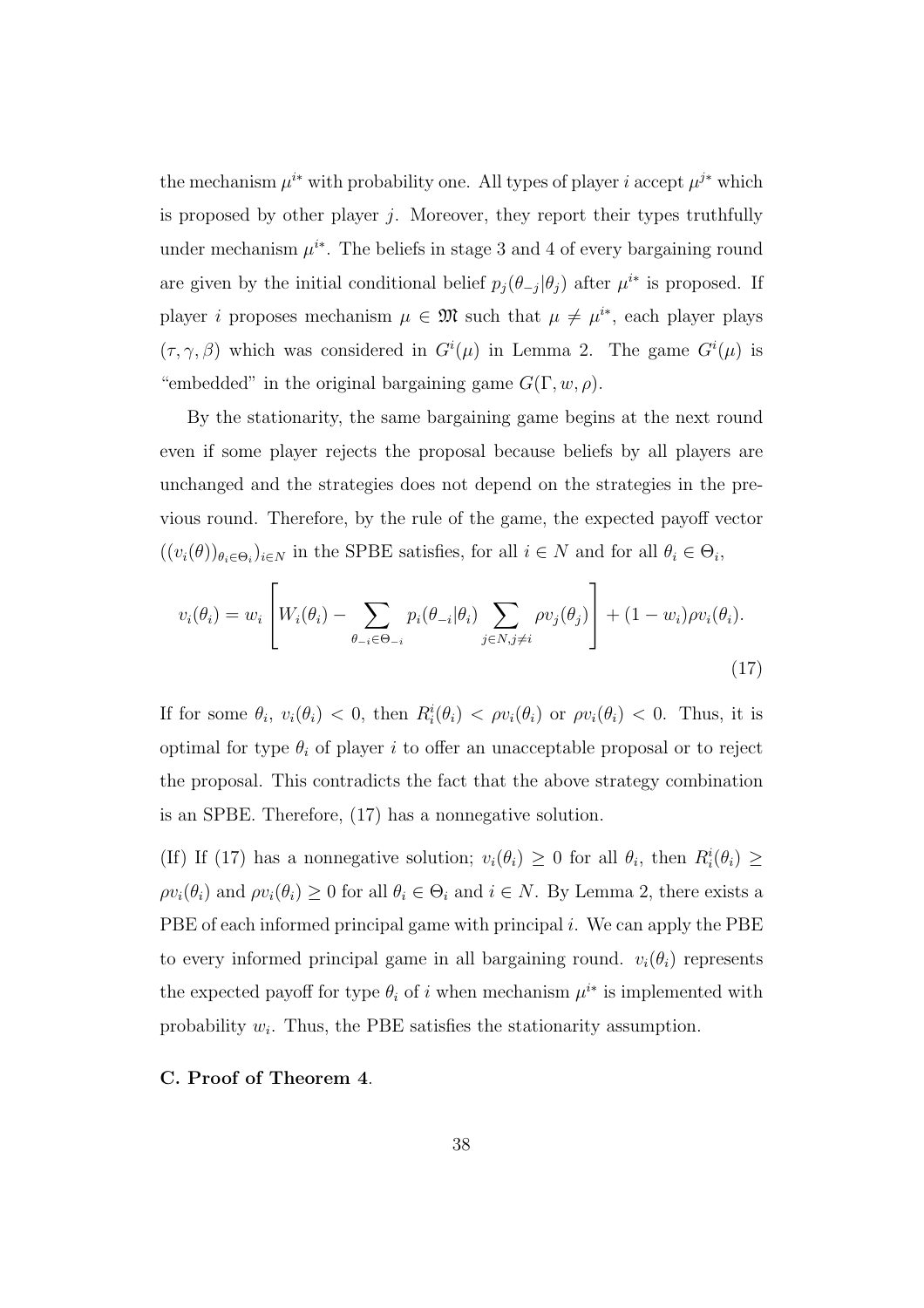the mechanism  $\mu^{i*}$  with probability one. All types of player *i* accept  $\mu^{j*}$  which is proposed by other player  $j$ . Moreover, they report their types truthfully under mechanism  $\mu^{i*}$ . The beliefs in stage 3 and 4 of every bargaining round are given by the initial conditional belief  $p_j(\theta_{-j}|\theta_j)$  after  $\mu^{i*}$  is proposed. If player *i* proposes mechanism  $\mu \in \mathfrak{M}$  such that  $\mu \neq \mu^{i*}$ , each player plays  $(\tau, \gamma, \beta)$  which was considered in  $G^{i}(\mu)$  in Lemma 2. The game  $G^{i}(\mu)$  is "embedded" in the original bargaining game  $G(\Gamma, w, \rho)$ .

By the stationarity, the same bargaining game begins at the next round even if some player rejects the proposal because beliefs by all players are unchanged and the strategies does not depend on the strategies in the previous round. Therefore, by the rule of the game, the expected payoff vector  $((v_i(\theta))_{\theta_i \in \Theta_i})_{i \in N}$  in the SPBE satisfies, for all  $i \in N$  and for all  $\theta_i \in \Theta_i$ ,

$$
v_i(\theta_i) = w_i \left[ W_i(\theta_i) - \sum_{\theta_{-i} \in \Theta_{-i}} p_i(\theta_{-i} | \theta_i) \sum_{j \in N, j \neq i} \rho v_j(\theta_j) \right] + (1 - w_i) \rho v_i(\theta_i).
$$
\n(17)

If for some  $\theta_i$ ,  $v_i(\theta_i) < 0$ , then  $R_i^i(\theta_i) < \rho v_i(\theta_i)$  or  $\rho v_i(\theta_i) < 0$ . Thus, it is optimal for type  $\theta_i$  of player *i* to offer an unacceptable proposal or to reject the proposal. This contradicts the fact that the above strategy combination is an SPBE. Therefore, (17) has a nonnegative solution.

(If) If (17) has a nonnegative solution;  $v_i(\theta_i) \geq 0$  for all  $\theta_i$ , then  $R_i^i(\theta_i) \geq$  $\rho v_i(\theta_i)$  and  $\rho v_i(\theta_i) \geq 0$  for all  $\theta_i \in \Theta_i$  and  $i \in N$ . By Lemma 2, there exists a PBE of each informed principal game with principal *i*. We can apply the PBE to every informed principal game in all bargaining round.  $v_i(\theta_i)$  represents the expected payoff for type  $\theta_i$  of *i* when mechanism  $\mu^{i*}$  is implemented with probability  $w_i$ . Thus, the PBE satisfies the stationarity assumption.

**C. Proof of Theorem 4**.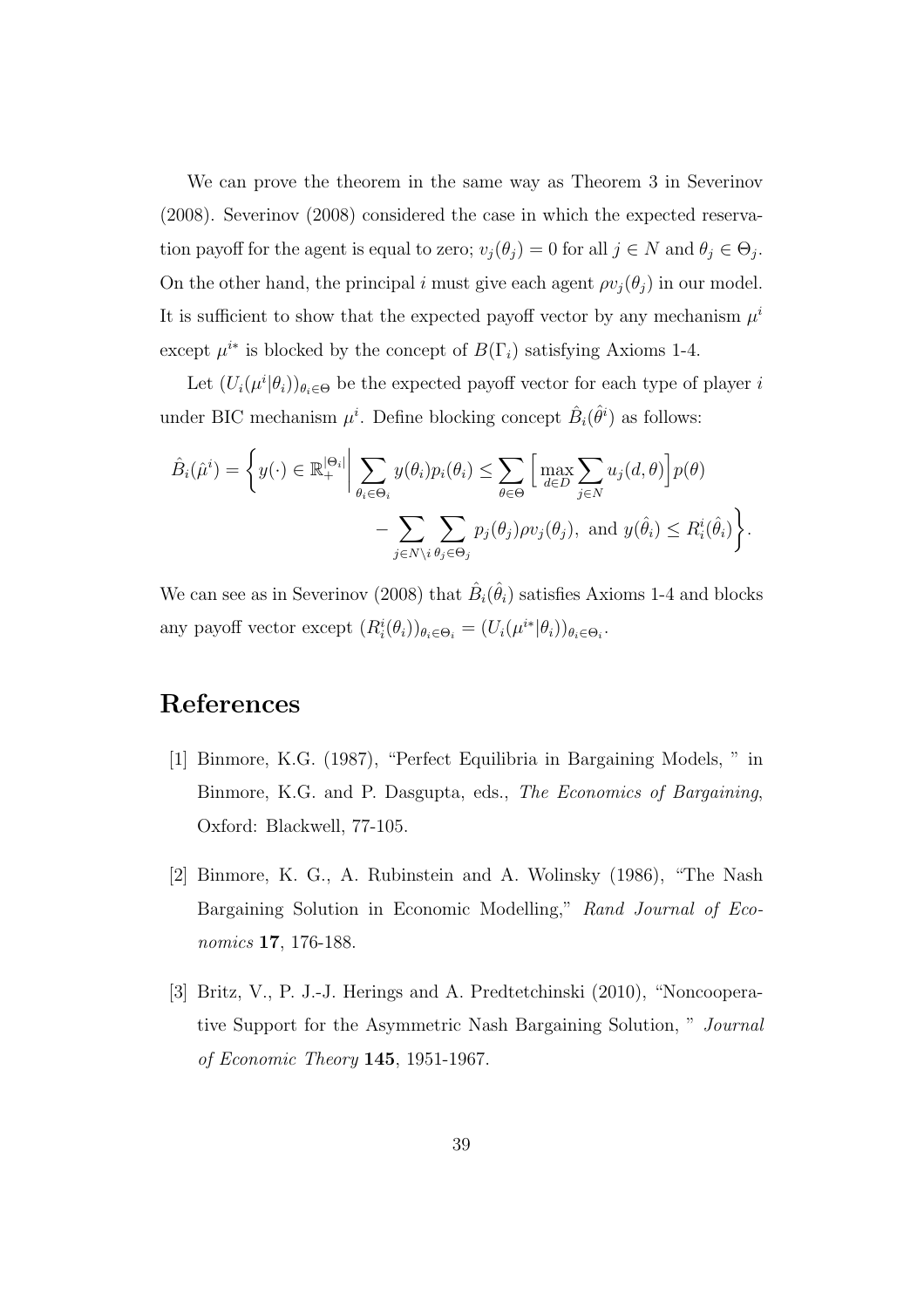We can prove the theorem in the same way as Theorem 3 in Severinov (2008). Severinov (2008) considered the case in which the expected reservation payoff for the agent is equal to zero;  $v_j(\theta_j) = 0$  for all  $j \in N$  and  $\theta_j \in \Theta_j$ . On the other hand, the principal *i* must give each agent  $\rho v_i(\theta_i)$  in our model. It is sufficient to show that the expected payoff vector by any mechanism  $\mu^i$ except  $\mu^{i*}$  is blocked by the concept of  $B(\Gamma_i)$  satisfying Axioms 1-4.

Let  $(U_i(\mu^i|\theta_i))_{\theta_i \in \Theta}$  be the expected payoff vector for each type of player *i* under BIC mechanism  $\mu^i$ . Define blocking concept  $\hat{B}_i(\hat{\theta}^i)$  as follows:

$$
\hat{B}_{i}(\hat{\mu}^{i}) = \left\{ y(\cdot) \in \mathbb{R}_{+}^{|\Theta_{i}|} \middle| \sum_{\theta_{i} \in \Theta_{i}} y(\theta_{i}) p_{i}(\theta_{i}) \le \sum_{\theta \in \Theta} \left[ \max_{d \in D} \sum_{j \in N} u_{j}(d, \theta) \right] p(\theta) - \sum_{j \in N \setminus i} \sum_{\theta_{j} \in \Theta_{j}} p_{j}(\theta_{j}) \rho v_{j}(\theta_{j}), \text{ and } y(\hat{\theta}_{i}) \le R_{i}^{i}(\hat{\theta}_{i}) \right\}.
$$

We can see as in Severinov (2008) that  $\hat{B}_i(\hat{\theta}_i)$  satisfies Axioms 1-4 and blocks any payoff vector except  $(R_i^i(\theta_i))_{\theta_i \in \Theta_i} = (U_i(\mu^{i*}|\theta_i))_{\theta_i \in \Theta_i}$ .

# **References**

- [1] Binmore, K.G. (1987), "Perfect Equilibria in Bargaining Models, " in Binmore, K.G. and P. Dasgupta, eds., *The Economics of Bargaining*, Oxford: Blackwell, 77-105.
- [2] Binmore, K. G., A. Rubinstein and A. Wolinsky (1986), "The Nash Bargaining Solution in Economic Modelling," *Rand Journal of Economics* **17**, 176-188.
- [3] Britz, V., P. J.-J. Herings and A. Predtetchinski (2010), "Noncooperative Support for the Asymmetric Nash Bargaining Solution, " *Journal of Economic Theory* **145**, 1951-1967.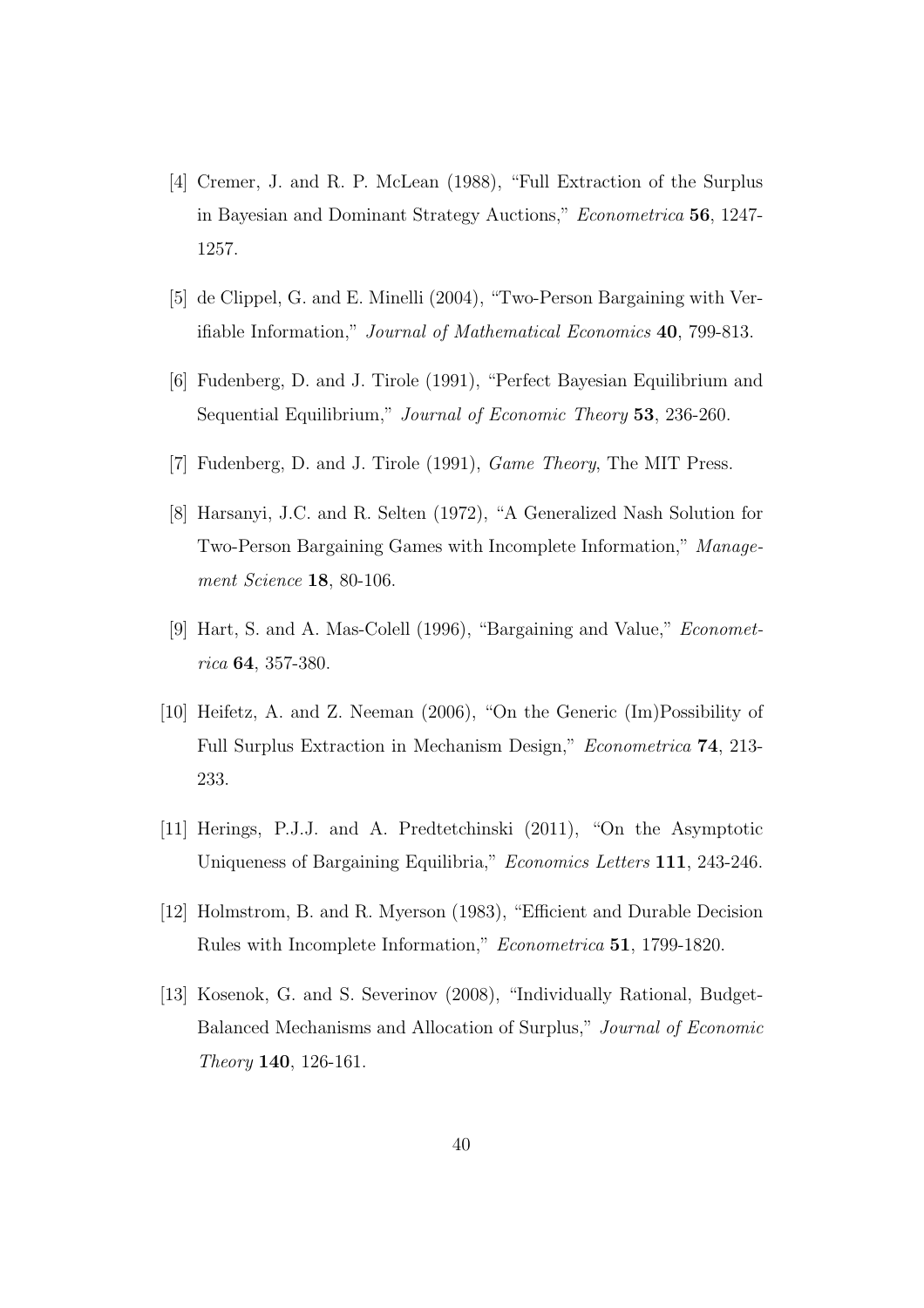- [4] Cremer, J. and R. P. McLean (1988), "Full Extraction of the Surplus in Bayesian and Dominant Strategy Auctions," *Econometrica* **56**, 1247- 1257.
- [5] de Clippel, G. and E. Minelli (2004), "Two-Person Bargaining with Verifiable Information," *Journal of Mathematical Economics* **40**, 799-813.
- [6] Fudenberg, D. and J. Tirole (1991), "Perfect Bayesian Equilibrium and Sequential Equilibrium," *Journal of Economic Theory* **53**, 236-260.
- [7] Fudenberg, D. and J. Tirole (1991), *Game Theory*, The MIT Press.
- [8] Harsanyi, J.C. and R. Selten (1972), "A Generalized Nash Solution for Two-Person Bargaining Games with Incomplete Information," *Management Science* **18**, 80-106.
- [9] Hart, S. and A. Mas-Colell (1996), "Bargaining and Value," *Econometrica* **64**, 357-380.
- [10] Heifetz, A. and Z. Neeman (2006), "On the Generic (Im)Possibility of Full Surplus Extraction in Mechanism Design," *Econometrica* **74**, 213- 233.
- [11] Herings, P.J.J. and A. Predtetchinski (2011), "On the Asymptotic Uniqueness of Bargaining Equilibria," *Economics Letters* **111**, 243-246.
- [12] Holmstrom, B. and R. Myerson (1983), "Efficient and Durable Decision Rules with Incomplete Information," *Econometrica* **51**, 1799-1820.
- [13] Kosenok, G. and S. Severinov (2008), "Individually Rational, Budget-Balanced Mechanisms and Allocation of Surplus," *Journal of Economic Theory* **140**, 126-161.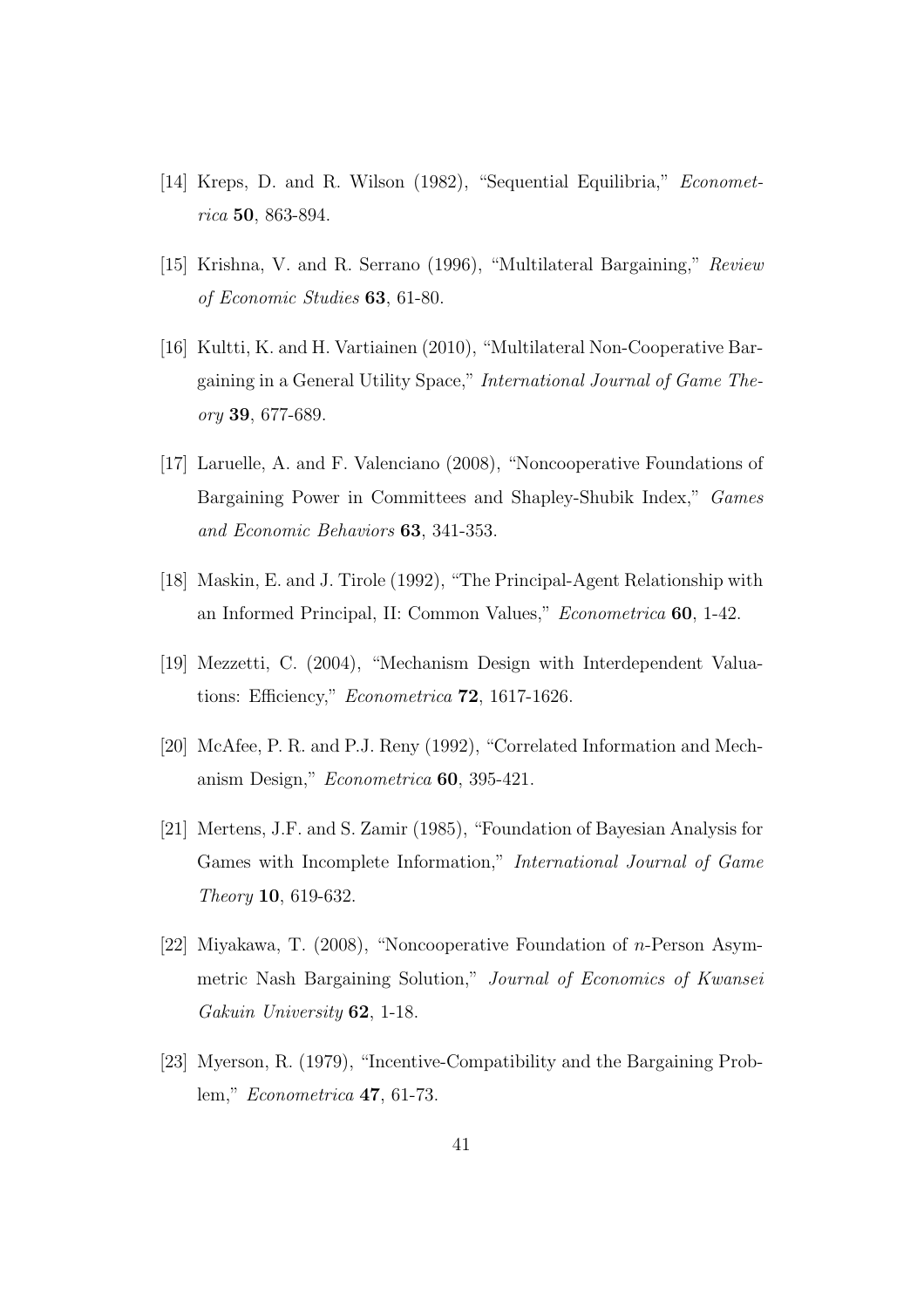- [14] Kreps, D. and R. Wilson (1982), "Sequential Equilibria," *Econometrica* **50**, 863-894.
- [15] Krishna, V. and R. Serrano (1996), "Multilateral Bargaining," *Review of Economic Studies* **63**, 61-80.
- [16] Kultti, K. and H. Vartiainen (2010), "Multilateral Non-Cooperative Bargaining in a General Utility Space," *International Journal of Game Theory* **39**, 677-689.
- [17] Laruelle, A. and F. Valenciano (2008), "Noncooperative Foundations of Bargaining Power in Committees and Shapley-Shubik Index," *Games and Economic Behaviors* **63**, 341-353.
- [18] Maskin, E. and J. Tirole (1992), "The Principal-Agent Relationship with an Informed Principal, II: Common Values," *Econometrica* **60**, 1-42.
- [19] Mezzetti, C. (2004), "Mechanism Design with Interdependent Valuations: Efficiency," *Econometrica* **72**, 1617-1626.
- [20] McAfee, P. R. and P.J. Reny (1992), "Correlated Information and Mechanism Design," *Econometrica* **60**, 395-421.
- [21] Mertens, J.F. and S. Zamir (1985), "Foundation of Bayesian Analysis for Games with Incomplete Information," *International Journal of Game Theory* **10**, 619-632.
- [22] Miyakawa, T. (2008), "Noncooperative Foundation of *n*-Person Asymmetric Nash Bargaining Solution," *Journal of Economics of Kwansei Gakuin University* **62**, 1-18.
- [23] Myerson, R. (1979), "Incentive-Compatibility and the Bargaining Problem," *Econometrica* **47**, 61-73.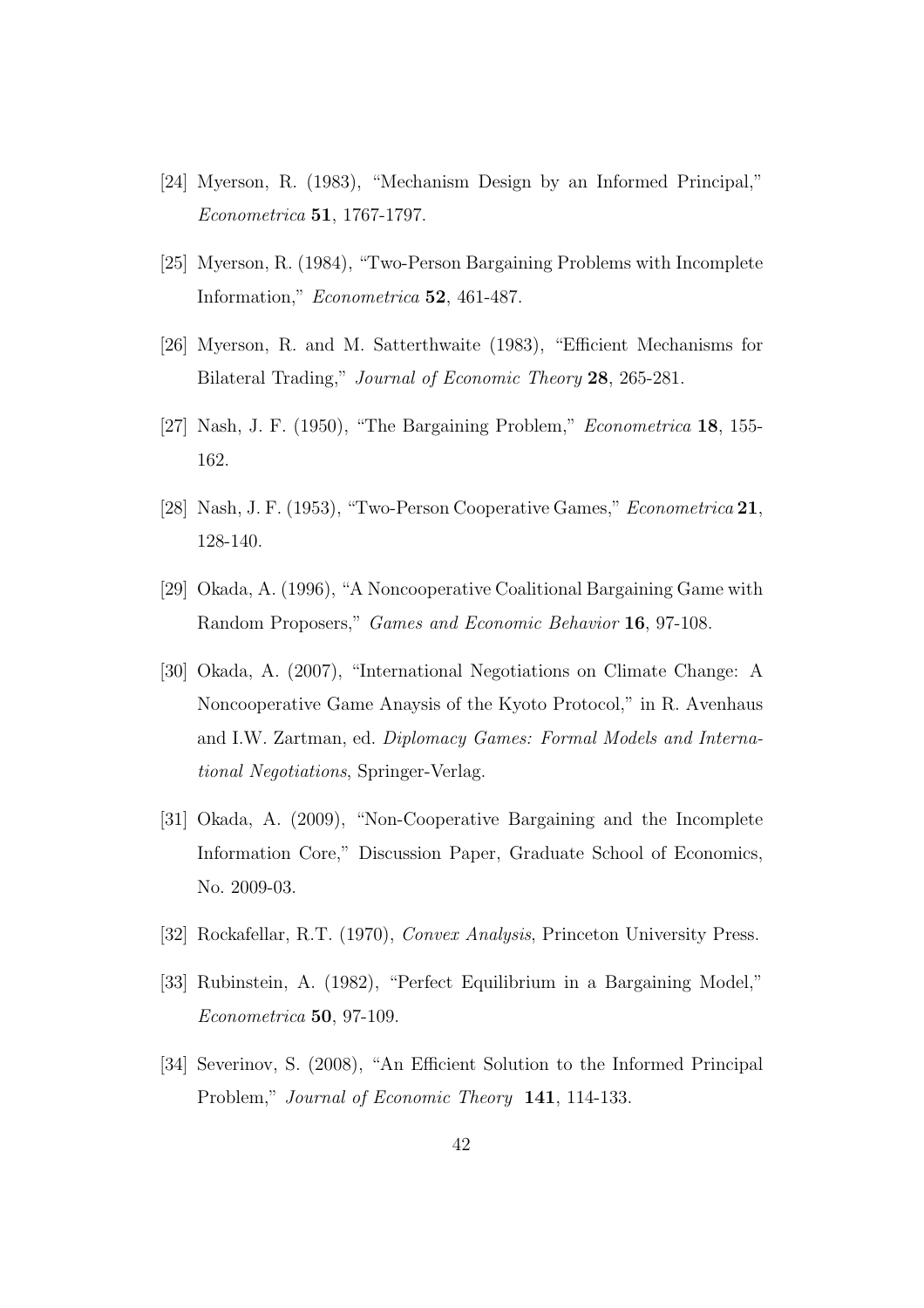- [24] Myerson, R. (1983), "Mechanism Design by an Informed Principal," *Econometrica* **51**, 1767-1797.
- [25] Myerson, R. (1984), "Two-Person Bargaining Problems with Incomplete Information," *Econometrica* **52**, 461-487.
- [26] Myerson, R. and M. Satterthwaite (1983), "Efficient Mechanisms for Bilateral Trading," *Journal of Economic Theory* **28**, 265-281.
- [27] Nash, J. F. (1950), "The Bargaining Problem," *Econometrica* **18**, 155- 162.
- [28] Nash, J. F. (1953), "Two-Person Cooperative Games," *Econometrica* **21**, 128-140.
- [29] Okada, A. (1996), "A Noncooperative Coalitional Bargaining Game with Random Proposers," *Games and Economic Behavior* **16**, 97-108.
- [30] Okada, A. (2007), "International Negotiations on Climate Change: A Noncooperative Game Anaysis of the Kyoto Protocol," in R. Avenhaus and I.W. Zartman, ed. *Diplomacy Games: Formal Models and International Negotiations*, Springer-Verlag.
- [31] Okada, A. (2009), "Non-Cooperative Bargaining and the Incomplete Information Core," Discussion Paper, Graduate School of Economics, No. 2009-03.
- [32] Rockafellar, R.T. (1970), *Convex Analysis*, Princeton University Press.
- [33] Rubinstein, A. (1982), "Perfect Equilibrium in a Bargaining Model," *Econometrica* **50**, 97-109.
- [34] Severinov, S. (2008), "An Efficient Solution to the Informed Principal Problem," *Journal of Economic Theory* **141**, 114-133.